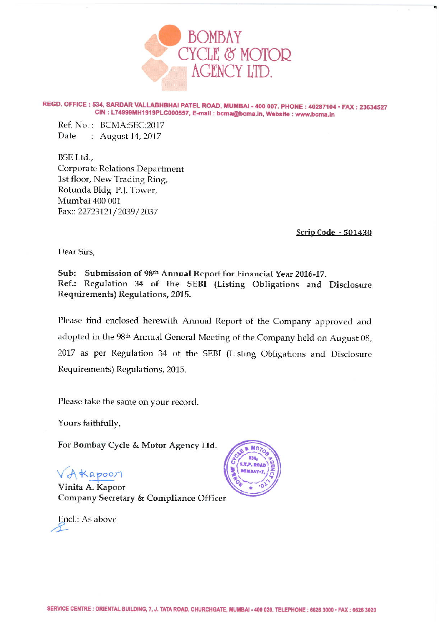

REGD. OFFICE: 534, SARDAR VALLABHBHAI PATEL ROAD, MUMBAI - 400 007. PHONE: 40287104 · FAX: 23634527 CIN: L74999MH1919PLC000557, E-mail: bcma@bcma.in, Website: www.bcma.in

Ref. No.: BCMA:SEC:2017 Date : August 14, 2017

BSE Ltd., **Corporate Relations Department** 1st floor, New Trading Ring, Rotunda Bldg P.J. Tower, Mumbai 400 001 Fax:: 22723121/2039/2037

Scrip Code - 501430

Dear Sirs,

Sub: Submission of 98th Annual Report for Financial Year 2016-17. Ref.: Regulation 34 of the SEBI (Listing Obligations and Disclosure Requirements) Regulations, 2015.

Please find enclosed herewith Annual Report of the Company approved and adopted in the 98th Annual General Meeting of the Company held on August 08, 2017 as per Regulation 34 of the SEBI (Listing Obligations and Disclosure Requirements) Regulations, 2015.

Please take the same on your record.

Yours faithfully,

For Bombay Cycle & Motor Agency Ltd.

VAKapoor

Vinita A. Kapoor Company Secretary & Compliance Officer

Encl.: As above

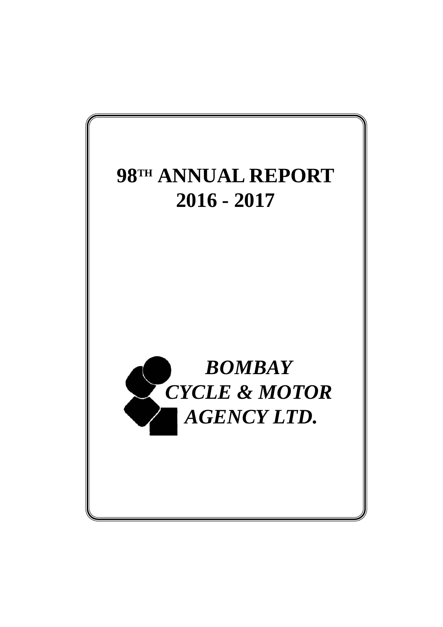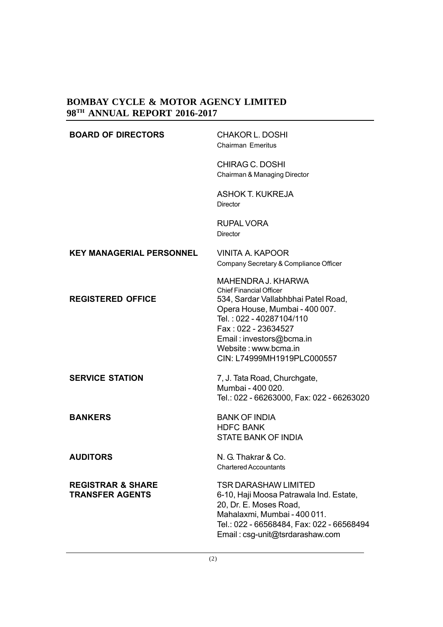| <b>BOARD OF DIRECTORS</b>                              | <b>CHAKOR L. DOSHI</b><br><b>Chairman Emeritus</b>                                                                                                                                                                                                                 |
|--------------------------------------------------------|--------------------------------------------------------------------------------------------------------------------------------------------------------------------------------------------------------------------------------------------------------------------|
|                                                        | CHIRAG C. DOSHI<br>Chairman & Managing Director                                                                                                                                                                                                                    |
|                                                        | <b>ASHOK T. KUKREJA</b><br><b>Director</b>                                                                                                                                                                                                                         |
|                                                        | <b>RUPAL VORA</b><br><b>Director</b>                                                                                                                                                                                                                               |
| <b>KEY MANAGERIAL PERSONNEL</b>                        | <b>VINITA A. KAPOOR</b><br>Company Secretary & Compliance Officer                                                                                                                                                                                                  |
| <b>REGISTERED OFFICE</b>                               | MAHENDRA J. KHARWA<br><b>Chief Financial Officer</b><br>534, Sardar Vallabhbhai Patel Road,<br>Opera House, Mumbai - 400 007.<br>Tel.: 022 - 40287104/110<br>Fax: 022 - 23634527<br>Email: investors@bcma.in<br>Website: www.bcma.in<br>CIN: L74999MH1919PLC000557 |
| <b>SERVICE STATION</b>                                 | 7, J. Tata Road, Churchgate,<br>Mumbai - 400 020.<br>Tel.: 022 - 66263000, Fax: 022 - 66263020                                                                                                                                                                     |
| <b>BANKERS</b>                                         | <b>BANK OF INDIA</b><br><b>HDFC BANK</b><br><b>STATE BANK OF INDIA</b>                                                                                                                                                                                             |
| <b>AUDITORS</b>                                        | N. G. Thakrar & Co.<br><b>Chartered Accountants</b>                                                                                                                                                                                                                |
| <b>REGISTRAR &amp; SHARE</b><br><b>TRANSFER AGENTS</b> | <b>TSR DARASHAW LIMITED</b><br>6-10, Haji Moosa Patrawala Ind. Estate,<br>20, Dr. E. Moses Road,<br>Mahalaxmi, Mumbai - 400 011.<br>Tel.: 022 - 66568484, Fax: 022 - 66568494<br>Email: csg-unit@tsrdarashaw.com                                                   |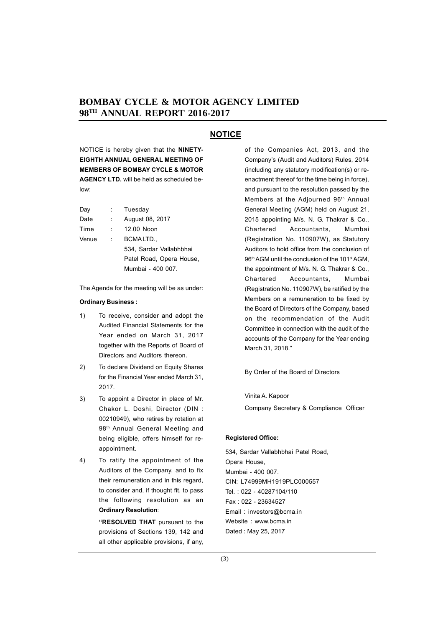# **NOTICE**

NOTICE is hereby given that the **NINETY-EIGHTH ANNUAL GENERAL MEETING OF MEMBERS OF BOMBAY CYCLE & MOTOR AGENCY LTD.** will be held as scheduled below:

| Day   | t i  | Tuesday                  |
|-------|------|--------------------------|
| Date  |      | August 08, 2017          |
| Time  | t in | 12.00 Noon               |
| Venue | t.   | BCMALTD.,                |
|       |      | 534, Sardar Vallabhbhai  |
|       |      | Patel Road, Opera House, |
|       |      | Mumbai - 400 007.        |

The Agenda for the meeting will be as under:

#### **Ordinary Business :**

- 1) To receive, consider and adopt the Audited Financial Statements for the Year ended on March 31, 2017 together with the Reports of Board of Directors and Auditors thereon.
- 2) To declare Dividend on Equity Shares for the Financial Year ended March 31, 2017.
- 3) To appoint a Director in place of Mr. Chakor L. Doshi, Director (DIN : 00210949), who retires by rotation at 98<sup>th</sup> Annual General Meeting and being eligible, offers himself for reappointment.
- 4) To ratify the appointment of the Auditors of the Company, and to fix their remuneration and in this regard, to consider and, if thought fit, to pass the following resolution as an **Ordinary Resolution**:

**"RESOLVED THAT** pursuant to the provisions of Sections 139, 142 and all other applicable provisions, if any,

of the Companies Act, 2013, and the Company's (Audit and Auditors) Rules, 2014 (including any statutory modification(s) or reenactment thereof for the time being in force), and pursuant to the resolution passed by the Members at the Adjourned 96<sup>th</sup> Annual General Meeting (AGM) held on August 21, 2015 appointing M/s. N. G. Thakrar & Co., Chartered Accountants, Mumbai (Registration No. 110907W), as Statutory Auditors to hold office from the conclusion of 96<sup>th</sup> AGM until the conclusion of the 101<sup>st</sup> AGM, the appointment of M/s. N. G. Thakrar & Co., Chartered Accountants, Mumbai (Registration No. 110907W), be ratified by the Members on a remuneration to be fixed by the Board of Directors of the Company, based on the recommendation of the Audit Committee in connection with the audit of the accounts of the Company for the Year ending March 31, 2018."

By Order of the Board of Directors

Vinita A. Kapoor Company Secretary & Compliance Officer

#### **Registered Office:**

534, Sardar Vallabhbhai Patel Road, Opera House, Mumbai - 400 007. CIN: L74999MH1919PLC000557 Tel. : 022 - 40287104/110 Fax : 022 - 23634527 Email : investors@bcma.in Website : www.bcma.in Dated : May 25, 2017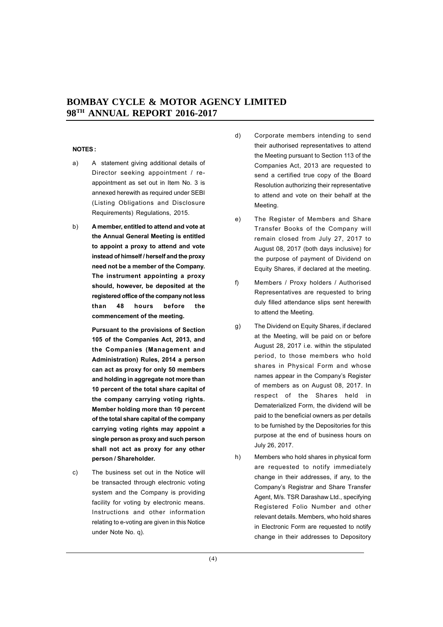#### **NOTES :**

- a) A statement giving additional details of Director seeking appointment / reappointment as set out in Item No. 3 is annexed herewith as required under SEBI (Listing Obligations and Disclosure Requirements) Regulations, 2015.
- b) **A member, entitled to attend and vote at the Annual General Meeting is entitled to appoint a proxy to attend and vote instead of himself / herself and the proxy need not be a member of the Company. The instrument appointing a proxy should, however, be deposited at the registered office of the company not less than 48 hours before the commencement of the meeting.**

**Pursuant to the provisions of Section 105 of the Companies Act, 2013, and the Companies (Management and Administration) Rules, 2014 a person can act as proxy for only 50 members and holding in aggregate not more than 10 percent of the total share capital of the company carrying voting rights. Member holding more than 10 percent of the total share capital of the company carrying voting rights may appoint a single person as proxy and such person shall not act as proxy for any other person / Shareholder.**

c) The business set out in the Notice will be transacted through electronic voting system and the Company is providing facility for voting by electronic means. Instructions and other information relating to e-voting are given in this Notice under Note No. q).

- d) Corporate members intending to send their authorised representatives to attend the Meeting pursuant to Section 113 of the Companies Act, 2013 are requested to send a certified true copy of the Board Resolution authorizing their representative to attend and vote on their behalf at the Meeting.
- e) The Register of Members and Share Transfer Books of the Company will remain closed from July 27, 2017 to August 08, 2017 (both days inclusive) for the purpose of payment of Dividend on Equity Shares, if declared at the meeting.
- f) Members / Proxy holders / Authorised Representatives are requested to bring duly filled attendance slips sent herewith to attend the Meeting.
- g) The Dividend on Equity Shares, if declared at the Meeting, will be paid on or before August 28, 2017 i.e. within the stipulated period, to those members who hold shares in Physical Form and whose names appear in the Company's Register of members as on August 08, 2017. In respect of the Shares held in Dematerialized Form, the dividend will be paid to the beneficial owners as per details to be furnished by the Depositories for this purpose at the end of business hours on July 26, 2017.
- h) Members who hold shares in physical form are requested to notify immediately change in their addresses, if any, to the Company's Registrar and Share Transfer Agent, M/s. TSR Darashaw Ltd., specifying Registered Folio Number and other relevant details. Members, who hold shares in Electronic Form are requested to notify change in their addresses to Depository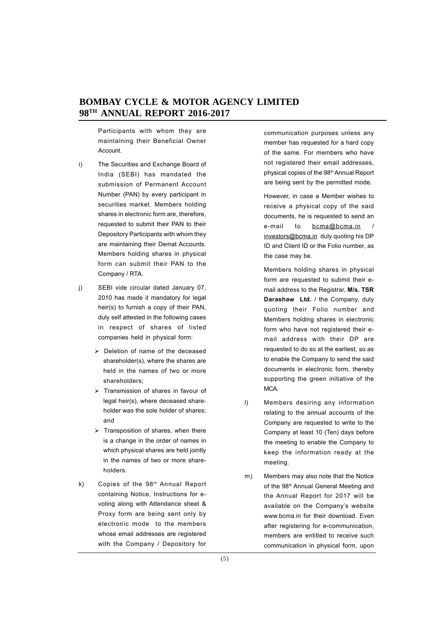Participants with whom they are maintaining their Beneficial Owner **Account** 

- i) The Securities and Exchange Board of India (SEBI) has mandated the submission of Permanent Account Number (PAN) by every participant in securities market. Members holding shares in electronic form are, therefore, requested to submit their PAN to their Depository Participants with whom they are maintaining their Demat Accounts. Members holding shares in physical form can submit their PAN to the Company / RTA.
- j) SEBI vide circular dated January 07, 2010 has made it mandatory for legal heir(s) to furnish a copy of their PAN, duly self attested in the following cases in respect of shares of listed companies held in physical form:
	- $\triangleright$  Deletion of name of the deceased shareholder(s), where the shares are held in the names of two or more shareholders;
	- $\triangleright$  Transmission of shares in favour of legal heir(s), where deceased shareholder was the sole holder of shares; and
	- $\triangleright$  Transposition of shares, when there is a change in the order of names in which physical shares are held jointly in the names of two or more shareholders.
- k) Copies of the 98<sup>th</sup> Annual Report containing Notice, Instructions for evoting along with Attendance sheet & Proxy form are being sent only by electronic mode to the members whose email addresses are registered with the Company / Depository for

communication purposes unless any member has requested for a hard copy of the same. For members who have not registered their email addresses, physical copies of the 98th Annual Report are being sent by the permitted mode.

However, in case a Member wishes to receive a physical copy of the said documents, he is requested to send an e-mail to bcma@bcma.in investors@bcma.in duly quoting his DP ID and Client ID or the Folio number, as the case may be.

Members holding shares in physical form are requested to submit their email address to the Registrar, **M/s. TSR Darashaw Ltd.** / the Company, duly quoting their Folio number and Members holding shares in electronic form who have not registered their email address with their DP are requested to do so at the earliest, so as to enable the Company to send the said documents in electronic form, thereby supporting the green initiative of the MCA.

- l) Members desiring any information relating to the annual accounts of the Company are requested to write to the Company at least 10 (Ten) days before the meeting to enable the Company to keep the information ready at the meeting.
- m) Members may also note that the Notice of the 98<sup>th</sup> Annual General Meeting and the Annual Report for 2017 will be available on the Company's website www.bcma.in for their download. Even after registering for e-communication, members are entitled to receive such communication in physical form, upon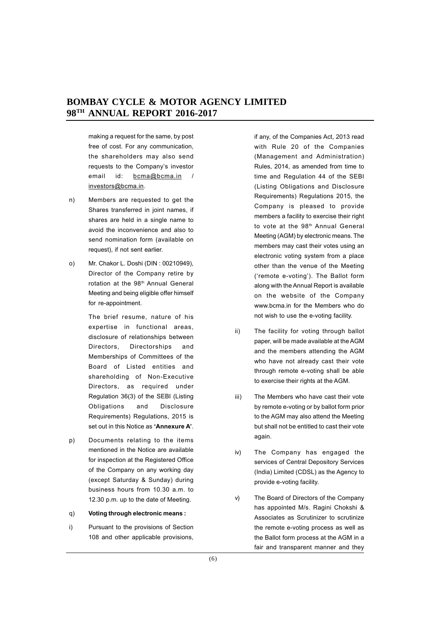making a request for the same, by post free of cost. For any communication, the shareholders may also send requests to the Company's investor email id: bcma@bcma.in / investors@bcma.in.

- n) Members are requested to get the Shares transferred in joint names, if shares are held in a single name to avoid the inconvenience and also to send nomination form (available on request), if not sent earlier.
- o) Mr. Chakor L. Doshi (DIN : 00210949), Director of the Company retire by rotation at the 98<sup>th</sup> Annual General Meeting and being eligible offer himself for re-appointment.

The brief resume, nature of his expertise in functional areas, disclosure of relationships between Directors, Directorships and Memberships of Committees of the Board of Listed entities and shareholding of Non-Executive Directors, as required under Regulation 36(3) of the SEBI (Listing Obligations and Disclosure Requirements) Regulations, 2015 is set out in this Notice as **'Annexure A'**.

- p) Documents relating to the items mentioned in the Notice are available for inspection at the Registered Office of the Company on any working day (except Saturday & Sunday) during business hours from 10.30 a.m. to 12.30 p.m. up to the date of Meeting.
- q) **Voting through electronic means :**
- i) Pursuant to the provisions of Section 108 and other applicable provisions,

if any, of the Companies Act, 2013 read with Rule 20 of the Companies (Management and Administration) Rules, 2014, as amended from time to time and Regulation 44 of the SEBI (Listing Obligations and Disclosure Requirements) Regulations 2015, the Company is pleased to provide members a facility to exercise their right to vote at the 98<sup>th</sup> Annual General Meeting (AGM) by electronic means. The members may cast their votes using an electronic voting system from a place other than the venue of the Meeting ('remote e-voting'). The Ballot form along with the Annual Report is available on the website of the Company www.bcma.in for the Members who do not wish to use the e-voting facility.

- ii) The facility for voting through ballot paper, will be made available at the AGM and the members attending the AGM who have not already cast their vote through remote e-voting shall be able to exercise their rights at the AGM.
- iii) The Members who have cast their vote by remote e-voting or by ballot form prior to the AGM may also attend the Meeting but shall not be entitled to cast their vote again.
- iv) The Company has engaged the services of Central Depository Services (India) Limited (CDSL) as the Agency to provide e-voting facility.
- v) The Board of Directors of the Company has appointed M/s. Ragini Chokshi & Associates as Scrutinizer to scrutinize the remote e-voting process as well as the Ballot form process at the AGM in a fair and transparent manner and they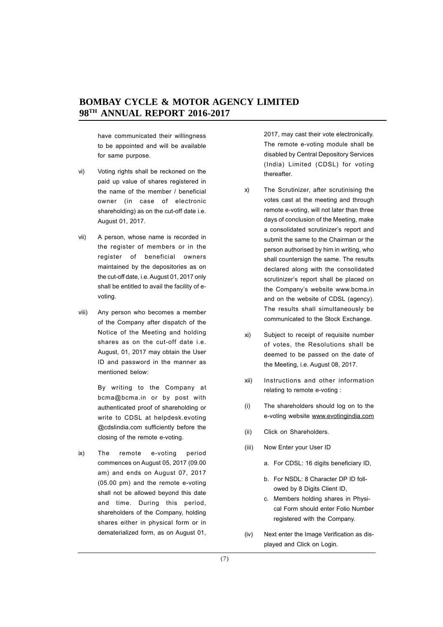have communicated their willingness to be appointed and will be available for same purpose.

- vi) Voting rights shall be reckoned on the paid up value of shares registered in the name of the member / beneficial owner (in case of electronic shareholding) as on the cut-off date i.e. August 01, 2017.
- vii) A person, whose name is recorded in the register of members or in the register of beneficial owners maintained by the depositories as on the cut-off date, i.e. August 01, 2017 only shall be entitled to avail the facility of evoting.
- viii) Any person who becomes a member of the Company after dispatch of the Notice of the Meeting and holding shares as on the cut-off date i.e. August, 01, 2017 may obtain the User ID and password in the manner as mentioned below:

By writing to the Company at bcma@bcma.in or by post with authenticated proof of shareholding or write to CDSL at helpdesk.evoting @cdslindia.com sufficiently before the closing of the remote e-voting.

ix) The remote e-voting period commences on August 05, 2017 (09.00 am) and ends on August 07, 2017 (05.00 pm) and the remote e-voting shall not be allowed beyond this date and time. During this period, shareholders of the Company, holding shares either in physical form or in dematerialized form, as on August 01, 2017, may cast their vote electronically. The remote e-voting module shall be disabled by Central Depository Services (India) Limited (CDSL) for voting thereafter.

- x) The Scrutinizer, after scrutinising the votes cast at the meeting and through remote e-voting, will not later than three days of conclusion of the Meeting, make a consolidated scrutinizer's report and submit the same to the Chairman or the person authorised by him in writing, who shall countersign the same. The results declared along with the consolidated scrutinizer's report shall be placed on the Company's website www.bcma.in and on the website of CDSL (agency). The results shall simultaneously be communicated to the Stock Exchange.
- xi) Subject to receipt of requisite number of votes, the Resolutions shall be deemed to be passed on the date of the Meeting, i.e. August 08, 2017.
- xii) Instructions and other information relating to remote e-voting :
- (i) The shareholders should log on to the e-voting website www.evotingindia.com
- (ii) Click on Shareholders.
- (iii) Now Enter your User ID
	- a. For CDSL: 16 digits beneficiary ID,
	- b. For NSDL: 8 Character DP ID followed by 8 Digits Client ID,
	- c. Members holding shares in Physical Form should enter Folio Number registered with the Company.
- (iv) Next enter the Image Verification as displayed and Click on Login.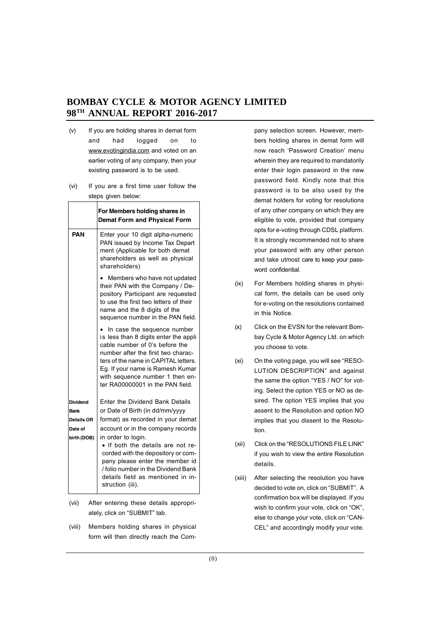- (v) If you are holding shares in demat form and had logged on to www.evotingindia.com and voted on an earlier voting of any company, then your existing password is to be used.
- (vi) If you are a first time user follow the steps given below:

|                 | For Members holding shares in<br><b>Demat Form and Physical Form</b>                                                                                                                                                                                                                            |
|-----------------|-------------------------------------------------------------------------------------------------------------------------------------------------------------------------------------------------------------------------------------------------------------------------------------------------|
| PAN             | Enter your 10 digit alpha-numeric<br>PAN issued by Income Tax Depart<br>ment (Applicable for both demat<br>shareholders as well as physical<br>shareholders)                                                                                                                                    |
|                 | Members who have not updated<br>their PAN with the Company / De-<br>pository Participant are requested<br>to use the first two letters of their<br>name and the 8 digits of the<br>sequence number in the PAN field.                                                                            |
|                 | In case the sequence number<br>is less than 8 digits enter the appli<br>cable number of 0's before the<br>number after the first two charac-<br>ters of the name in CAPITAL letters.<br>Eq. If your name is Ramesh Kumar<br>with sequence number 1 then en-<br>ter RA00000001 in the PAN field. |
| <b>Dividend</b> | Enter the Dividend Bank Details                                                                                                                                                                                                                                                                 |
| Bank            | or Date of Birth (in dd/mm/yyyy                                                                                                                                                                                                                                                                 |
| Details OR      | format) as recorded in your demat                                                                                                                                                                                                                                                               |
| Date of         | account or in the company records                                                                                                                                                                                                                                                               |
| birth (DOB)     | in order to login.<br>• If both the details are not re-<br>corded with the depository or com-<br>pany please enter the member id<br>/ folio number in the Dividend Bank<br>details field as mentioned in in-<br>struction (iii).                                                                |

- (vii) After entering these details appropriately, click on "SUBMIT" tab.
- (viii) Members holding shares in physical form will then directly reach the Com-

pany selection screen. However, members holding shares in demat form will now reach 'Password Creation' menu wherein they are required to mandatorily enter their login password in the new password field. Kindly note that this password is to be also used by the demat holders for voting for resolutions of any other company on which they are eligible to vote, provided that company opts for e-voting through CDSL platform. It is strongly recommended not to share your password with any other person and take utmost care to keep your password confidential.

- (ix) For Members holding shares in physical form, the details can be used only for e-voting on the resolutions contained in this Notice.
- (x) Click on the EVSN for the relevant Bombay Cycle & Motor Agency Ltd. on which you choose to vote.
- (xi) On the voting page, you will see "RESO-LUTION DESCRIPTION" and against the same the option "YES / NO" for voting. Select the option YES or NO as desired. The option YES implies that you assent to the Resolution and option NO implies that you dissent to the Resolution.
- (xii) Click on the "RESOLUTIONS FILE LINK" if you wish to view the entire Resolution details.
- (xiii) After selecting the resolution you have decided to vote on, click on "SUBMIT". A confirmation box will be displayed. If you wish to confirm your vote, click on "OK", else to change your vote, click on "CAN-CEL" and accordingly modify your vote.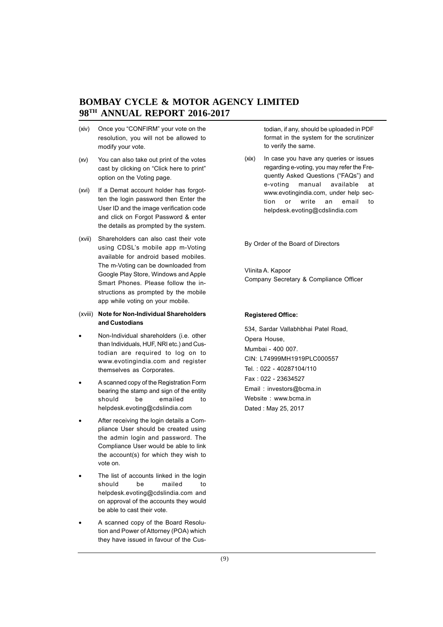- (xiv) Once you "CONFIRM" your vote on the resolution, you will not be allowed to modify your vote.
- (xv) You can also take out print of the votes cast by clicking on "Click here to print" option on the Voting page.
- (xvi) If a Demat account holder has forgotten the login password then Enter the User ID and the image verification code and click on Forgot Password & enter the details as prompted by the system.
- (xvii) Shareholders can also cast their vote using CDSL's mobile app m-Voting available for android based mobiles. The m-Voting can be downloaded from Google Play Store, Windows and Apple Smart Phones. Please follow the instructions as prompted by the mobile app while voting on your mobile.

## (xviii) **Note for Non-Individual Shareholders and Custodians**

- Non-Individual shareholders (i.e. other than Individuals, HUF, NRI etc.) and Custodian are required to log on to www.evotingindia.com and register themselves as Corporates.
- A scanned copy of the Registration Form bearing the stamp and sign of the entity should be emailed to helpdesk.evoting@cdslindia.com
- After receiving the login details a Compliance User should be created using the admin login and password. The Compliance User would be able to link the account(s) for which they wish to vote on.
- The list of accounts linked in the login should be mailed to helpdesk.evoting@cdslindia.com and on approval of the accounts they would be able to cast their vote.
- A scanned copy of the Board Resolution and Power of Attorney (POA) which they have issued in favour of the Cus-

todian, if any, should be uploaded in PDF format in the system for the scrutinizer to verify the same.

(xix) In case you have any queries or issues regarding e-voting, you may refer the Frequently Asked Questions ("FAQs") and e-voting manual available at www.evotingindia.com, under help section or write an email to helpdesk.evoting@cdslindia.com

By Order of the Board of Directors

VIinita A. Kapoor Company Secretary & Compliance Officer

#### **Registered Office:**

534, Sardar Vallabhbhai Patel Road, Opera House, Mumbai - 400 007. CIN: L74999MH1919PLC000557 Tel. : 022 - 40287104/110 Fax : 022 - 23634527 Email : investors@bcma.in Website : www.bcma.in Dated : May 25, 2017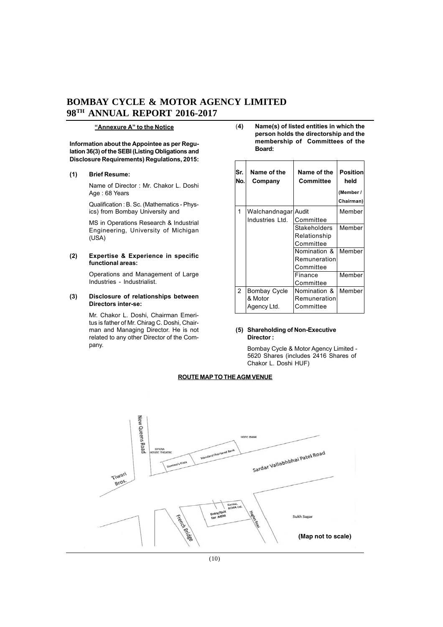#### **"Annexure A" to the Notice**

**Information about the Appointee as per Regulation 36(3) of the SEBI (Listing Obligations and Disclosure Requirements) Regulations, 2015:**

#### **(1) Brief Resume:**

Name of Director : Mr. Chakor L. Doshi Age : 68 Years

Qualification : B. Sc. (Mathematics - Physics) from Bombay University and

MS in Operations Research & Industrial Engineering, University of Michigan (USA)

#### **(2) Expertise & Experience in specific functional areas:**

Operations and Management of Large Industries - Industrialist.

#### **(3) Disclosure of relationships between Directors inter-se:**

Mr. Chakor L. Doshi, Chairman Emeritus is father of Mr. Chirag C. Doshi, Chairman and Managing Director. He is not related to any other Director of the Company.

(**4) Name(s) of listed entities in which the person holds the directorship and the membership of Committees of the Board:**

| Sr.<br>No. | Name of the<br>Company | Name of the<br>Committee | <b>Position</b><br>held<br>(Member /<br>Chairman) |
|------------|------------------------|--------------------------|---------------------------------------------------|
| 1          | Walchandnagar Audit    |                          | Member                                            |
|            | Industries Ltd.        | Committee                |                                                   |
|            |                        | Stakeholders             | Member                                            |
|            |                        | Relationship             |                                                   |
|            |                        | Committee                |                                                   |
|            |                        | Nomination &             | Member                                            |
|            |                        | Remuneration             |                                                   |
|            |                        | Committee                |                                                   |
|            |                        | Finance                  | Member                                            |
|            |                        | Committee                |                                                   |
| 2          | Bombay Cycle           | Nomination &             | Member                                            |
|            | & Motor                | Remuneration             |                                                   |
|            | Agency Ltd.            | Committee                |                                                   |

#### **(5) Shareholding of Non-Executive Director :**

Bombay Cycle & Motor Agency Limited - 5620 Shares (includes 2416 Shares of Chakor L. Doshi HUF)

#### **ROUTE MAP TO THE AGM VENUE**

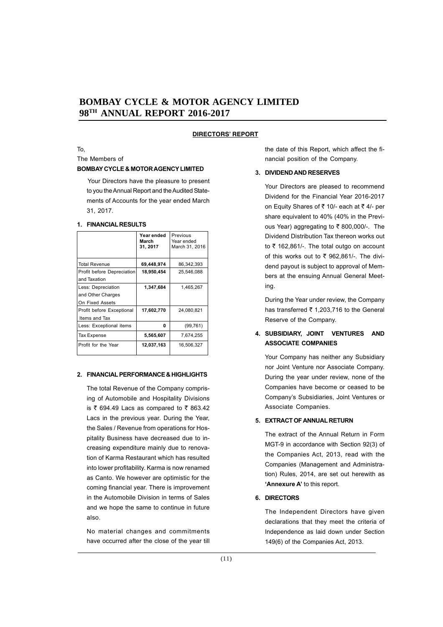#### **DIRECTORS' REPORT**

To,

The Members of

#### **BOMBAY CYCLE & MOTOR AGENCY LIMITED**

Your Directors have the pleasure to present to you the Annual Report and the Audited Statements of Accounts for the year ended March 31, 2017.

#### **1. FINANCIAL RESULTS**

|                                                            | Year ended<br>March<br>31, 2017 | Previous<br>Year ended<br>March 31, 2016 |
|------------------------------------------------------------|---------------------------------|------------------------------------------|
| <b>Total Revenue</b>                                       | 69,448,974                      | 86,342,393                               |
| Profit before Depreciation<br>and Taxation                 | 18,950,454                      | 25,546,088                               |
| Less: Depreciation<br>and Other Charges<br>On Fixed Assets | 1,347,684                       | 1,465,267                                |
| Profit before Exceptional<br>Items and Tax                 | 17,602,770                      | 24,080,821                               |
| Less: Exceptional items                                    | 0                               | (99, 761)                                |
| Tax Expense                                                | 5,565,607                       | 7,674,255                                |
| Profit for the Year                                        | 12,037,163                      | 16,506,327                               |

#### **2. FINANCIAL PERFORMANCE & HIGHLIGHTS**

The total Revenue of the Company comprising of Automobile and Hospitality Divisions is  $\bar{\tau}$  694.49 Lacs as compared to  $\bar{\tau}$  863.42 Lacs in the previous year. During the Year, the Sales / Revenue from operations for Hospitality Business have decreased due to increasing expenditure mainly due to renovation of Karma Restaurant which has resulted into lower profitability. Karma is now renamed as Canto. We however are optimistic for the coming financial year. There is improvement in the Automobile Division in terms of Sales and we hope the same to continue in future also.

No material changes and commitments have occurred after the close of the year till the date of this Report, which affect the financial position of the Company.

#### **3. DIVIDEND AND RESERVES**

Your Directors are pleased to recommend Dividend for the Financial Year 2016-2017 on Equity Shares of ₹ 10/- each at ₹ 4/- per share equivalent to 40% (40% in the Previous Year) aggregating to  $₹$  800,000/-. The Dividend Distribution Tax thereon works out to  $\bar{\tau}$  162,861/-. The total outgo on account of this works out to  $\bar{\tau}$  962,861/-. The dividend payout is subject to approval of Members at the ensuing Annual General Meeting.

During the Year under review, the Company has transferred  $\bar{\tau}$  1,203,716 to the General Reserve of the Company.

## **4. SUBSIDIARY, JOINT VENTURES AND ASSOCIATE COMPANIES**

Your Company has neither any Subsidiary nor Joint Venture nor Associate Company. During the year under review, none of the Companies have become or ceased to be Company's Subsidiaries, Joint Ventures or Associate Companies.

## **5. EXTRACT OF ANNUAL RETURN**

The extract of the Annual Return in Form MGT-9 in accordance with Section 92(3) of the Companies Act, 2013, read with the Companies (Management and Administration) Rules, 2014, are set out herewith as **'Annexure A'** to this report.

#### **6. DIRECTORS**

The Independent Directors have given declarations that they meet the criteria of Independence as laid down under Section 149(6) of the Companies Act, 2013.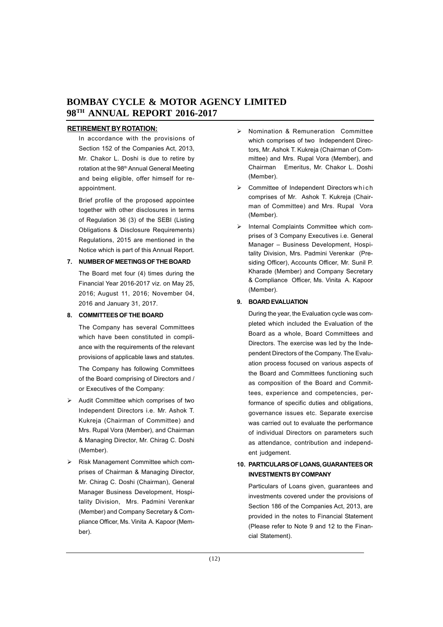## **RETIREMENT BY ROTATION:**

In accordance with the provisions of Section 152 of the Companies Act, 2013, Mr. Chakor L. Doshi is due to retire by rotation at the 98<sup>th</sup> Annual General Meeting and being eligible, offer himself for reappointment.

Brief profile of the proposed appointee together with other disclosures in terms of Regulation 36 (3) of the SEBI (Listing Obligations & Disclosure Requirements) Regulations, 2015 are mentioned in the Notice which is part of this Annual Report.

## **7. NUMBER OF MEETINGS OF THE BOARD**

The Board met four (4) times during the Financial Year 2016-2017 viz. on May 25, 2016; August 11, 2016; November 04, 2016 and January 31, 2017.

## **8. COMMITTEES OF THE BOARD**

The Company has several Committees which have been constituted in compliance with the requirements of the relevant provisions of applicable laws and statutes.

The Company has following Committees of the Board comprising of Directors and / or Executives of the Company:

- $\triangleright$  Audit Committee which comprises of two Independent Directors i.e. Mr. Ashok T. Kukreja (Chairman of Committee) and Mrs. Rupal Vora (Member), and Chairman & Managing Director, Mr. Chirag C. Doshi (Member).
- Risk Management Committee which comprises of Chairman & Managing Director, Mr. Chirag C. Doshi (Chairman), General Manager Business Development, Hospitality Division, Mrs. Padmini Verenkar (Member) and Company Secretary & Compliance Officer, Ms. Vinita A. Kapoor (Member).
- $\triangleright$  Nomination & Remuneration Committee which comprises of two Independent Directors, Mr. Ashok T. Kukreja (Chairman of Committee) and Mrs. Rupal Vora (Member), and Chairman Emeritus, Mr. Chakor L. Doshi (Member).
- $\triangleright$  Committee of Independent Directors which comprises of Mr. Ashok T. Kukreja (Chairman of Committee) and Mrs. Rupal Vora (Member).
- > Internal Complaints Committee which comprises of 3 Company Executives i.e. General Manager – Business Development, Hospitality Division, Mrs. Padmini Verenkar (Presiding Officer), Accounts Officer, Mr. Sunil P. Kharade (Member) and Company Secretary & Compliance Officer, Ms. Vinita A. Kapoor (Member).

## **9. BOARD EVALUATION**

During the year, the Evaluation cycle was completed which included the Evaluation of the Board as a whole, Board Committees and Directors. The exercise was led by the Independent Directors of the Company. The Evaluation process focused on various aspects of the Board and Committees functioning such as composition of the Board and Committees, experience and competencies, performance of specific duties and obligations, governance issues etc. Separate exercise was carried out to evaluate the performance of individual Directors on parameters such as attendance, contribution and independent judgement.

## **10. PARTICULARS OF LOANS, GUARANTEES OR INVESTMENTS BY COMPANY**

Particulars of Loans given, guarantees and investments covered under the provisions of Section 186 of the Companies Act, 2013, are provided in the notes to Financial Statement (Please refer to Note 9 and 12 to the Financial Statement).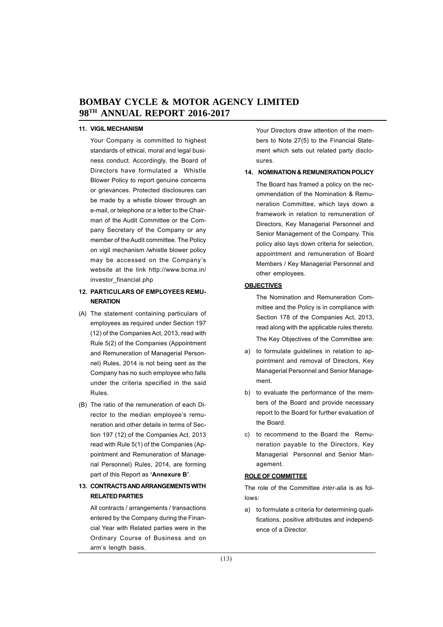#### **11. VIGIL MECHANISM**

Your Company is committed to highest standards of ethical, moral and legal business conduct. Accordingly, the Board of Directors have formulated a Whistle Blower Policy to report genuine concerns or grievances. Protected disclosures can be made by a whistle blower through an e-mail, or telephone or a letter to the Chairman of the Audit Committee or the Company Secretary of the Company or any member of the Audit committee. The Policy on vigil mechanism /whistle blower policy may be accessed on the Company's website at the link http://www.bcma.in/ investor\_financial.php

## **12. PARTICULARS OF EMPLOYEES REMU-NERATION**

- (A) The statement containing particulars of employees as required under Section 197 (12) of the Companies Act, 2013, read with Rule 5(2) of the Companies (Appointment and Remuneration of Managerial Personnel) Rules, 2014 is not being sent as the Company has no such employee who falls under the criteria specified in the said Rules.
- (B) The ratio of the remuneration of each Director to the median employee's remuneration and other details in terms of Section 197 (12) of the Companies Act, 2013 read with Rule 5(1) of the Companies (Appointment and Remuneration of Managerial Personnel) Rules, 2014, are forming part of this Report as **'Annexure B'**.

## **13. CONTRACTS AND ARRANGEMENTS WITH RELATED PARTIES**

All contracts / arrangements / transactions entered by the Company during the Financial Year with Related parties were in the Ordinary Course of Business and on arm's length basis.

Your Directors draw attention of the members to Note 27(5) to the Financial Statement which sets out related party disclosures.

#### **14. NOMINATION & REMUNERATION POLICY**

The Board has framed a policy on the recommendation of the Nomination & Remuneration Committee, which lays down a framework in relation to remuneration of Directors, Key Managerial Personnel and Senior Management of the Company. This policy also lays down criteria for selection, appointment and remuneration of Board Members / Key Managerial Personnel and other employees.

#### **OBJECTIVES**

The Nomination and Remuneration Committee and the Policy is in compliance with Section 178 of the Companies Act, 2013, read along with the applicable rules thereto.

The Key Objectives of the Committee are:

- a) to formulate guidelines in relation to appointment and removal of Directors, Key Managerial Personnel and Senior Management.
- b) to evaluate the performance of the members of the Board and provide necessary report to the Board for further evaluation of the Board.
- c) to recommend to the Board the Remuneration payable to the Directors, Key Managerial Personnel and Senior Management.

#### **ROLE OF COMMITTEE**

The role of the Committee *inter-alia* is as follows:

a) to formulate a criteria for determining qualifications, positive attributes and independence of a Director.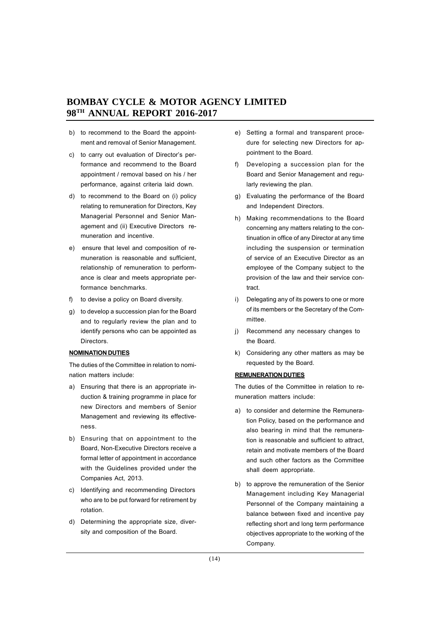- b) to recommend to the Board the appointment and removal of Senior Management.
- c) to carry out evaluation of Director's performance and recommend to the Board appointment / removal based on his / her performance, against criteria laid down.
- d) to recommend to the Board on (i) policy relating to remuneration for Directors, Key Managerial Personnel and Senior Management and (ii) Executive Directors remuneration and incentive.
- e) ensure that level and composition of remuneration is reasonable and sufficient, relationship of remuneration to performance is clear and meets appropriate performance benchmarks.
- f) to devise a policy on Board diversity.
- g) to develop a succession plan for the Board and to regularly review the plan and to identify persons who can be appointed as Directors.

#### **NOMINATION DUTIES**

The duties of the Committee in relation to nomination matters include:

- a) Ensuring that there is an appropriate induction & training programme in place for new Directors and members of Senior Management and reviewing its effectiveness.
- b) Ensuring that on appointment to the Board, Non-Executive Directors receive a formal letter of appointment in accordance with the Guidelines provided under the Companies Act, 2013.
- c) Identifying and recommending Directors who are to be put forward for retirement by rotation.
- d) Determining the appropriate size, diversity and composition of the Board.
- e) Setting a formal and transparent procedure for selecting new Directors for appointment to the Board.
- f) Developing a succession plan for the Board and Senior Management and regularly reviewing the plan.
- g) Evaluating the performance of the Board and Independent Directors.
- h) Making recommendations to the Board concerning any matters relating to the continuation in office of any Director at any time including the suspension or termination of service of an Executive Director as an employee of the Company subject to the provision of the law and their service contract.
- i) Delegating any of its powers to one or more of its members or the Secretary of the Committee.
- j) Recommend any necessary changes to the Board.
- k) Considering any other matters as may be requested by the Board.

#### **REMUNERATION DUTIES**

The duties of the Committee in relation to remuneration matters include:

- a) to consider and determine the Remuneration Policy, based on the performance and also bearing in mind that the remuneration is reasonable and sufficient to attract, retain and motivate members of the Board and such other factors as the Committee shall deem appropriate.
- b) to approve the remuneration of the Senior Management including Key Managerial Personnel of the Company maintaining a balance between fixed and incentive pay reflecting short and long term performance objectives appropriate to the working of the Company.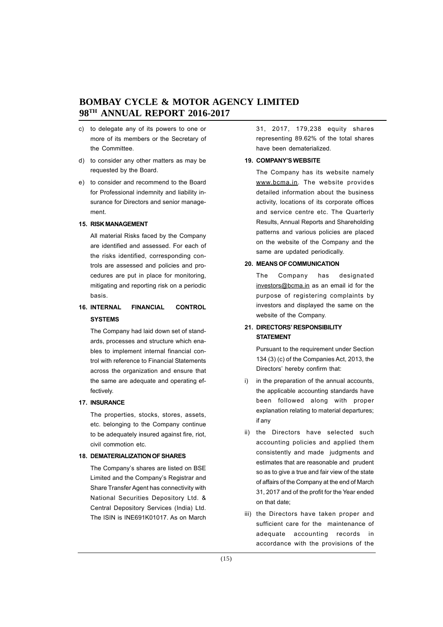- c) to delegate any of its powers to one or more of its members or the Secretary of the Committee.
- d) to consider any other matters as may be requested by the Board.
- e) to consider and recommend to the Board for Professional indemnity and liability insurance for Directors and senior management.

#### **15. RISK MANAGEMENT**

All material Risks faced by the Company are identified and assessed. For each of the risks identified, corresponding controls are assessed and policies and procedures are put in place for monitoring, mitigating and reporting risk on a periodic basis.

# **16. INTERNAL FINANCIAL CONTROL SYSTEMS**

The Company had laid down set of standards, processes and structure which enables to implement internal financial control with reference to Financial Statements across the organization and ensure that the same are adequate and operating effectively.

#### **17. INSURANCE**

The properties, stocks, stores, assets, etc. belonging to the Company continue to be adequately insured against fire, riot, civil commotion etc.

#### **18. DEMATERIALIZATION OF SHARES**

The Company's shares are listed on BSE Limited and the Company's Registrar and Share Transfer Agent has connectivity with National Securities Depository Ltd. & Central Depository Services (India) Ltd. The ISIN is INE691K01017. As on March 31, 2017, 179,238 equity shares representing 89.62% of the total shares have been dematerialized.

## **19. COMPANY'S WEBSITE**

The Company has its website namely www.bcma.in. The website provides detailed information about the business activity, locations of its corporate offices and service centre etc. The Quarterly Results, Annual Reports and Shareholding patterns and various policies are placed on the website of the Company and the same are updated periodically.

#### **20. MEANS OF COMMUNICATION**

The Company has designated investors@bcma.in as an email id for the purpose of registering complaints by investors and displayed the same on the website of the Company.

## **21. DIRECTORS' RESPONSIBILITY STATEMENT**

Pursuant to the requirement under Section 134 (3) (c) of the Companies Act, 2013, the Directors' hereby confirm that:

- i) in the preparation of the annual accounts, the applicable accounting standards have been followed along with proper explanation relating to material departures; if any
- ii) the Directors have selected such accounting policies and applied them consistently and made judgments and estimates that are reasonable and prudent so as to give a true and fair view of the state of affairs of the Company at the end of March 31, 2017 and of the profit for the Year ended on that date;
- iii) the Directors have taken proper and sufficient care for the maintenance of adequate accounting records in accordance with the provisions of the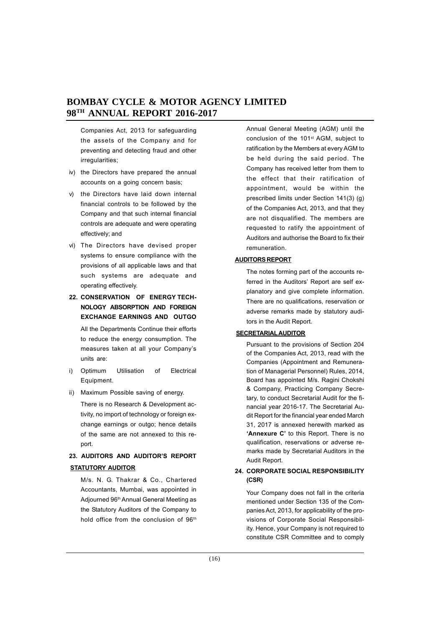Companies Act, 2013 for safeguarding the assets of the Company and for preventing and detecting fraud and other irregularities;

- iv) the Directors have prepared the annual accounts on a going concern basis;
- v) the Directors have laid down internal financial controls to be followed by the Company and that such internal financial controls are adequate and were operating effectively; and
- vi) The Directors have devised proper systems to ensure compliance with the provisions of all applicable laws and that such systems are adequate and operating effectively.
- **22. CONSERVATION OF ENERGY TECH-NOLOGY ABSORPTION AND FOREIGN EXCHANGE EARNINGS AND OUTGO**

All the Departments Continue their efforts to reduce the energy consumption. The measures taken at all your Company's units are:

- i) Optimum Utilisation of Electrical Equipment.
- ii) Maximum Possible saving of energy.

There is no Research & Development activity, no import of technology or foreign exchange earnings or outgo; hence details of the same are not annexed to this report.

# **23. AUDITORS AND AUDITOR'S REPORT STATUTORY AUDITOR**

M/s. N. G. Thakrar & Co., Chartered Accountants, Mumbai, was appointed in Adjourned 96th Annual General Meeting as the Statutory Auditors of the Company to hold office from the conclusion of 96<sup>th</sup>

Annual General Meeting (AGM) until the conclusion of the 101<sup>st</sup> AGM, subject to ratification by the Members at every AGM to be held during the said period. The Company has received letter from them to the effect that their ratification of appointment, would be within the prescribed limits under Section 141(3) (g) of the Companies Act, 2013, and that they are not disqualified. The members are requested to ratify the appointment of Auditors and authorise the Board to fix their remuneration.

## **AUDITORS REPORT**

The notes forming part of the accounts referred in the Auditors' Report are self explanatory and give complete information. There are no qualifications, reservation or adverse remarks made by statutory auditors in the Audit Report.

## **SECRETARIALAUDITOR**

Pursuant to the provisions of Section 204 of the Companies Act, 2013, read with the Companies (Appointment and Remuneration of Managerial Personnel) Rules, 2014, Board has appointed M/s. Ragini Chokshi & Company, Practicing Company Secretary, to conduct Secretarial Audit for the financial year 2016-17. The Secretarial Audit Report for the financial year ended March 31, 2017 is annexed herewith marked as **'Annexure C'** to this Report. There is no qualification, reservations or adverse remarks made by Secretarial Auditors in the Audit Report.

## **24. CORPORATE SOCIAL RESPONSIBILITY (CSR)**

Your Company does not fall in the criteria mentioned under Section 135 of the Companies Act, 2013, for applicability of the provisions of Corporate Social Responsibility. Hence, your Company is not required to constitute CSR Committee and to comply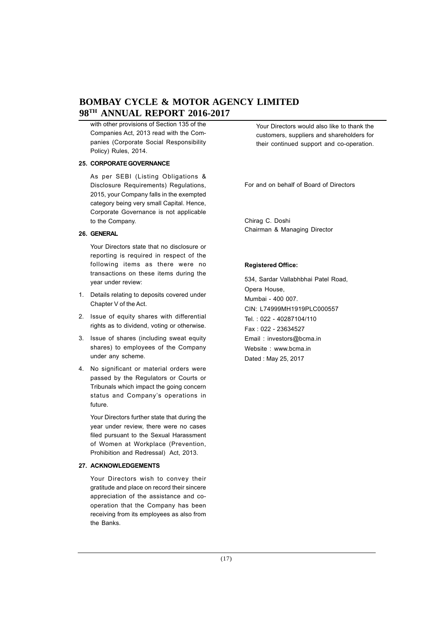with other provisions of Section 135 of the Companies Act, 2013 read with the Companies (Corporate Social Responsibility Policy) Rules, 2014.

#### **25. CORPORATE GOVERNANCE**

As per SEBI (Listing Obligations & Disclosure Requirements) Regulations, 2015, your Company falls in the exempted category being very small Capital. Hence, Corporate Governance is not applicable to the Company.

#### **26. GENERAL**

Your Directors state that no disclosure or reporting is required in respect of the following items as there were no transactions on these items during the year under review:

- 1. Details relating to deposits covered under Chapter V of the Act.
- 2. Issue of equity shares with differential rights as to dividend, voting or otherwise.
- 3. Issue of shares (including sweat equity shares) to employees of the Company under any scheme.
- 4. No significant or material orders were passed by the Regulators or Courts or Tribunals which impact the going concern status and Company's operations in future.

Your Directors further state that during the year under review, there were no cases filed pursuant to the Sexual Harassment of Women at Workplace (Prevention, Prohibition and Redressal) Act, 2013.

#### **27. ACKNOWLEDGEMENTS**

Your Directors wish to convey their gratitude and place on record their sincere appreciation of the assistance and cooperation that the Company has been receiving from its employees as also from the Banks.

Your Directors would also like to thank the customers, suppliers and shareholders for their continued support and co-operation.

For and on behalf of Board of Directors

Chirag C. Doshi Chairman & Managing Director

#### **Registered Office:**

534, Sardar Vallabhbhai Patel Road, Opera House, Mumbai - 400 007. CIN: L74999MH1919PLC000557 Tel. : 022 - 40287104/110 Fax : 022 - 23634527 Email : investors@bcma.in Website : www.bcma.in Dated : May 25, 2017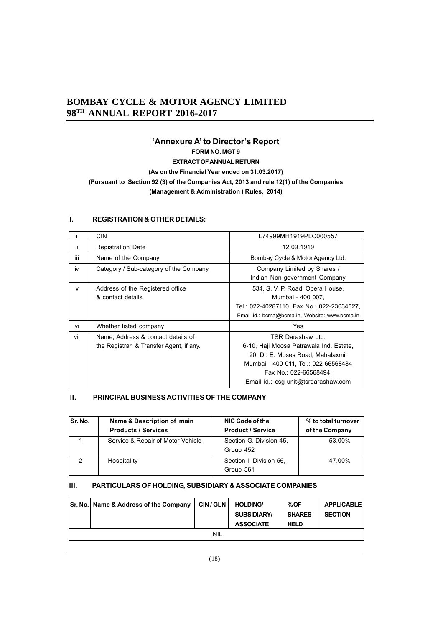# **'Annexure A' to Director's Report**

**FORM NO. MGT 9**

**EXTRACT OF ANNUAL RETURN**

**(As on the Financial Year ended on 31.03.2017)**

# **(Pursuant to Section 92 (3) of the Companies Act, 2013 and rule 12(1) of the Companies (Management & Administration ) Rules, 2014)**

## **I. REGISTRATION & OTHER DETAILS:**

|     | <b>CIN</b>                                                                    | L74999MH1919PLC000557                                                                                                                                                                                      |
|-----|-------------------------------------------------------------------------------|------------------------------------------------------------------------------------------------------------------------------------------------------------------------------------------------------------|
| ii. | <b>Registration Date</b>                                                      | 12.09.1919                                                                                                                                                                                                 |
| iii | Name of the Company                                                           | Bombay Cycle & Motor Agency Ltd.                                                                                                                                                                           |
| iv  | Category / Sub-category of the Company                                        | Company Limited by Shares /<br>Indian Non-government Company                                                                                                                                               |
| v   | Address of the Registered office<br>& contact details                         | 534, S. V. P. Road, Opera House,<br>Mumbai - 400 007.<br>Tel.: 022-40287110, Fax No.: 022-23634527,<br>Email id.: bcma@bcma.in, Website: www.bcma.in                                                       |
| vi  | Whether listed company                                                        | Yes                                                                                                                                                                                                        |
| vii | Name, Address & contact details of<br>the Registrar & Transfer Agent, if any. | TSR Darashaw Ltd.<br>6-10, Haji Moosa Patrawala Ind. Estate,<br>20, Dr. E. Moses Road, Mahalaxmi,<br>Mumbai - 400 011, Tel.: 022-66568484<br>Fax No.: 022-66568494,<br>Email id.: csg-unit@tsrdarashaw.com |

## **II. PRINCIPAL BUSINESS ACTIVITIES OF THE COMPANY**

| Sr. No. | Name & Description of main<br><b>Products / Services</b> | NIC Code of the<br><b>Product / Service</b> | % to total turnover<br>of the Company |
|---------|----------------------------------------------------------|---------------------------------------------|---------------------------------------|
|         | Service & Repair of Motor Vehicle                        | Section G. Division 45.<br>Group 452        | 53.00%                                |
| 2       | Hospitality                                              | Section I. Division 56.<br>Group 561        | 47.00%                                |

## **III. PARTICULARS OF HOLDING, SUBSIDIARY & ASSOCIATE COMPANIES**

| Sr. No.   Name & Address of the Company | <b>CIN/GLN</b> | <b>HOLDING/</b><br><b>SUBSIDIARY/</b><br><b>ASSOCIATE</b> | %OF<br><b>SHARES</b><br><b>HELD</b> | <b>APPLICABLE</b><br><b>SECTION</b> |
|-----------------------------------------|----------------|-----------------------------------------------------------|-------------------------------------|-------------------------------------|
|                                         | NIL            |                                                           |                                     |                                     |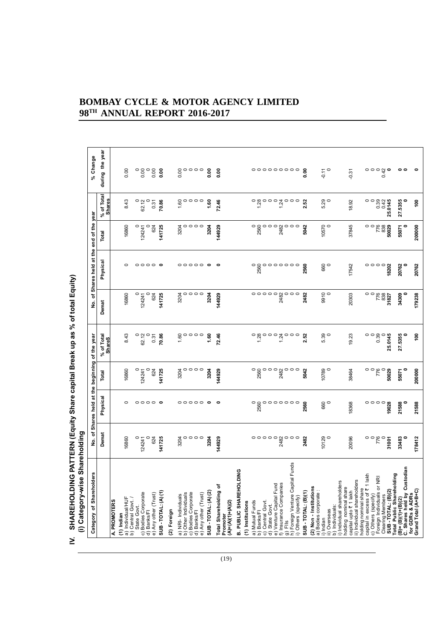| <b>Shareholders</b><br>đ<br>Category                                 |                                                                                                                                                                                                                                                                                                                                  | No. of Shares held at the beginning of the year |                                           |                                                                             | ৳<br>$\frac{\dot{\mathsf{S}}}{\mathsf{Z}}$                                                                          | Shares held at the end of the year      |                       |                                                               | % Change                                                           |
|----------------------------------------------------------------------|----------------------------------------------------------------------------------------------------------------------------------------------------------------------------------------------------------------------------------------------------------------------------------------------------------------------------------|-------------------------------------------------|-------------------------------------------|-----------------------------------------------------------------------------|---------------------------------------------------------------------------------------------------------------------|-----------------------------------------|-----------------------|---------------------------------------------------------------|--------------------------------------------------------------------|
|                                                                      | Demat                                                                                                                                                                                                                                                                                                                            | Physical                                        | Total                                     | % of Total<br>ShareS                                                        | Demat                                                                                                               | Physical                                | Total                 | of Total<br>$\int_{0}^{\theta_{0}} \frac{\delta u}{\delta t}$ | during the year                                                    |
| A. PROMOTERS                                                         |                                                                                                                                                                                                                                                                                                                                  |                                                 |                                           |                                                                             |                                                                                                                     |                                         |                       |                                                               |                                                                    |
| $(1)$ Indian                                                         | 16860                                                                                                                                                                                                                                                                                                                            | 0                                               | 16860                                     | 8.43                                                                        | 16860                                                                                                               | $\circ$                                 | 16860                 | 8.43                                                          | 0.00                                                               |
| a) Individual/HUF<br>b) Central Govt. /                              |                                                                                                                                                                                                                                                                                                                                  |                                                 |                                           |                                                                             |                                                                                                                     |                                         |                       |                                                               |                                                                    |
| State Govt.                                                          | $\circ$<br>124241                                                                                                                                                                                                                                                                                                                |                                                 | 124241                                    | $\circ$<br>62.12                                                            | $\circ$<br>124241                                                                                                   |                                         | $\circ$<br>124241     | 62.12                                                         | $\circ$<br>0.00                                                    |
| c) Bodies Corporate<br>d) Banks/Fl                                   |                                                                                                                                                                                                                                                                                                                                  | $\circ \circ \circ \circ \bullet$               |                                           |                                                                             |                                                                                                                     | $\circ \circ \circ \circ \bullet$       | 0                     |                                                               |                                                                    |
| e) Any other (Trust)                                                 | 624                                                                                                                                                                                                                                                                                                                              |                                                 | 624                                       | 0.31                                                                        | 624                                                                                                                 |                                         | 624                   | 0.31                                                          | 0.00                                                               |
| SUB-TOTAL: (A)(1)                                                    | 141725                                                                                                                                                                                                                                                                                                                           |                                                 | 141725                                    | 70.86                                                                       | 141725                                                                                                              |                                         | 141725                | 70.86                                                         | 0.00                                                               |
| (2) Foreign                                                          |                                                                                                                                                                                                                                                                                                                                  |                                                 |                                           |                                                                             |                                                                                                                     |                                         |                       |                                                               |                                                                    |
| a) NRI- Individuals<br>b) Other Individuals                          | 3204                                                                                                                                                                                                                                                                                                                             |                                                 | 3204                                      | 1.60                                                                        | 3204                                                                                                                |                                         |                       | 1.60                                                          | 0.00                                                               |
|                                                                      | 0                                                                                                                                                                                                                                                                                                                                |                                                 | $\circ \circ \circ \circ$                 | $\circ \circ \circ \circ$                                                   | $\circ \circ \circ \circ$                                                                                           |                                         | ಕ್ಷ <b>0</b> 000<br>ಜ | $\circ \circ \circ \circ$                                     | $\circ \circ \circ \circ$                                          |
| c) Bodies Corporate<br>d) Banks/Fl                                   | $\circ \circ \circ$                                                                                                                                                                                                                                                                                                              |                                                 |                                           |                                                                             |                                                                                                                     |                                         |                       |                                                               |                                                                    |
| SUB - TOTAL: (A) (2)<br>e) Any other (Trust)                         | 3204                                                                                                                                                                                                                                                                                                                             | $\circ \circ \circ \circ \circ \bullet$         | 3204                                      | 1.60                                                                        | 3204                                                                                                                | $\circ \circ \circ \circ \circ \bullet$ | 3204                  | 1.60                                                          | 0.00                                                               |
| Total Shareholding of                                                | 144929                                                                                                                                                                                                                                                                                                                           | $\circ$                                         | 144929                                    | 72.46                                                                       | 144929                                                                                                              | $\bullet$                               | 144929                | 72.46                                                         | $\frac{8}{6}$                                                      |
| $(A)=(A)(1)+(A)(2)$<br>Promoter                                      |                                                                                                                                                                                                                                                                                                                                  |                                                 |                                           |                                                                             |                                                                                                                     |                                         |                       |                                                               |                                                                    |
| $\frac{6}{5}$<br>B. PUBLIC SHAREHOLDI                                |                                                                                                                                                                                                                                                                                                                                  |                                                 |                                           |                                                                             |                                                                                                                     |                                         |                       |                                                               |                                                                    |
| (1) Institutions                                                     |                                                                                                                                                                                                                                                                                                                                  |                                                 |                                           |                                                                             |                                                                                                                     |                                         |                       |                                                               |                                                                    |
| a) Mutual Funds<br>b) Banks/FI                                       | $\begin{smallmatrix} 0 & 0 & 0 & 0 & 0 \\ 0 & 0 & 0 & 0 & 0 \\ 0 & 0 & 0 & 0 & 0 \\ 0 & 0 & 0 & 0 & 0 \\ 0 & 0 & 0 & 0 & 0 \\ 0 & 0 & 0 & 0 & 0 \\ 0 & 0 & 0 & 0 & 0 \\ 0 & 0 & 0 & 0 & 0 \\ 0 & 0 & 0 & 0 & 0 \\ 0 & 0 & 0 & 0 & 0 \\ 0 & 0 & 0 & 0 & 0 \\ 0 & 0 & 0 & 0 & 0 \\ 0 & 0 & 0 & 0 & 0 \\ 0 & 0 & 0 & 0 & 0 & 0 \\ $ | $\circ$<br>2560                                 |                                           | $^{0}$<br>$^{1.28}$                                                         | $\begin{matrix} 0 & 0 & 0 & 0 & 0 \\ 0 & 0 & 0 & 0 \\ 0 & 0 & 0 & 0 \\ 0 & 0 & 0 & 0 \\ 0 & 0 & 0 & 0 \end{matrix}$ |                                         | $\frac{0}{2560}$      | $^{0}$<br>$^{1.28}$                                           |                                                                    |
| Central Govt.<br>State Govt.<br>ಾ                                    |                                                                                                                                                                                                                                                                                                                                  |                                                 |                                           |                                                                             |                                                                                                                     |                                         |                       |                                                               |                                                                    |
| $\widehat{\sigma}$                                                   |                                                                                                                                                                                                                                                                                                                                  |                                                 |                                           | $\circ \circ \circ$                                                         |                                                                                                                     |                                         | $\circ \circ \circ$   |                                                               |                                                                    |
| f) Insurance Companies<br>e) Venture Capital Fund                    |                                                                                                                                                                                                                                                                                                                                  |                                                 |                                           | 1.24                                                                        |                                                                                                                     |                                         |                       |                                                               |                                                                    |
| g) Fils                                                              |                                                                                                                                                                                                                                                                                                                                  |                                                 |                                           |                                                                             |                                                                                                                     |                                         |                       |                                                               |                                                                    |
| Funds<br>h) Foreign Venture Capital<br>i) Others (specify)           | $\circ \circ \circ$                                                                                                                                                                                                                                                                                                              | 0000000                                         | ಂ <sub>ಥ</sub> ಂಂ <sub>೫</sub> ೦೦೦<br>- ಇ | $\circ \circ \circ$                                                         |                                                                                                                     |                                         | 880 0 0<br>자          | $\begin{array}{c}\n0 & 0 \\ 0 & 0 \\ 0 & 0\n\end{array}$      | °°°°°°°                                                            |
| SUB-TOTAL: (B)(1)                                                    | 2482                                                                                                                                                                                                                                                                                                                             | 2560                                            | 5042                                      | 2.52                                                                        | 2482                                                                                                                | 2560                                    | 5042                  | 2.52                                                          | $\frac{8}{10}$                                                     |
| (2) Non - Institutions                                               |                                                                                                                                                                                                                                                                                                                                  |                                                 |                                           |                                                                             |                                                                                                                     |                                         |                       |                                                               |                                                                    |
| a) Bodies corporate:<br>i) Indian                                    |                                                                                                                                                                                                                                                                                                                                  |                                                 |                                           |                                                                             |                                                                                                                     |                                         |                       |                                                               |                                                                    |
| ii) Overseas                                                         | 10129                                                                                                                                                                                                                                                                                                                            | ေ                                               | 10789                                     | 5.39<br>0                                                                   | $\frac{1}{9}$                                                                                                       | ေ<br>ေ                                  | 10570<br>0            | 5.29<br>0                                                     | $\frac{1}{9}$ 0                                                    |
| i) Individual shareholders<br>b) Individuals:                        |                                                                                                                                                                                                                                                                                                                                  |                                                 |                                           |                                                                             |                                                                                                                     |                                         |                       |                                                               |                                                                    |
| holding nominal share<br>capital upto ₹ 1 lakh                       |                                                                                                                                                                                                                                                                                                                                  |                                                 |                                           |                                                                             |                                                                                                                     |                                         |                       |                                                               |                                                                    |
| ii) Individual shareholders                                          | 20096                                                                                                                                                                                                                                                                                                                            | 18368                                           | 38464                                     | 19.23                                                                       | 20303                                                                                                               | 17542                                   | 37845                 | 18.92                                                         | $-0.31$                                                            |
| holding nominal share<br>capital in excess of ₹ 1 lakh               |                                                                                                                                                                                                                                                                                                                                  |                                                 |                                           |                                                                             |                                                                                                                     |                                         |                       |                                                               |                                                                    |
| c) Others (specify)                                                  | 00                                                                                                                                                                                                                                                                                                                               | 0000                                            | $\frac{1}{2}$                             | $\begin{smallmatrix} 0 & 0 & 0 \\ 0 & 0 & 0 \\ 0 & 0 & 0 \end{smallmatrix}$ | 00                                                                                                                  | 0000                                    | 00                    | $\circ$                                                       |                                                                    |
| Foreign Individuals or NRI                                           | 776                                                                                                                                                                                                                                                                                                                              |                                                 |                                           |                                                                             |                                                                                                                     |                                         | 776<br>838            |                                                               |                                                                    |
| Clearing Members<br>SUB - TOTAL: (B)(2)<br>Total Public Shareholding | $\circ$<br>31001                                                                                                                                                                                                                                                                                                                 | 19028                                           | $\circ$<br>50029                          | $\circ$<br>25.0145                                                          | $\frac{776}{3382}$                                                                                                  | 18202                                   | 50029                 | $0.39$<br>0.42<br>25.0145                                     | $\begin{array}{c} 0 & 0 & 0 \\ 0 & 0 & 0 \\ 0 & 0 & 0 \end{array}$ |
|                                                                      |                                                                                                                                                                                                                                                                                                                                  |                                                 |                                           |                                                                             |                                                                                                                     |                                         |                       |                                                               |                                                                    |
| $(B) = (B)(1)+(B)(2)$                                                | 33483                                                                                                                                                                                                                                                                                                                            | 21588                                           | 55071                                     | 27.5355                                                                     | 34309                                                                                                               | $\circ$<br>20762                        | 55071                 | 27.5355<br>0                                                  | 00                                                                 |
| C. Shares held by Custodian<br>for GDRs & ADRs                       |                                                                                                                                                                                                                                                                                                                                  |                                                 |                                           |                                                                             |                                                                                                                     |                                         |                       |                                                               |                                                                    |
| Grand Total (A+B+C)                                                  | 178412                                                                                                                                                                                                                                                                                                                           | 21588                                           | 200000                                    | $\frac{8}{2}$                                                               | 179238                                                                                                              | 20762                                   | 200000                | $\frac{8}{2}$                                                 | ۰                                                                  |

# SHAREHOLDING PATTERN (Equity Share capital Break up as % of total Equity) **IV. SHAREHOLDING PATTERN (Equity Share capital Break up as % of total Equity)**

 $\geq$ 

**BOMBAY CYCLE & MOTOR AGENCY LIMITED 98TH ANNUAL REPORT 2016-2017**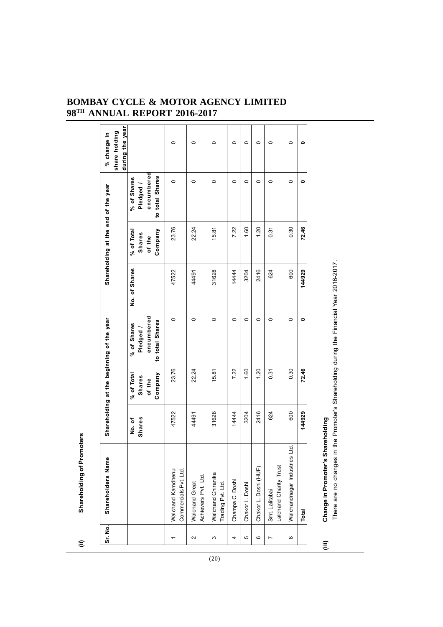| Sr. No.      | Shareholders Name                                         |                  |                                                  | Shareholding at the beginning of the year                           |               | Shareholding at the end of the year       |                                                           | during the year<br>share holding<br>% change in |
|--------------|-----------------------------------------------------------|------------------|--------------------------------------------------|---------------------------------------------------------------------|---------------|-------------------------------------------|-----------------------------------------------------------|-------------------------------------------------|
|              |                                                           | Shares<br>No. of | Company<br>% of Total<br><b>Shares</b><br>of the | encumbered<br>to total Shares<br>% of Shares<br>Pledged /           | No. of Shares | Company<br>% of Total<br>Shares<br>of the | encumbered<br>to total Shares<br>% of Shares<br>Pledged / |                                                 |
|              | Walchand Kamdhenu<br>Commercials Pvt. Ltd.                | 47522            | 23.76                                            | $\circ$                                                             | 47522         | 23.76                                     | $\circ$                                                   | $\circ$                                         |
| $\sim$       | Achievers Pvt. Ltd.<br>Walchand Great                     | 44491            | 22.24                                            | $\circ$                                                             | 44491         | 22.24                                     | $\circ$                                                   | $\circ$                                         |
| S            | Walchand Chiranika<br>Trading Pvt. Ltd.                   | 31628            | 15.81                                            | $\circ$                                                             | 31628         | 15.81                                     | $\circ$                                                   | $\circ$                                         |
| 4            | Champa C. Doshi                                           | 14444            | 7.22                                             | $\circ$                                                             | 14444         | 7.22                                      | $\circ$                                                   | $\circ$                                         |
| 5            | Chakor L. Doshi                                           | 3204             | 1.60                                             | $\circ$                                                             | 3204          | 1.60                                      | $\circ$                                                   | $\circ$                                         |
| ဖ            | Chakor L. Doshi (HUF)                                     | 2416             | 1.20                                             | $\circ$                                                             | 2416          | 1.20                                      | $\circ$                                                   | $\circ$                                         |
| N            | Lalchand Charity Trust<br>Smt. Lalitabai                  | 624              | 0.31                                             | $\circ$                                                             | 624           | 0.31                                      | $\circ$                                                   | $\circ$                                         |
| ${}^{\circ}$ | Ltd.<br>Walchandnagar Industries                          | 600              | 0.30                                             | $\circ$                                                             | 600           | 0.30                                      | $\circ$                                                   | $\circ$                                         |
|              | <b>Total</b>                                              | 144929           | 72.46                                            | ۰                                                                   | 144929        | 72.46                                     | $\bullet$                                                 | $\bullet$                                       |
| Ξ            | Change in Promoter's Shareholding<br>There are no changes |                  |                                                  | in the Promoter's Shareholding during the Financial Year 2016-2017. |               |                                           |                                                           |                                                 |

 $(20)$ 

**(ii) Shareholding of Promoters**

 $\widehat{\Xi}$ 

**Shareholding of Promoters**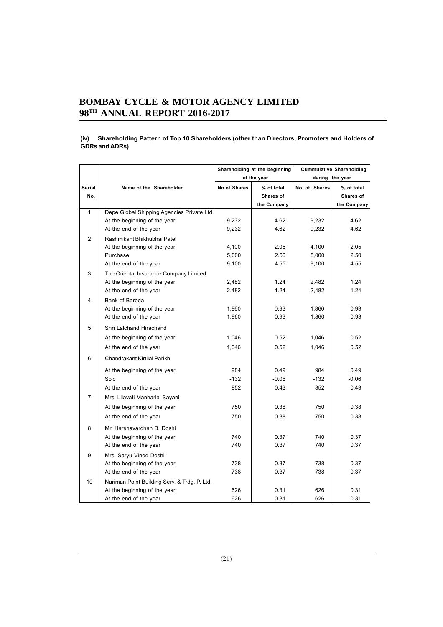#### **(iv) Shareholding Pattern of Top 10 Shareholders (other than Directors, Promoters and Holders of GDRs and ADRs)**

|                         |                                              |                     | Shareholding at the beginning |                 | <b>Cummulative Shareholding</b> |
|-------------------------|----------------------------------------------|---------------------|-------------------------------|-----------------|---------------------------------|
|                         |                                              |                     | of the year                   | during the year |                                 |
| Serial                  | Name of the Shareholder                      | <b>No.of Shares</b> | % of total                    | No. of Shares   | % of total                      |
| No.                     |                                              |                     | Shares of                     |                 | Shares of                       |
|                         |                                              |                     | the Company                   |                 | the Company                     |
| 1                       | Depe Global Shipping Agencies Private Ltd.   |                     |                               |                 |                                 |
|                         | At the beginning of the year                 | 9,232               | 4.62                          | 9,232           | 4.62                            |
|                         | At the end of the year                       | 9,232               | 4.62                          | 9.232           | 4.62                            |
| 2                       | Rashmikant Bhikhubhai Patel                  |                     |                               |                 |                                 |
|                         | At the beginning of the year                 | 4,100               | 2.05                          | 4,100           | 2.05                            |
|                         | Purchase                                     | 5,000               | 2.50                          | 5,000           | 2.50                            |
|                         | At the end of the year                       | 9,100               | 4.55                          | 9,100           | 4.55                            |
| 3                       | The Oriental Insurance Company Limited       |                     |                               |                 |                                 |
|                         | At the beginning of the year                 | 2,482               | 1.24                          | 2,482           | 1.24                            |
|                         | At the end of the year                       | 2,482               | 1.24                          | 2,482           | 1.24                            |
| $\overline{\mathbf{4}}$ | Bank of Baroda                               |                     |                               |                 |                                 |
|                         | At the beginning of the year                 | 1,860               | 0.93                          | 1,860           | 0.93                            |
|                         | At the end of the year                       | 1,860               | 0.93                          | 1,860           | 0.93                            |
| 5                       | Shri Lalchand Hirachand                      |                     |                               |                 |                                 |
|                         | At the beginning of the year                 | 1,046               | 0.52                          | 1,046           | 0.52                            |
|                         | At the end of the year                       | 1,046               | 0.52                          | 1,046           | 0.52                            |
| 6                       | Chandrakant Kirtilal Parikh                  |                     |                               |                 |                                 |
|                         | At the beginning of the year                 | 984                 | 0.49                          | 984             | 0.49                            |
|                         | Sold                                         | $-132$              | $-0.06$                       | $-132$          | $-0.06$                         |
|                         | At the end of the year                       | 852                 | 0.43                          | 852             | 0.43                            |
| $\overline{7}$          | Mrs. Lilavati Manharlal Sayani               |                     |                               |                 |                                 |
|                         | At the beginning of the year                 | 750                 | 0.38                          | 750             | 0.38                            |
|                         | At the end of the year                       | 750                 | 0.38                          | 750             | 0.38                            |
| 8                       | Mr. Harshavardhan B. Doshi                   |                     |                               |                 |                                 |
|                         | At the beginning of the year                 | 740                 | 0.37                          | 740             | 0.37                            |
|                         | At the end of the year                       | 740                 | 0.37                          | 740             | 0.37                            |
| 9                       | Mrs. Saryu Vinod Doshi                       |                     |                               |                 |                                 |
|                         | At the beginning of the year                 | 738                 | 0.37                          | 738             | 0.37                            |
|                         | At the end of the year                       | 738                 | 0.37                          | 738             | 0.37                            |
| 10                      | Nariman Point Building Serv. & Trdg. P. Ltd. |                     |                               |                 |                                 |
|                         | At the beginning of the year                 | 626                 | 0.31                          | 626             | 0.31                            |
|                         | At the end of the year                       | 626                 | 0.31                          | 626             | 0.31                            |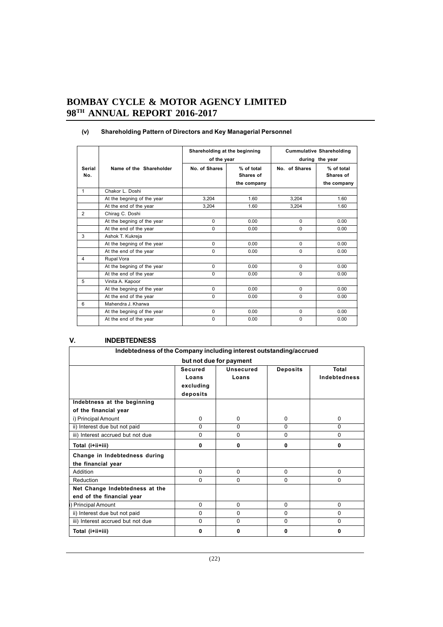|               |                            | Shareholding at the beginning<br>of the year |                                        |               | <b>Cummulative Shareholding</b><br>during the year |
|---------------|----------------------------|----------------------------------------------|----------------------------------------|---------------|----------------------------------------------------|
| Serial<br>No. | Name of the Shareholder    | No. of Shares                                | % of total<br>Shares of<br>the company | No. of Shares | % of total<br>Shares of<br>the company             |
| $\mathbf{1}$  | Chakor L. Doshi            |                                              |                                        |               |                                                    |
|               | At the begning of the year | 3.204                                        | 1.60                                   | 3,204         | 1.60                                               |
|               | At the end of the year     | 3.204                                        | 1.60                                   | 3,204         | 1.60                                               |
| 2             | Chirag C. Doshi            |                                              |                                        |               |                                                    |
|               | At the begning of the year | $\Omega$                                     | 0.00                                   | $\Omega$      | 0.00                                               |
|               | At the end of the year     | $\Omega$                                     | 0.00                                   | $\Omega$      | 0.00                                               |
| 3             | Ashok T. Kukreja           |                                              |                                        |               |                                                    |
|               | At the begning of the year | $\mathbf 0$                                  | 0.00                                   | $\Omega$      | 0.00                                               |
|               | At the end of the year     | $\Omega$                                     | 0.00                                   | $\Omega$      | 0.00                                               |
| 4             | Rupal Vora                 |                                              |                                        |               |                                                    |
|               | At the begning of the year | $\Omega$                                     | 0.00                                   | $\Omega$      | 0.00                                               |
|               | At the end of the year     | $\Omega$                                     | 0.00                                   | $\Omega$      | 0.00                                               |
| 5             | Vinita A. Kapoor           |                                              |                                        |               |                                                    |
|               | At the begning of the year | $\Omega$                                     | 0.00                                   | $\Omega$      | 0.00                                               |
|               | At the end of the year     | $\Omega$                                     | 0.00                                   | $\Omega$      | 0.00                                               |
| 6             | Mahendra J. Kharwa         |                                              |                                        |               |                                                    |
|               | At the begning of the year | $\Omega$                                     | 0.00                                   | $\Omega$      | 0.00                                               |
|               | At the end of the year     | $\Omega$                                     | 0.00                                   | $\Omega$      | 0.00                                               |

## **(v) Shareholding Pattern of Directors and Key Managerial Personnel**

## **V. INDEBTEDNESS**

| Indebtedness of the Company including interest outstanding/accrued |                |                         |                 |                     |  |
|--------------------------------------------------------------------|----------------|-------------------------|-----------------|---------------------|--|
|                                                                    |                | but not due for payment |                 |                     |  |
|                                                                    | <b>Secured</b> | <b>Unsecured</b>        | <b>Deposits</b> | Total               |  |
|                                                                    | Loans          | Loans                   |                 | <b>Indebtedness</b> |  |
|                                                                    | excluding      |                         |                 |                     |  |
|                                                                    | deposits       |                         |                 |                     |  |
| Indebtness at the beginning                                        |                |                         |                 |                     |  |
| of the financial year                                              |                |                         |                 |                     |  |
| i) Principal Amount                                                | $\Omega$       | $\Omega$                | $\Omega$        | $\Omega$            |  |
| ii) Interest due but not paid                                      | 0              | $\Omega$                | 0               | $\Omega$            |  |
| iii) Interest accrued but not due                                  | 0              | $\Omega$                | $\Omega$        | $\Omega$            |  |
| Total (i+ii+iii)                                                   | $\bf{0}$       | $\mathbf{0}$            | 0               | 0                   |  |
| Change in Indebtedness during                                      |                |                         |                 |                     |  |
| the financial year                                                 |                |                         |                 |                     |  |
| Addition                                                           | $\Omega$       | $\Omega$                | $\Omega$        | $\Omega$            |  |
| Reduction                                                          | $\Omega$       | $\Omega$                | $\Omega$        | $\Omega$            |  |
| Net Change Indebtedness at the                                     |                |                         |                 |                     |  |
| end of the financial year                                          |                |                         |                 |                     |  |
| <b>Principal Amount</b>                                            | 0              | $\Omega$                | $\Omega$        | 0                   |  |
| ii) Interest due but not paid                                      | 0              | $\Omega$                | $\Omega$        | $\Omega$            |  |
| iii) Interest accrued but not due                                  | $\Omega$       | $\Omega$                | $\Omega$        | $\Omega$            |  |
| Total (i+ii+iii)                                                   | 0              | $\mathbf{0}$            | 0               | 0                   |  |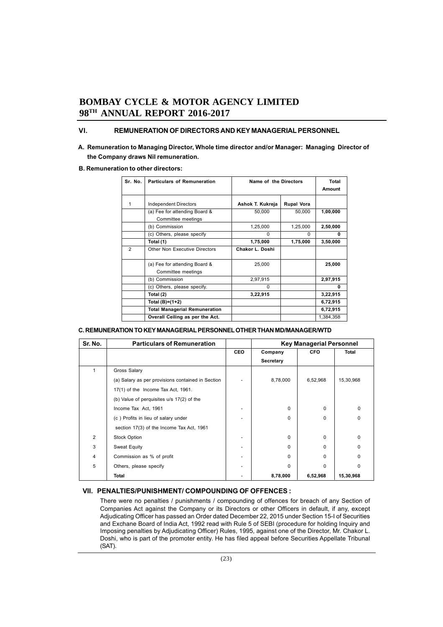## **VI. REMUNERATION OF DIRECTORS AND KEY MANAGERIAL PERSONNEL**

**A. Remuneration to Managing Director, Whole time director and/or Manager: Managing Director of the Company draws Nil remuneration.**

#### **B. Remuneration to other directors:**

| Sr. No.        | Particulars of Remuneration                         | Name of the Directors | Total<br>Amount   |           |
|----------------|-----------------------------------------------------|-----------------------|-------------------|-----------|
| 1              | <b>Independent Directors</b>                        | Ashok T. Kukreja      | <b>Rupal Vora</b> |           |
|                | (a) Fee for attending Board &<br>Committee meetings | 50,000                | 50,000            | 1,00,000  |
|                | (b) Commission                                      | 1,25,000              | 1,25,000          | 2,50,000  |
|                | (c) Others, please specify                          | $\Omega$              | $\Omega$          | 0         |
|                | Total (1)                                           | 1,75,000              | 1,75,000          | 3,50,000  |
| $\mathfrak{p}$ | Other Non Executive Directors                       | Chakor L. Doshi       |                   |           |
|                | (a) Fee for attending Board &<br>Committee meetings | 25,000                |                   | 25,000    |
|                | (b) Commission                                      | 2,97,915              |                   | 2,97,915  |
|                | (c) Others, please specify.                         | $\Omega$              |                   | U         |
|                | Total (2)                                           | 3,22,915              |                   | 3,22,915  |
|                | Total (B)=(1+2)                                     |                       |                   | 6,72,915  |
|                | <b>Total Managerial Remuneration</b>                |                       |                   | 6,72,915  |
|                | Overall Ceiling as per the Act.                     |                       |                   | 1,384,358 |

#### **C. REMUNERATION TO KEY MANAGERIAL PERSONNEL OTHER THAN MD/MANAGER/WTD**

| Sr. No.        | <b>Particulars of Remuneration</b>                |            | <b>Key Managerial Personnel</b> |            |              |
|----------------|---------------------------------------------------|------------|---------------------------------|------------|--------------|
|                |                                                   | <b>CEO</b> | Company                         | <b>CFO</b> | Total        |
|                |                                                   |            | Secretary                       |            |              |
|                | Gross Salary                                      |            |                                 |            |              |
|                | (a) Salary as per provisions contained in Section |            | 8,78,000                        | 6,52,968   | 15,30,968    |
|                | $17(1)$ of the Income Tax Act, 1961.              |            |                                 |            |              |
|                | (b) Value of perquisites u/s 17(2) of the         |            |                                 |            |              |
|                | Income Tax Act, 1961                              |            | $\Omega$                        | $\Omega$   | <sup>0</sup> |
|                | (c) Profits in lieu of salary under               |            | $\Omega$                        | 0          | $\Omega$     |
|                | section 17(3) of the Income Tax Act, 1961         |            |                                 |            |              |
| $\overline{2}$ | <b>Stock Option</b>                               |            | $\Omega$                        | 0          | 0            |
| 3              | <b>Sweat Equity</b>                               |            | $\Omega$                        | $\Omega$   | $\Omega$     |
| 4              | Commission as % of profit                         |            | $\Omega$                        | 0          | <sup>0</sup> |
| 5              | Others, please specify                            |            | $\Omega$                        | $\Omega$   | <sup>0</sup> |
|                | Total                                             |            | 8,78,000                        | 6,52,968   | 15,30,968    |

#### **VII. PENALTIES/PUNISHMENT/ COMPOUNDING OF OFFENCES :**

There were no penalties / punishments / compounding of offences for breach of any Section of Companies Act against the Company or its Directors or other Officers in default, if any, except Adjudicating Officer has passed an Order dated December 22, 2015 under Section 15-I of Securities and Exchane Board of India Act, 1992 read with Rule 5 of SEBI (procedure for holding Inquiry and Imposing penalties by Adjudicating Officer) Rules, 1995, against one of the Director, Mr. Chakor L. Doshi, who is part of the promoter entity. He has filed appeal before Securities Appellate Tribunal (SAT).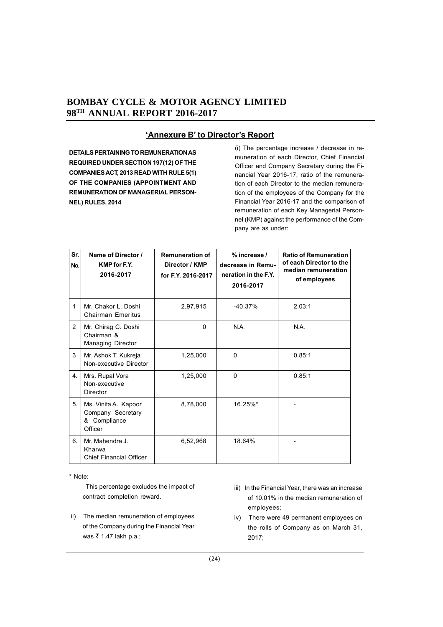# **'Annexure B' to Director's Report**

**DETAILS PERTAINING TO REMUNERATION AS REQUIRED UNDER SECTION 197(12) OF THE COMPANIES ACT, 2013 READ WITH RULE 5(1) OF THE COMPANIES (APPOINTMENT AND REMUNERATION OF MANAGERIAL PERSON-NEL) RULES, 2014**

(i) The percentage increase / decrease in remuneration of each Director, Chief Financial Officer and Company Secretary during the Financial Year 2016-17, ratio of the remuneration of each Director to the median remuneration of the employees of the Company for the Financial Year 2016-17 and the comparison of remuneration of each Key Managerial Personnel (KMP) against the performance of the Company are as under:

| Sr.<br>No. | Name of Director /<br><b>KMP</b> for F.Y.<br>2016-2017               | <b>Remuneration of</b><br>Director / KMP<br>for F.Y. 2016-2017 | % increase /<br>decrease in Remu-<br>neration in the F.Y.<br>2016-2017 | <b>Ratio of Remuneration</b><br>of each Director to the<br>median remuneration<br>of employees |
|------------|----------------------------------------------------------------------|----------------------------------------------------------------|------------------------------------------------------------------------|------------------------------------------------------------------------------------------------|
| 1          | Mr. Chakor L. Doshi<br><b>Chairman Emeritus</b>                      | 2,97,915                                                       | $-40.37%$                                                              | 2.03:1                                                                                         |
| 2          | Mr. Chirag C. Doshi<br>Chairman &<br><b>Managing Director</b>        | 0                                                              | N.A.                                                                   | N.A.                                                                                           |
| 3          | Mr. Ashok T. Kukreja<br>Non-executive Director                       | 1,25,000                                                       | 0                                                                      | 0.85:1                                                                                         |
| 4.         | Mrs. Rupal Vora<br>Non-executive<br>Director                         | 1,25,000                                                       | $\Omega$                                                               | 0.85:1                                                                                         |
| 5.         | Ms. Vinita A. Kapoor<br>Company Secretary<br>& Compliance<br>Officer | 8,78,000                                                       | 16.25%*                                                                |                                                                                                |
| 6.         | Mr. Mahendra J.<br>Kharwa<br><b>Chief Financial Officer</b>          | 6,52,968                                                       | 18.64%                                                                 |                                                                                                |

\* Note:

 This percentage excludes the impact of contract completion reward.

- ii)The median remuneration of employees of the Company during the Financial Year was ₹ 1.47 lakh p.a.;
- iii) In the Financial Year, there was an increase of 10.01% in the median remuneration of employees;
- iv) There were 49 permanent employees on the rolls of Company as on March 31, 2017;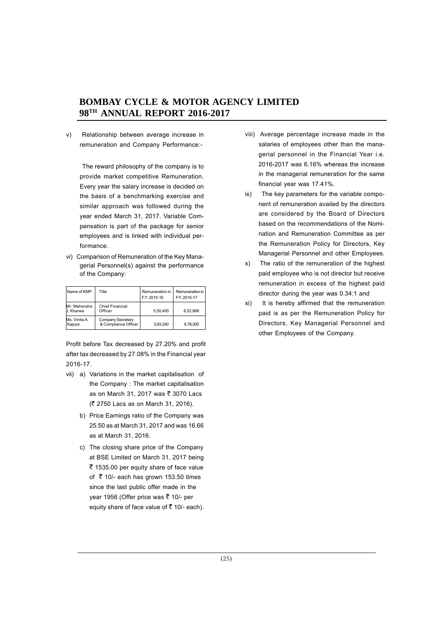v) Relationship between average increase in remuneration and Company Performance:-

 The reward philosophy of the company is to provide market competitive Remuneration. Every year the salary increase is decided on the basis of a benchmarking exercise and similar approach was followed during the year ended March 31, 2017. Variable Compensation is part of the package for senior employees and is linked with individual performance.

vi) Comparison of Remuneration of the Key Managerial Personnel(s) against the performance of the Company:

| Name of KMP                      | Title                                     | Remuneration in<br>F.Y. 2015-16 | Remuneration in<br>F.Y. 2016-17 |
|----------------------------------|-------------------------------------------|---------------------------------|---------------------------------|
| Mr. Mahendra<br><b>J. Kharwa</b> | <b>Chief Financial</b><br>Officer         | 5.50.400                        | 6.52.968                        |
| Ms. Vinita A.<br>Kapoor          | Company Secretary<br>& Compliance Officer | 5.83.240                        | 8,78,000                        |

Profit before Tax decreased by 27.20% and profit after tax decreased by 27.08% in the Financial year 2016-17.

- vii) a) Variations in the market capitalisation of the Company : The market capitalisation as on March 31, 2017 was ₹ 3070 Lacs (` 2750 Lacs as on March 31, 2016).
	- b) Price Earnings ratio of the Company was 25.50 as at March 31, 2017 and was 16.66 as at March 31, 2016.
	- c) The closing share price of the Company at BSE Limited on March 31, 2017 being  $\bar{\tau}$  1535.00 per equity share of face value of  $\bar{\tau}$  10/- each has grown 153.50 times since the last public offer made in the year 1956 (Offer price was ₹ 10/- per equity share of face value of  $\bar{z}$  10/- each).
- viii) Average percentage increase made in the salaries of employees other than the managerial personnel in the Financial Year i.e. 2016-2017 was 6.16% whereas the increase in the managerial remuneration for the same financial year was 17.41%.
- ix) The key parameters for the variable component of remuneration availed by the directors are considered by the Board of Directors based on the recommendations of the Nomination and Remuneration Committee as per the Remuneration Policy for Directors, Key Managerial Personnel and other Employees.
- x) The ratio of the remuneration of the highest paid employee who is not director but receive remuneration in excess of the highest paid director during the year was 0.34:1 and
- xi) It is hereby affirmed that the remuneration paid is as per the Remuneration Policy for Directors, Key Managerial Personnel and other Employees of the Company.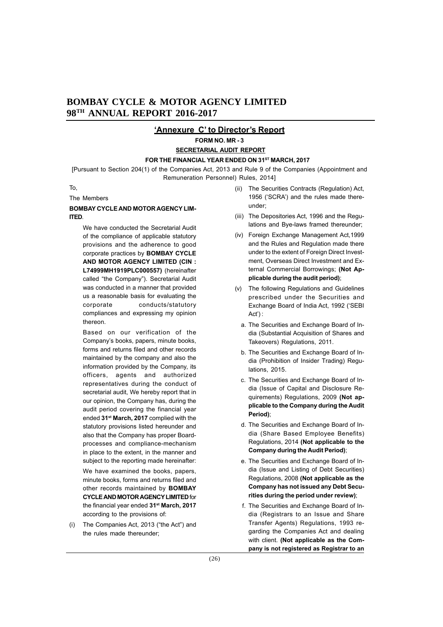## **'Annexure C' to Director's Report**

**FORM NO. MR - 3**

#### **SECRETARIAL AUDIT REPORT**

#### FOR THE FINANCIAL YEAR ENDED ON 31<sup>ST</sup> MARCH, 2017

[Pursuant to Section 204(1) of the Companies Act, 2013 and Rule 9 of the Companies (Appointment and Remuneration Personnel) Rules, 2014]

#### To,

The Members

#### **BOMBAY CYCLE AND MOTOR AGENCY LIM-ITED**.

We have conducted the Secretarial Audit of the compliance of applicable statutory provisions and the adherence to good corporate practices by **BOMBAY CYCLE AND MOTOR AGENCY LIMITED (CIN : L74999MH1919PLC000557)** (hereinafter called "the Company"). Secretarial Audit was conducted in a manner that provided us a reasonable basis for evaluating the corporate conducts/statutory compliances and expressing my opinion thereon.

Based on our verification of the Company's books, papers, minute books, forms and returns filed and other records maintained by the company and also the information provided by the Company, its officers, agents and authorized representatives during the conduct of secretarial audit, We hereby report that in our opinion, the Company has, during the audit period covering the financial year ended **31st March, 2017** complied with the statutory provisions listed hereunder and also that the Company has proper Boardprocesses and compliance-mechanism in place to the extent, in the manner and subject to the reporting made hereinafter:

We have examined the books, papers, minute books, forms and returns filed and other records maintained by **BOMBAY CYCLE AND MOTOR AGENCY LIMITED** for the financial year ended **31st March, 2017** according to the provisions of:

(i) The Companies Act, 2013 ("the Act") and the rules made thereunder;

- (ii) The Securities Contracts (Regulation) Act, 1956 ('SCRA') and the rules made thereunder;
- (iii) The Depositories Act, 1996 and the Regulations and Bye-laws framed thereunder;
- (iv) Foreign Exchange Management Act,1999 and the Rules and Regulation made there under to the extent of Foreign Direct Investment, Overseas Direct Investment and External Commercial Borrowings; **(Not Applicable during the audit period)**;
- (v) The following Regulations and Guidelines prescribed under the Securities and Exchange Board of India Act, 1992 ('SEBI Act') :
	- a. The Securities and Exchange Board of India (Substantial Acquisition of Shares and Takeovers) Regulations, 2011.
	- b. The Securities and Exchange Board of India (Prohibition of Insider Trading) Regulations, 2015.
	- c. The Securities and Exchange Board of India (Issue of Capital and Disclosure Requirements) Regulations, 2009 **(Not applicable to the Company during the Audit Period)**;
	- d. The Securities and Exchange Board of India (Share Based Employee Benefits) Regulations, 2014 **(Not applicable to the Company during the Audit Period)**;
	- e. The Securities and Exchange Board of India (Issue and Listing of Debt Securities) Regulations, 2008 **(Not applicable as the Company has not issued any Debt Securities during the period under review)**;
	- f. The Securities and Exchange Board of India (Registrars to an Issue and Share Transfer Agents) Regulations, 1993 regarding the Companies Act and dealing with client. **(Not applicable as the Company is not registered as Registrar to an**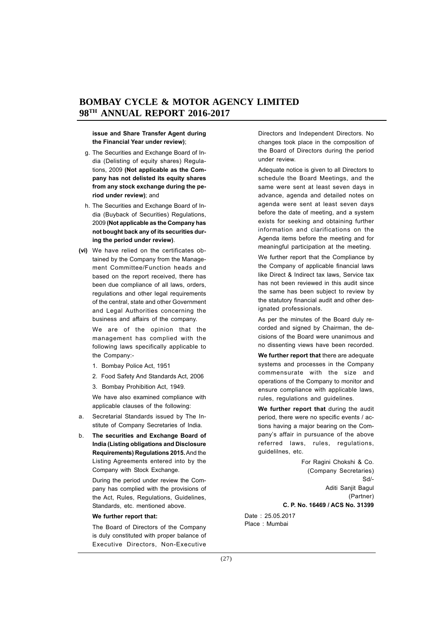#### **issue and Share Transfer Agent during the Financial Year under review)**;

- g. The Securities and Exchange Board of India (Delisting of equity shares) Regulations, 2009 **(Not applicable as the Company has not delisted its equity shares from any stock exchange during the period under review)**; and
- h. The Securities and Exchange Board of India (Buyback of Securities) Regulations, 2009 **(Not applicable as the Company has not bought back any of its securities during the period under review)**.
- **(vi)** We have relied on the certificates obtained by the Company from the Management Committee/Function heads and based on the report received, there has been due compliance of all laws, orders, regulations and other legal requirements of the central, state and other Government and Legal Authorities concerning the business and affairs of the company.

We are of the opinion that the management has complied with the following laws specifically applicable to the Company:-

- 1. Bombay Police Act, 1951
- 2. Food Safety And Standards Act, 2006
- 3. Bombay Prohibition Act, 1949.

We have also examined compliance with applicable clauses of the following:

- a. Secretarial Standards issued by The Institute of Company Secretaries of India.
- b. **The securities and Exchange Board of India (Listing obligations and Disclosure Requirements) Regulations 2015.** And the Listing Agreements entered into by the Company with Stock Exchange.

During the period under review the Company has complied with the provisions of the Act, Rules, Regulations, Guidelines, Standards, etc. mentioned above.

#### **We further report that:**

The Board of Directors of the Company is duly constituted with proper balance of Executive Directors, Non-Executive Directors and Independent Directors. No changes took place in the composition of the Board of Directors during the period under review.

Adequate notice is given to all Directors to schedule the Board Meetings, and the same were sent at least seven days in advance, agenda and detailed notes on agenda were sent at least seven days before the date of meeting, and a system exists for seeking and obtaining further information and clarifications on the Agenda items before the meeting and for meaningful participation at the meeting.

We further report that the Compliance by the Company of applicable financial laws like Direct & Indirect tax laws, Service tax has not been reviewed in this audit since the same has been subject to review by the statutory financial audit and other designated professionals.

As per the minutes of the Board duly recorded and signed by Chairman, the decisions of the Board were unanimous and no dissenting views have been recorded.

**We further report that** there are adequate systems and processes in the Company commensurate with the size and operations of the Company to monitor and ensure compliance with applicable laws, rules, regulations and guidelines.

**We further report that** during the audit period, there were no specific events / actions having a major bearing on the Company's affair in pursuance of the above referred laws, rules, regulations, guidelilnes, etc.

> For Ragini Chokshi & Co. (Company Secretaries) Sd/- Aditi Sanjit Bagul (Partner) **C. P. No. 16469 / ACS No. 31399**

Date : 25.05.2017 Place : Mumbai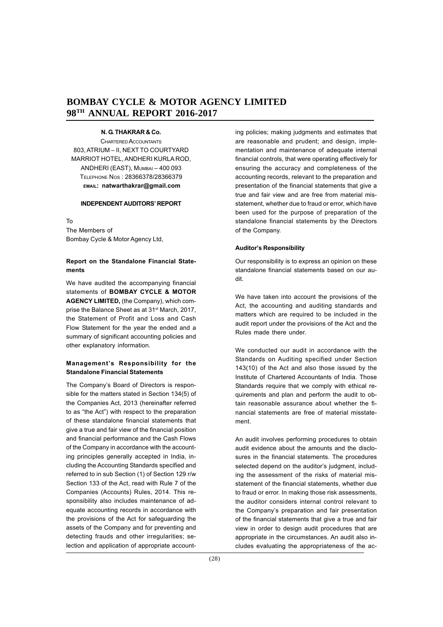#### **N. G. THAKRAR & Co.**

CHARTERED ACCOUNTANTS 803, ATRIUM – II, NEXT TO COURTYARD MARRIOT HOTEL, ANDHERI KURLA ROD, ANDHERI (EAST), MUMBAI – 400 093 TELEPHONE NOS : 28366378/28366379 **EMAIL: natwarthakrar@gmail.com**

#### **INDEPENDENT AUDITORS' REPORT**

To

The Members of Bombay Cycle & Motor Agency Ltd,

#### **Report on the Standalone Financial Statements**

We have audited the accompanying financial statements of **BOMBAY CYCLE & MOTOR AGENCY LIMITED,** (the Company), which comprise the Balance Sheet as at 31<sup>st</sup> March, 2017, the Statement of Profit and Loss and Cash Flow Statement for the year the ended and a summary of significant accounting policies and other explanatory information.

## **Management's Responsibility for the Standalone Financial Statements**

The Company's Board of Directors is responsible for the matters stated in Section 134(5) of the Companies Act, 2013 (hereinafter referred to as "the Act") with respect to the preparation of these standalone financial statements that give a true and fair view of the financial position and financial performance and the Cash Flows of the Company in accordance with the accounting principles generally accepted in India, including the Accounting Standards specified and referred to in sub Section (1) of Section 129 r/w Section 133 of the Act, read with Rule 7 of the Companies (Accounts) Rules, 2014. This responsibility also includes maintenance of adequate accounting records in accordance with the provisions of the Act for safeguarding the assets of the Company and for preventing and detecting frauds and other irregularities; selection and application of appropriate accounting policies; making judgments and estimates that are reasonable and prudent; and design, implementation and maintenance of adequate internal financial controls, that were operating effectively for ensuring the accuracy and completeness of the accounting records, relevant to the preparation and presentation of the financial statements that give a true and fair view and are free from material misstatement, whether due to fraud or error, which have been used for the purpose of preparation of the standalone financial statements by the Directors of the Company.

#### **Auditor's Responsibility**

Our responsibility is to express an opinion on these standalone financial statements based on our audit.

We have taken into account the provisions of the Act, the accounting and auditing standards and matters which are required to be included in the audit report under the provisions of the Act and the Rules made there under.

We conducted our audit in accordance with the Standards on Auditing specified under Section 143(10) of the Act and also those issued by the Institute of Chartered Accountants of India. Those Standards require that we comply with ethical requirements and plan and perform the audit to obtain reasonable assurance about whether the financial statements are free of material misstatement.

An audit involves performing procedures to obtain audit evidence about the amounts and the disclosures in the financial statements. The procedures selected depend on the auditor's judgment, including the assessment of the risks of material misstatement of the financial statements, whether due to fraud or error. In making those risk assessments, the auditor considers internal control relevant to the Company's preparation and fair presentation of the financial statements that give a true and fair view in order to design audit procedures that are appropriate in the circumstances. An audit also includes evaluating the appropriateness of the ac-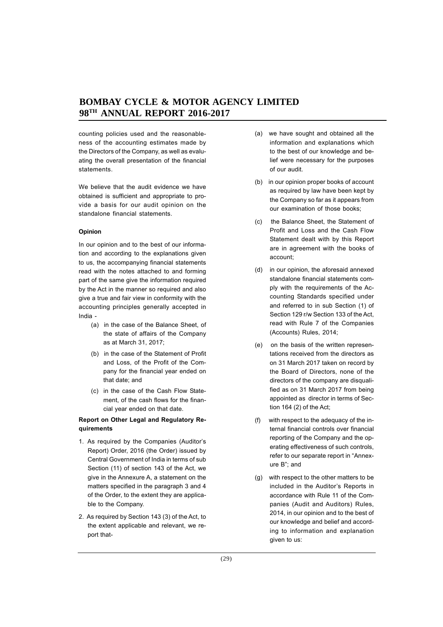counting policies used and the reasonableness of the accounting estimates made by the Directors of the Company, as well as evaluating the overall presentation of the financial statements.

We believe that the audit evidence we have obtained is sufficient and appropriate to provide a basis for our audit opinion on the standalone financial statements.

#### **Opinion**

In our opinion and to the best of our information and according to the explanations given to us, the accompanying financial statements read with the notes attached to and forming part of the same give the information required by the Act in the manner so required and also give a true and fair view in conformity with the accounting principles generally accepted in India -

- (a) in the case of the Balance Sheet, of the state of affairs of the Company as at March 31, 2017;
- (b) in the case of the Statement of Profit and Loss, of the Profit of the Company for the financial year ended on that date; and
- (c) in the case of the Cash Flow Statement, of the cash flows for the financial year ended on that date.

## **Report on Other Legal and Regulatory Requirements**

- 1. As required by the Companies (Auditor's Report) Order, 2016 (the Order) issued by Central Government of India in terms of sub Section (11) of section 143 of the Act, we give in the Annexure A, a statement on the matters specified in the paragraph 3 and 4 of the Order, to the extent they are applicable to the Company.
- 2. As required by Section 143 (3) of the Act, to the extent applicable and relevant, we report that-
- (a) we have sought and obtained all the information and explanations which to the best of our knowledge and belief were necessary for the purposes of our audit.
- (b) in our opinion proper books of account as required by law have been kept by the Company so far as it appears from our examination of those books;
- (c) the Balance Sheet, the Statement of Profit and Loss and the Cash Flow Statement dealt with by this Report are in agreement with the books of account;
- (d) in our opinion, the aforesaid annexed standalone financial statements comply with the requirements of the Accounting Standards specified under and referred to in sub Section (1) of Section 129 r/w Section 133 of the Act, read with Rule 7 of the Companies (Accounts) Rules, 2014;
- (e) on the basis of the written representations received from the directors as on 31 March 2017 taken on record by the Board of Directors, none of the directors of the company are disqualified as on 31 March 2017 from being appointed as director in terms of Section 164 (2) of the Act;
- (f) with respect to the adequacy of the internal financial controls over financial reporting of the Company and the operating effectiveness of such controls, refer to our separate report in "Annexure B"; and
- (g) with respect to the other matters to be included in the Auditor's Reports in accordance with Rule 11 of the Companies (Audit and Auditors) Rules, 2014, in our opinion and to the best of our knowledge and belief and according to information and explanation given to us: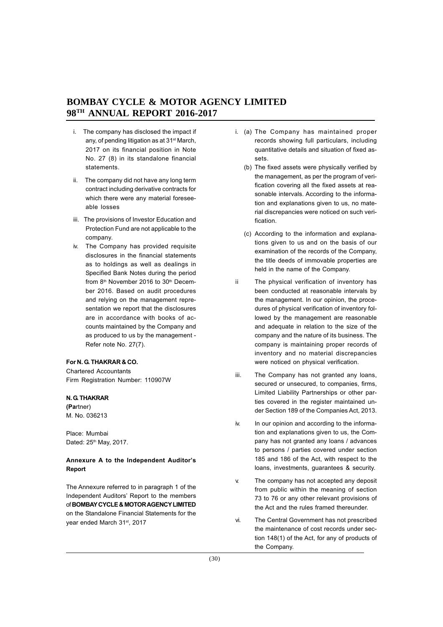- i. The company has disclosed the impact if any, of pending litigation as at 31st March, 2017 on its financial position in Note No. 27 (8) in its standalone financial statements.
- ii. The company did not have any long term contract including derivative contracts for which there were any material foreseeable losses
- iii. The provisions of Investor Education and Protection Fund are not applicable to the company.
- iv. The Company has provided requisite disclosures in the financial statements as to holdings as well as dealings in Specified Bank Notes during the period from 8<sup>th</sup> November 2016 to 30<sup>th</sup> December 2016. Based on audit procedures and relying on the management representation we report that the disclosures are in accordance with books of accounts maintained by the Company and as produced to us by the management - Refer note No. 27(7).

## **For N. G. THAKRAR & CO.**

Chartered Accountants Firm Registration Number: 110907W

#### **N. G. THAKRAR**

**(Pa**rtner) M. No. 036213

Place: Mumbai Dated: 25<sup>th</sup> May, 2017.

## **Annexure A to the Independent Auditor's Report**

The Annexure referred to in paragraph 1 of the Independent Auditors' Report to the members of **BOMBAY CYCLE & MOTOR AGENCY LIMITED** on the Standalone Financial Statements for the year ended March 31st, 2017

- i. (a) The Company has maintained proper records showing full particulars, including quantitative details and situation of fixed assets.
	- (b) The fixed assets were physically verified by the management, as per the program of verification covering all the fixed assets at reasonable intervals. According to the information and explanations given to us, no material discrepancies were noticed on such verification.
	- (c) According to the information and explanations given to us and on the basis of our examination of the records of the Company, the title deeds of immovable properties are held in the name of the Company.
- ii The physical verification of inventory has been conducted at reasonable intervals by the management. In our opinion, the procedures of physical verification of inventory followed by the management are reasonable and adequate in relation to the size of the company and the nature of its business. The company is maintaining proper records of inventory and no material discrepancies were noticed on physical verification.
- iii. The Company has not granted any loans. secured or unsecured, to companies, firms, Limited Liability Partnerships or other parties covered in the register maintained under Section 189 of the Companies Act, 2013.
- iv. In our opinion and according to the information and explanations given to us, the Company has not granted any loans / advances to persons / parties covered under section 185 and 186 of the Act, with respect to the loans, investments, guarantees & security.
- v. The company has not accepted any deposit from public within the meaning of section 73 to 76 or any other relevant provisions of the Act and the rules framed thereunder.
- vi. The Central Government has not prescribed the maintenance of cost records under section 148(1) of the Act, for any of products of the Company.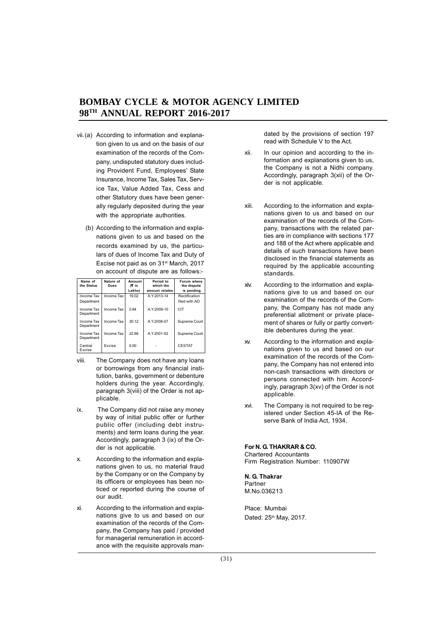- vii.(a) According to information and explanation given to us and on the basis of our examination of the records of the Company, undisputed statutory dues including Provident Fund, Employees' State Insurance, Income Tax, Sales Tax, Service Tax, Value Added Tax, Cess and other Statutory dues have been generally regularly deposited during the year with the appropriate authorities.
	- (b) According to the information and explanations given to us and based on the records examined by us, the particulars of dues of Income Tax and Duty of Excise not paid as on 31<sup>st</sup> March, 2017 on account of dispute are as follows:-

| Name of<br>the Statue    | Nature of<br>Dues | Amount<br>(C in | Period to<br>which the | Forum where<br>the dispute |
|--------------------------|-------------------|-----------------|------------------------|----------------------------|
|                          |                   | Lakhs)          | amount relates         | is pending                 |
| Income Tax               | Income Tax        | 19.02           | A.Y.2013-14            | Rectification              |
| Department               |                   |                 |                        | filed with AO              |
| Income Tax<br>Department | Income Tax        | 0.84            | A.Y.2009-10            | CIT                        |
| Income Tax<br>Department | Income Tax        | 30.12           | A.Y.2006-07            | Supreme Court              |
| Income Tax<br>Department | Income Tax        | 22.86           | A.Y.2001-02            | Supreme Court              |
| Central<br>Excise        | Excise            | 6.00            |                        | <b>CESTAT</b>              |

- viii. The Company does not have any loans or borrowings from any financial institution, banks, government or debenture holders during the year. Accordingly, paragraph 3(viii) of the Order is not applicable.
- ix. The Company did not raise any money by way of initial public offer or further public offer (including debt instruments) and term loans during the year. Accordingly, paragraph 3 (ix) of the Order is not applicable.
- x. According to the information and explanations given to us, no material fraud by the Company or on the Company by its officers or employees has been noticed or reported during the course of our audit.
- xi. According to the information and explanations give to us and based on our examination of the records of the Company, the Company has paid / provided for managerial remuneration in accordance with the requisite approvals man-

dated by the provisions of section 197 read with Schedule V to the Act.

- xii. In our opinion and according to the information and explanations given to us, the Company is not a Nidhi company. Accordingly, paragraph 3(xii) of the Order is not applicable.
- xiii. According to the information and explanations given to us and based on our examination of the records of the Company, transactions with the related parties are in compliance with sections 177 and 188 of the Act where applicable and details of such transactions have been disclosed in the financial statements as required by the applicable accounting standards.
- xiv. According to the information and explanations give to us and based on our examination of the records of the Company, the Company has not made any preferential allotment or private placement of shares or fully or partly convertible debentures during the year.
- xv. According to the information and explanations given to us and based on our examination of the records of the Company, the Company has not entered into non-cash transactions with directors or persons connected with him. Accordingly, paragraph 3(xv) of the Order is not applicable.
- xvi. The Company is not required to be registered under Section 45-IA of the Reserve Bank of India Act, 1934.

## **For N. G. THAKRAR & CO.**

Chartered Accountants Firm Registration Number: 110907W

#### **N. G. Thakrar** Partner

M.No.036213

Place: Mumbai Dated: 25<sup>th</sup> May, 2017.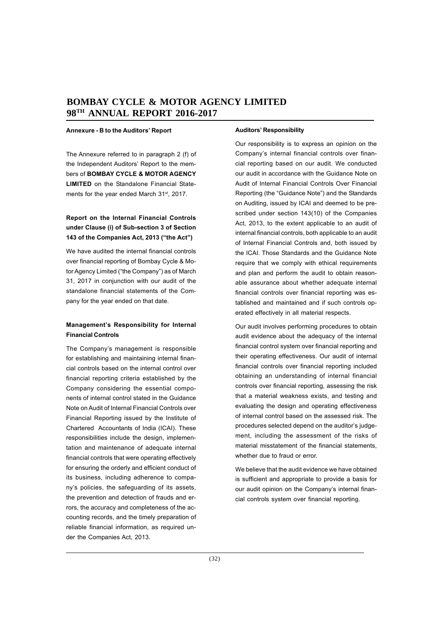#### **Annexure - B to the Auditors' Report**

The Annexure referred to in paragraph 2 (f) of the Independent Auditors' Report to the members of **BOMBAY CYCLE & MOTOR AGENCY LIMITED** on the Standalone Financial Statements for the year ended March 31<sup>st</sup>, 2017.

## **Report on the Internal Financial Controls under Clause (i) of Sub-section 3 of Section 143 of the Companies Act, 2013 ("the Act")**

We have audited the internal financial controls over financial reporting of Bombay Cycle & Motor Agency Limited ("the Company") as of March 31, 2017 in conjunction with our audit of the standalone financial statements of the Company for the year ended on that date.

## **Management's Responsibility for Internal Financial Controls**

The Company's management is responsible for establishing and maintaining internal financial controls based on the internal control over financial reporting criteria established by the Company considering the essential components of internal control stated in the Guidance Note on Audit of Internal Financial Controls over Financial Reporting issued by the Institute of Chartered Accountants of India (ICAI). These responsibilities include the design, implementation and maintenance of adequate internal financial controls that were operating effectively for ensuring the orderly and efficient conduct of its business, including adherence to company's policies, the safeguarding of its assets, the prevention and detection of frauds and errors, the accuracy and completeness of the accounting records, and the timely preparation of reliable financial information, as required under the Companies Act, 2013.

#### **Auditors' Responsibility**

Our responsibility is to express an opinion on the Company's internal financial controls over financial reporting based on our audit. We conducted our audit in accordance with the Guidance Note on Audit of Internal Financial Controls Over Financial Reporting (the "Guidance Note") and the Standards on Auditing, issued by ICAI and deemed to be prescribed under section 143(10) of the Companies Act, 2013, to the extent applicable to an audit of internal financial controls, both applicable to an audit of Internal Financial Controls and, both issued by the ICAI. Those Standards and the Guidance Note require that we comply with ethical requirements and plan and perform the audit to obtain reasonable assurance about whether adequate internal financial controls over financial reporting was established and maintained and if such controls operated effectively in all material respects.

Our audit involves performing procedures to obtain audit evidence about the adequacy of the internal financial control system over financial reporting and their operating effectiveness. Our audit of internal financial controls over financial reporting included obtaining an understanding of internal financial controls over financial reporting, assessing the risk that a material weakness exists, and testing and evaluating the design and operating effectiveness of internal control based on the assessed risk. The procedures selected depend on the auditor's judgement, including the assessment of the risks of material misstatement of the financial statements, whether due to fraud or error.

We believe that the audit evidence we have obtained is sufficient and appropriate to provide a basis for our audit opinion on the Company's internal financial controls system over financial reporting.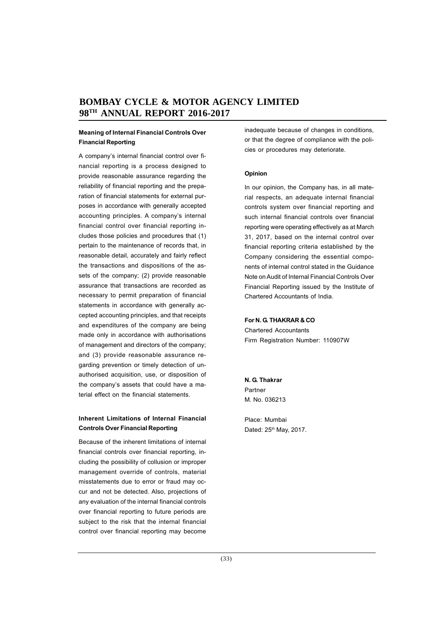## **Meaning of Internal Financial Controls Over Financial Reporting**

A company's internal financial control over financial reporting is a process designed to provide reasonable assurance regarding the reliability of financial reporting and the preparation of financial statements for external purposes in accordance with generally accepted accounting principles. A company's internal financial control over financial reporting includes those policies and procedures that (1) pertain to the maintenance of records that, in reasonable detail, accurately and fairly reflect the transactions and dispositions of the assets of the company; (2) provide reasonable assurance that transactions are recorded as necessary to permit preparation of financial statements in accordance with generally accepted accounting principles, and that receipts and expenditures of the company are being made only in accordance with authorisations of management and directors of the company; and (3) provide reasonable assurance regarding prevention or timely detection of unauthorised acquisition, use, or disposition of the company's assets that could have a material effect on the financial statements.

## **Inherent Limitations of Internal Financial Controls Over Financial Reporting**

Because of the inherent limitations of internal financial controls over financial reporting, including the possibility of collusion or improper management override of controls, material misstatements due to error or fraud may occur and not be detected. Also, projections of any evaluation of the internal financial controls over financial reporting to future periods are subject to the risk that the internal financial control over financial reporting may become

inadequate because of changes in conditions, or that the degree of compliance with the policies or procedures may deteriorate.

#### **Opinion**

In our opinion, the Company has, in all material respects, an adequate internal financial controls system over financial reporting and such internal financial controls over financial reporting were operating effectively as at March 31, 2017, based on the internal control over financial reporting criteria established by the Company considering the essential components of internal control stated in the Guidance Note on Audit of Internal Financial Controls Over Financial Reporting issued by the Institute of Chartered Accountants of India.

#### **For N. G. THAKRAR & CO**

Chartered Accountants Firm Registration Number: 110907W

**N. G. Thakrar** Partner M. No. 036213

Place: Mumbai Dated: 25<sup>th</sup> May, 2017.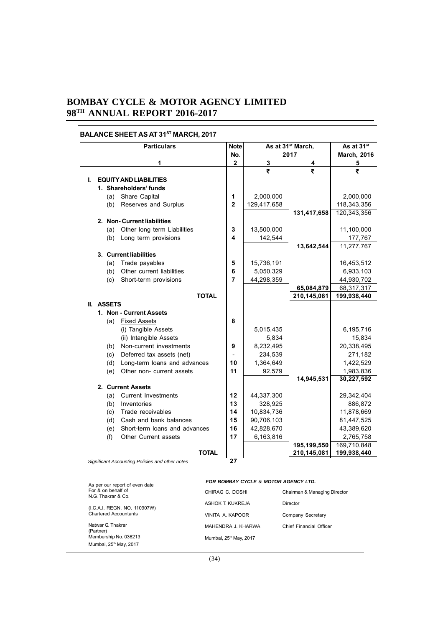## **BALANCE SHEET AS AT 31ST MARCH, 2017**

|    |            |     | <b>Particulars</b>                              | <b>Note</b>    |             | As at 31 <sup>st</sup> March, | As at 31 <sup>st</sup> |
|----|------------|-----|-------------------------------------------------|----------------|-------------|-------------------------------|------------------------|
|    |            |     |                                                 | No.            |             | 2017                          | <b>March, 2016</b>     |
|    |            |     | 1                                               | $\overline{2}$ | 3           | 4                             | 5                      |
|    |            |     |                                                 |                | ₹           | ₹                             | ₹                      |
| L. |            |     | <b>EQUITY AND LIABILITIES</b>                   |                |             |                               |                        |
|    |            |     | 1. Shareholders' funds                          |                |             |                               |                        |
|    |            | (a) | Share Capital                                   | 1              | 2,000,000   |                               | 2,000,000              |
|    |            | (b) | Reserves and Surplus                            | $\overline{2}$ | 129,417,658 |                               | 118,343,356            |
|    |            |     |                                                 |                |             | 131,417,658                   | 120,343,356            |
|    |            |     | 2. Non-Current liabilities                      |                |             |                               |                        |
|    |            | (a) | Other long term Liabilities                     | 3              | 13,500,000  |                               | 11,100,000             |
|    |            | (b) | Long term provisions                            | 4              | 142,544     |                               | 177,767                |
|    |            |     |                                                 |                |             | 13,642,544                    | 11,277,767             |
|    |            |     | 3. Current liabilities                          |                |             |                               |                        |
|    |            | (a) | Trade payables                                  | 5              | 15,736,191  |                               | 16,453,512             |
|    |            | (b) | Other current liabilities                       | 6              | 5,050,329   |                               | 6,933,103              |
|    |            | (c) | Short-term provisions                           | $\overline{7}$ | 44,298,359  |                               | 44,930,702             |
|    |            |     |                                                 |                |             | 65,084,879                    | 68,317,317             |
|    |            |     | <b>TOTAL</b>                                    |                |             | 210,145,081                   | 199,938,440            |
|    | II. ASSETS |     |                                                 |                |             |                               |                        |
|    |            |     | 1. Non - Current Assets<br>(a) Fixed Assets     | 8              |             |                               |                        |
|    |            |     | (i) Tangible Assets                             |                | 5,015,435   |                               | 6,195,716              |
|    |            |     | (ii) Intangible Assets                          |                | 5,834       |                               | 15,834                 |
|    |            | (b) | Non-current investments                         | 9              | 8,232,495   |                               | 20,338,495             |
|    |            | (c) | Deferred tax assets (net)                       |                | 234,539     |                               | 271,182                |
|    |            | (d) | Long-term loans and advances                    | 10             | 1,364,649   |                               | 1,422,529              |
|    |            | (e) | Other non- current assets                       | 11             | 92,579      |                               | 1,983,836              |
|    |            |     |                                                 |                |             | 14,945,531                    | 30,227,592             |
|    |            |     | 2. Current Assets                               |                |             |                               |                        |
|    |            | (a) | <b>Current Investments</b>                      | 12             | 44,337,300  |                               | 29,342,404             |
|    |            | (b) | Inventories                                     | 13             | 328,925     |                               | 886,872                |
|    |            | (c) | Trade receivables                               | 14             | 10,834,736  |                               | 11,878,669             |
|    |            | (d) | Cash and bank balances                          | 15             | 90,706,103  |                               | 81,447,525             |
|    |            | (e) | Short-term loans and advances                   | 16             | 42,828,670  |                               | 43,389,620             |
|    |            | (f) | Other Current assets                            | 17             | 6,163,816   |                               | 2,765,758              |
|    |            |     |                                                 |                |             | 195,199,550                   | 169,710,848            |
|    |            |     | <b>TOTAL</b>                                    |                |             | 210,145,081                   | 199,938,440            |
|    |            |     | Significant Accounting Policies and other notes | 27             |             |                               |                        |

#### *FOR BOMBAY CYCLE & MOTOR AGENCY LTD.*

| As per our report of even date |                                          | FOR BOMBAY CYCLE & MOTOR AGENCY LID. |                              |  |  |
|--------------------------------|------------------------------------------|--------------------------------------|------------------------------|--|--|
|                                | For & on behalf of<br>N.G. Thakrar & Co. | CHIRAG C. DOSHI                      | Chairman & Managing Director |  |  |
|                                | (I.C.A.I. REGN. NO. 110907W)             | ASHOK T. KUKREJA                     | Director                     |  |  |
| <b>Chartered Accountants</b>   |                                          | VINITA A. KAPOOR                     | Company Secretary            |  |  |
|                                | Natwar G. Thakrar<br>(Partner)           | MAHENDRA J. KHARWA                   | Chief Financial Officer      |  |  |
|                                | Membership No. 036213                    | Mumbai, 25 <sup>th</sup> May, 2017   |                              |  |  |
|                                | Mumbai, 25 <sup>th</sup> May, 2017       |                                      |                              |  |  |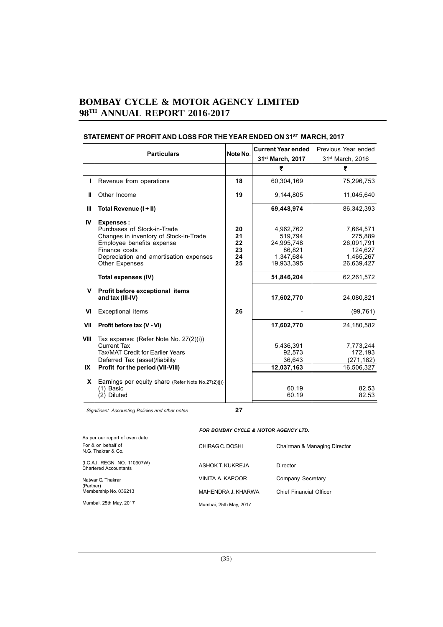|              | Note No.<br><b>Particulars</b>                                                                                                                                                                             |                                  | <b>Current Year ended</b><br>31st March, 2017                           | Previous Year ended<br>31 <sup>st</sup> March, 2016                      |
|--------------|------------------------------------------------------------------------------------------------------------------------------------------------------------------------------------------------------------|----------------------------------|-------------------------------------------------------------------------|--------------------------------------------------------------------------|
|              |                                                                                                                                                                                                            |                                  | ₹                                                                       | ₹                                                                        |
| т            | Revenue from operations                                                                                                                                                                                    | 18                               | 60,304,169                                                              | 75,296,753                                                               |
| Ш            | Other Income                                                                                                                                                                                               | 19                               | 9,144,805                                                               | 11,045,640                                                               |
| Ш            | Total Revenue (I + II)                                                                                                                                                                                     |                                  | 69,448,974                                                              | 86,342,393                                                               |
| IV.          | <b>Expenses:</b><br>Purchases of Stock-in-Trade<br>Changes in inventory of Stock-in-Trade<br>Employee benefits expense<br>Finance costs<br>Depreciation and amortisation expenses<br><b>Other Expenses</b> | 20<br>21<br>22<br>23<br>24<br>25 | 4,962,762<br>519,794<br>24,995,748<br>86,821<br>1,347,684<br>19,933,395 | 7,664,571<br>275,889<br>26,091,791<br>124,627<br>1,465,267<br>26,639,427 |
|              | Total expenses (IV)                                                                                                                                                                                        |                                  | 51,846,204                                                              | 62,261,572                                                               |
| $\mathsf{V}$ | Profit before exceptional items<br>and tax (III-IV)                                                                                                                                                        |                                  | 17,602,770                                                              | 24,080,821                                                               |
| VI           | Exceptional items                                                                                                                                                                                          | 26                               |                                                                         | (99, 761)                                                                |
| VII          | Profit before tax (V - VI)                                                                                                                                                                                 |                                  | 17,602,770                                                              | 24.180.582                                                               |
| VIII<br>IX   | Tax expense: (Refer Note No. 27(2)(i))<br>Current Tax<br><b>Tax/MAT Credit for Earlier Years</b><br>Deferred Tax (asset)/liability<br>Profit for the period (VII-VIII)                                     |                                  | 5,436,391<br>92,573<br>36,643<br>12,037,163                             | 7,773,244<br>172,193<br>(271, 182)<br>16,506,327                         |
| <b>X</b>     | Earnings per equity share (Refer Note No.27(2)(i))<br>(1) Basic<br>(2) Diluted                                                                                                                             |                                  | 60.19<br>60.19                                                          | 82.53<br>82.53                                                           |

# STATEMENT OF PROFIT AND LOSS FOR THE YEAR ENDED ON 31<sup>ST</sup> MARCH, 2017

Significant Accounting Policies and other notes **27**

## *FOR BOMBAY CYCLE & MOTOR AGENCY LTD.*

| As per our report of even date                               |                        |                              |
|--------------------------------------------------------------|------------------------|------------------------------|
| For & on behalf of<br>N.G. Thakrar & Co.                     | CHIRAG C. DOSHI        | Chairman & Managing Director |
| (I.C.A.I. REGN. NO. 110907W)<br><b>Chartered Accountants</b> | ASHOK T. KUKREJA       | Director                     |
| Natwar G. Thakrar<br>(Partner)                               | VINITA A. KAPOOR       | Company Secretary            |
| Membership No. 036213                                        | MAHENDRA J. KHARWA     | Chief Financial Officer      |
| Mumbai, 25th May, 2017                                       | Mumbai, 25th May, 2017 |                              |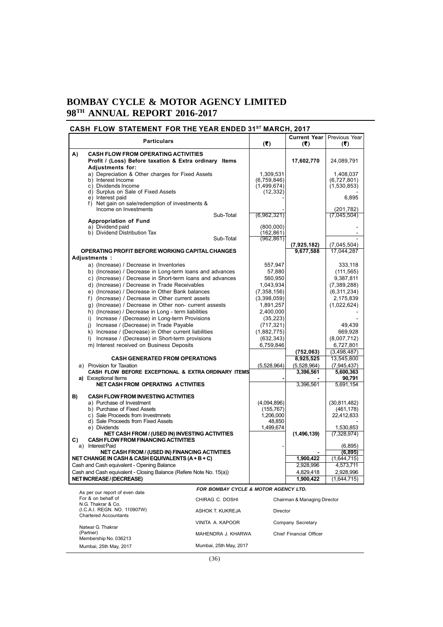# **CASH FLOW STATEMENT FOR THE YEAR ENDED 31ST MARCH, 2017**

|    | <b>Particulars</b>                                                                                      |                                      | (5)                      | <b>Current Year</b><br>(3)   | Previous Year<br>(3)      |
|----|---------------------------------------------------------------------------------------------------------|--------------------------------------|--------------------------|------------------------------|---------------------------|
| A) | <b>CASH FLOW FROM OPERATING ACTIVITIES</b>                                                              |                                      |                          |                              |                           |
|    | Profit / (Loss) Before taxation & Extra ordinary Items<br>Adjustments for:                              |                                      |                          | 17,602,770                   | 24,089,791                |
|    | a) Depreciation & Other charges for Fixed Assets                                                        |                                      | 1,309,531                |                              | 1,408,037                 |
|    | b) Interest Income                                                                                      |                                      | (6,759,846)              |                              | (6,727,801)               |
|    | c) Dividends Income<br>d) Surplus on Sale of Fixed Assets                                               |                                      | (1,499,674)<br>(12, 332) |                              | (1,530,853)               |
|    | e) Interest paid                                                                                        |                                      |                          |                              | 6,895                     |
|    | f) Net gain on sale/redemption of investments &<br>Income on Investments                                |                                      |                          |                              |                           |
|    |                                                                                                         | Sub-Total                            | (6,962,321)              |                              | (201, 782)<br>(7,045,504) |
|    | <b>Appropriation of Fund</b>                                                                            |                                      |                          |                              |                           |
|    | a) Dividend paid<br>b) Dividend Distribution Tax                                                        |                                      | (800,000)<br>(162, 861)  |                              |                           |
|    |                                                                                                         | Sub-Total                            | (962,861)                |                              |                           |
|    |                                                                                                         |                                      |                          | (7,925,182)                  | (7,045,504)               |
|    | OPERATING PROFIT BEFORE WORKING CAPITAL CHANGES                                                         |                                      |                          | 9,677,588                    | 17,044,287                |
|    | Adjustments:                                                                                            |                                      |                          |                              |                           |
|    | a) (Increase) / Decrease in Inventories<br>b) (Increase) / Decrease in Long-term loans and advances     |                                      | 557,947<br>57,880        |                              | 333,118<br>(111, 565)     |
|    | c) (Increase) / Decrease in Short-term loans and advances                                               |                                      | 560,950                  |                              | 9,387,811                 |
|    | d) (Increase) / Decrease in Trade Receivables                                                           |                                      | 1.043.934                |                              | (7,389,288)               |
|    | e) (Increase) / Decrease in Other Bank balances                                                         |                                      | (7,358,156)              |                              | (6,311,234)               |
|    | f) (Increase) / Decrease in Other current assets                                                        |                                      | (3,398,059)              |                              | 2,175,839                 |
|    | q) (Increase) / Decrease in Other non- current assests                                                  |                                      | 1,891,257                |                              | (1,022,624)               |
|    | h) (Increase) / Decrease in Long - term liabilities<br>i) Increase / (Decrease) in Long-term Provisions |                                      | 2,400,000<br>(35, 223)   |                              |                           |
|    | j) Increase / (Decrease) in Trade Payable                                                               |                                      | (717, 321)               |                              | 49,439                    |
|    | k) Increase / (Decrease) in Other current liabilities                                                   |                                      | (1,882,775)              |                              | 669,928                   |
|    | I) Increase / (Decrease) in Short-term provisions                                                       |                                      | (632, 343)               |                              | (8,007,712)               |
|    | m) Interest received on Business Deposits                                                               |                                      | 6.759.846                |                              | 6,727,801                 |
|    |                                                                                                         |                                      |                          | (752,063)                    | (3,498,487)               |
|    | <b>CASH GENERATED FROM OPERATIONS</b><br>a) Provision for Taxation                                      |                                      | (5,528,964)              | 8,925,525<br>(5,528,964)     | 13,545,800<br>(7,945,437) |
|    | CASH FLOW BEFORE EXCEPTIONAL & EXTRA ORDINARY ITEMS                                                     |                                      |                          | 3,396,561                    | 5,600,363                 |
|    | a) Exceptional Items                                                                                    |                                      |                          |                              | 90,791                    |
|    | <b>NET CASH FROM OPERATING A CTIVITIES</b>                                                              |                                      |                          | 3,396,561                    | 5,691,154                 |
| B) | <b>CASH FLOW FROM INVESTING ACTIVITIES</b>                                                              |                                      |                          |                              |                           |
|    | a) Purchase of Investment                                                                               |                                      | (4,094,896)              |                              | (30, 811, 482)            |
|    | b) Purchase of Fixed Assets                                                                             |                                      | (155,767)                |                              | (461, 178)                |
|    | c) Sale Proceeds from Investmnets<br>d) Sale Proceeds from Fixed Assets                                 |                                      | 1,206,000<br>48,850      |                              | 22,412,833                |
|    | e) Dividends                                                                                            |                                      | 1,499,674                |                              | 1,530,853                 |
|    | NET CASH FROM / (USED IN) INVESTING ACTIVITIES                                                          |                                      |                          | (1,496,139)                  | (7,328,974)               |
| C) | <b>CASH FLOW FROM FINANCING ACTIVITIES</b><br>a) Interest Paid                                          |                                      |                          |                              | (6,895)                   |
|    | NET CASH FROM / (USED IN) FINANCING ACTIVITIES                                                          |                                      |                          |                              | (6, 895)                  |
|    | NET CHANGE IN CASH & CASH EQUIVALENTS (A+B+C)                                                           |                                      |                          | 1,900,422                    | (1,644,715)               |
|    | Cash and Cash equivalent - Opening Balance                                                              |                                      |                          | 2,928,996                    | 4,573,711                 |
|    | Cash and Cash equivalent - Closing Balance (Refere Note No. 15(a))                                      |                                      |                          | 4,829,418                    | 2,928,996                 |
|    | <b>NET INCREASE / (DECREASE)</b>                                                                        |                                      |                          | 1,900,422                    | (1,644,715)               |
|    | As per our report of even date                                                                          | FOR BOMBAY CYCLE & MOTOR AGENCY LTD. |                          |                              |                           |
|    | For & on behalf of                                                                                      | CHIRAG C. DOSHI                      |                          | Chairman & Managing Director |                           |
|    | N.G. Thakrar & Co.<br>(I.C.A.I. REGN. NO. 110907W)                                                      |                                      |                          |                              |                           |
|    | <b>Chartered Accountants</b>                                                                            | ASHOK T. KUKREJA                     | Director                 |                              |                           |
|    | Natwar G. Thakrar                                                                                       | VINITA A. KAPOOR                     |                          | Company Secretary            |                           |
|    | (Partner)                                                                                               | MAHENDRA J. KHARWA                   |                          | Chief Financial Officer      |                           |
|    | Membership No. 036213                                                                                   |                                      |                          |                              |                           |
|    | Mumbai, 25th May, 2017                                                                                  | Mumbai, 25th May, 2017               |                          |                              |                           |

Mumbai, 25th May, 2017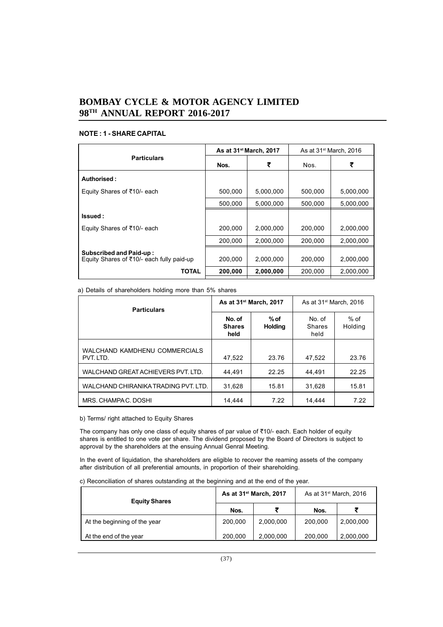## **NOTE : 1 - SHARE CAPITAL**

|                                                                             |         | As at 31 <sup>st</sup> March, 2017 | As at $31st$ March, 2016 |           |
|-----------------------------------------------------------------------------|---------|------------------------------------|--------------------------|-----------|
| <b>Particulars</b>                                                          | Nos.    | ₹                                  | Nos.                     | ₹         |
| Authorised:                                                                 |         |                                    |                          |           |
| Equity Shares of ₹10/- each                                                 | 500.000 | 5.000.000                          | 500.000                  | 5,000,000 |
|                                                                             | 500,000 | 5,000,000                          | 500,000                  | 5,000,000 |
| Issued:                                                                     |         |                                    |                          |           |
| Equity Shares of ₹10/- each                                                 | 200,000 | 2,000,000                          | 200,000                  | 2,000,000 |
|                                                                             | 200,000 | 2,000,000                          | 200.000                  | 2,000,000 |
| <b>Subscribed and Paid-up:</b><br>Equity Shares of ₹10/- each fully paid-up | 200.000 | 2.000.000                          | 200.000                  | 2,000,000 |
| TOTAL                                                                       | 200,000 | 2,000,000                          | 200,000                  | 2,000,000 |

a) Details of shareholders holding more than 5% shares

| <b>Particulars</b>                         |                                 | As at 31 <sup>st</sup> March, 2017 | As at $31st$ March, 2016        |                   |  |
|--------------------------------------------|---------------------------------|------------------------------------|---------------------------------|-------------------|--|
|                                            | No. of<br><b>Shares</b><br>held | $%$ of<br><b>Holding</b>           | No. of<br><b>Shares</b><br>held | $%$ of<br>Holding |  |
| WALCHAND KAMDHENU COMMERCIALS<br>PVT. LTD. | 47.522                          | 23.76                              | 47.522                          | 23.76             |  |
| WALCHAND GREAT ACHIEVERS PVT. LTD.         | 44.491                          | 22.25                              | 44.491                          | 22.25             |  |
| WALCHAND CHIRANIKA TRADING PVT. LTD.       | 31.628                          | 15.81                              | 31,628                          | 15.81             |  |
| MRS. CHAMPAC. DOSHI                        | 14,444                          | 7.22                               | 14.444                          | 7.22              |  |

b) Terms/ right attached to Equity Shares

The company has only one class of equity shares of par value of ₹10/- each. Each holder of equity shares is entitled to one vote per share. The dividend proposed by the Board of Directors is subject to approval by the shareholders at the ensuing Annual Genral Meeting.

In the event of liquidation, the shareholders are eligible to recover the reaming assets of the company after distribution of all preferential amounts, in proportion of their shareholding.

| c) Reconciliation of shares outstanding at the beginning and at the end of the year. |  |  |  |  |
|--------------------------------------------------------------------------------------|--|--|--|--|
|                                                                                      |  |  |  |  |

| <b>Equity Shares</b>         |         | As at 31 <sup>st</sup> March, 2017 | As at $31st$ March, 2016 |           |
|------------------------------|---------|------------------------------------|--------------------------|-----------|
|                              | Nos.    |                                    | Nos.                     |           |
| At the beginning of the year | 200,000 | 2,000,000                          | 200,000                  | 2,000,000 |
| At the end of the year       | 200,000 | 2,000,000                          | 200,000                  | 2,000,000 |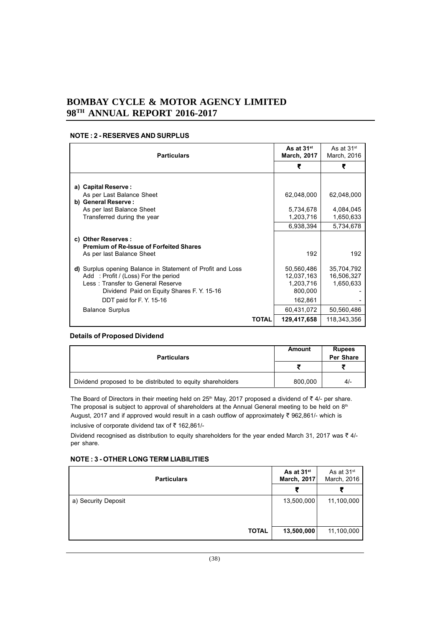## **NOTE : 2 - RESERVES AND SURPLUS**

| <b>Particulars</b>                                                                                                                                                                                                                        | As at 31 <sup>st</sup><br><b>March, 2017</b>                              | As at $31st$<br>March, 2016                         |
|-------------------------------------------------------------------------------------------------------------------------------------------------------------------------------------------------------------------------------------------|---------------------------------------------------------------------------|-----------------------------------------------------|
|                                                                                                                                                                                                                                           | ₹                                                                         | ₹                                                   |
| a) Capital Reserve :<br>As per Last Balance Sheet<br>b) General Reserve:                                                                                                                                                                  | 62,048,000                                                                | 62,048,000                                          |
| As per last Balance Sheet<br>Transferred during the year                                                                                                                                                                                  | 5,734,678<br>1,203,716<br>6,938,394                                       | 4,084,045<br>1,650,633<br>5,734,678                 |
| c) Other Reserves :<br><b>Premium of Re-Issue of Forfeited Shares</b><br>As per last Balance Sheet                                                                                                                                        | 192                                                                       | 192                                                 |
| d) Surplus opening Balance in Statement of Profit and Loss<br>Add: Profit / (Loss) For the period<br>Less: Transfer to General Reserve<br>Dividend Paid on Equity Shares F. Y. 15-16<br>DDT paid for F.Y. 15-16<br><b>Balance Surplus</b> | 50,560,486<br>12,037,163<br>1,203,716<br>800,000<br>162,861<br>60,431,072 | 35,704,792<br>16,506,327<br>1,650,633<br>50,560,486 |
| <b>TOTAL</b>                                                                                                                                                                                                                              | 129,417,658                                                               | 118,343,356                                         |

## **Details of Proposed Dividend**

| <b>Particulars</b>                                         | Amount  | <b>Rupees</b><br>Per Share |
|------------------------------------------------------------|---------|----------------------------|
|                                                            |         |                            |
| Dividend proposed to be distributed to equity shareholders | 800,000 | $4/-$                      |

The Board of Directors in their meeting held on 25<sup>th</sup> May, 2017 proposed a dividend of  $\bar{\tau}$  4/- per share. The proposal is subject to approval of shareholders at the Annual General meeting to be held on 8<sup>th</sup> August, 2017 and if approved would result in a cash outflow of approximately  $\bar{\tau}$  962,861/- which is inclusive of corporate dividend tax of  $\bar{\tau}$  162,861/-

Dividend recognised as distribution to equity shareholders for the year ended March 31, 2017 was  $\bar{\tau}$  4/per share.

## **NOTE : 3 - OTHER LONG TERM LIABILITIES**

| <b>Particulars</b>  | As at 31 <sup>st</sup><br>March, 2017 | As at 31 <sup>st</sup><br>March, 2016 |
|---------------------|---------------------------------------|---------------------------------------|
|                     | ₹                                     |                                       |
| a) Security Deposit | 13,500,000                            | 11,100,000                            |
| <b>TOTAL</b>        | 13,500,000                            | 11,100,000                            |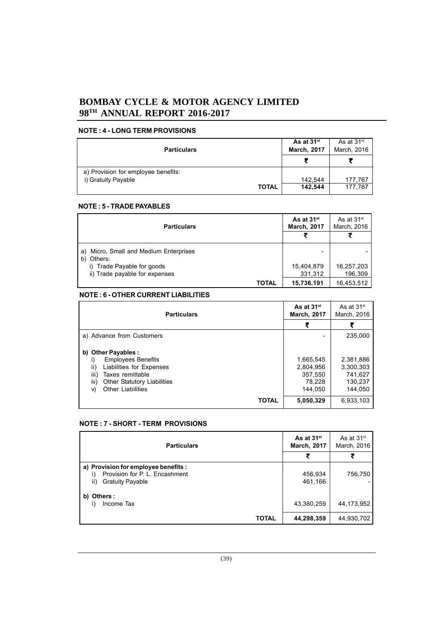## **NOTE : 4 - LONG TERM PROVISIONS**

|                                     | As at 31 <sup>st</sup> | As at $31st$ |
|-------------------------------------|------------------------|--------------|
| <b>Particulars</b>                  | <b>March, 2017</b>     | March, 2016  |
|                                     |                        |              |
| a) Provision for employee benefits: |                        |              |
| i) Gratuity Payable                 | 142.544                | 177,767      |
| <b>TOTAL</b>                        | 142,544                | 177,767      |

## **NOTE : 5 - TRADE PAYABLES**

| <b>Particulars</b>                                         | As at 31 <sup>st</sup><br><b>March, 2017</b> | As at 31 <sup>st</sup><br>March, 2016 |
|------------------------------------------------------------|----------------------------------------------|---------------------------------------|
|                                                            |                                              |                                       |
| Micro, Small and Medium Enterprises<br>a)<br>Others:<br>b) | -                                            |                                       |
| Trade Payable for goods<br>i).                             | 15,404,879                                   | 16,257,203                            |
| ii) Trade payable for expenses                             | 331,312                                      | 196,309                               |
| TOTAL                                                      | 15,736,191                                   | 16,453,512                            |

## **NOTE : 6 - OTHER CURRENT LIABILITIES**

| <b>Particulars</b>                                                                                                                                                                             | As at 31 <sup>st</sup><br><b>March, 2017</b>           | As at $31st$<br>March, 2016                             |
|------------------------------------------------------------------------------------------------------------------------------------------------------------------------------------------------|--------------------------------------------------------|---------------------------------------------------------|
|                                                                                                                                                                                                | ₹                                                      |                                                         |
| a) Advance from Customers                                                                                                                                                                      | -                                                      | 235,000                                                 |
| b) Other Payables :<br><b>Employees Benefits</b><br>ii)<br>Liabilities for Expenses<br>iii)<br>Taxes remittable<br><b>Other Statutory Liabilities</b><br>iv)<br><b>Other Liabilities</b><br>V) | 1,665,545<br>2,804,956<br>357.550<br>78.228<br>144.050 | 2,381,886<br>3.300.303<br>741.627<br>130.237<br>144.050 |
| <b>TOTAL</b>                                                                                                                                                                                   | 5,050,329                                              | 6.933.103                                               |

## **NOTE : 7 - SHORT - TERM PROVISIONS**

| <b>Particulars</b>                                                                                       | As at 31 <sup>st</sup><br>March, 2017 | As at $31st$<br>March, 2016 |
|----------------------------------------------------------------------------------------------------------|---------------------------------------|-----------------------------|
|                                                                                                          |                                       |                             |
| a) Provision for employee benefits :<br>Provision for P. L. Encashment<br>ii)<br><b>Gratuity Payable</b> | 456,934<br>461.166                    | 756,750                     |
| b) Others:<br>Income Tax                                                                                 | 43,380,259                            | 44,173,952                  |
| <b>TOTAL</b>                                                                                             | 44,298,359                            | 44,930,702                  |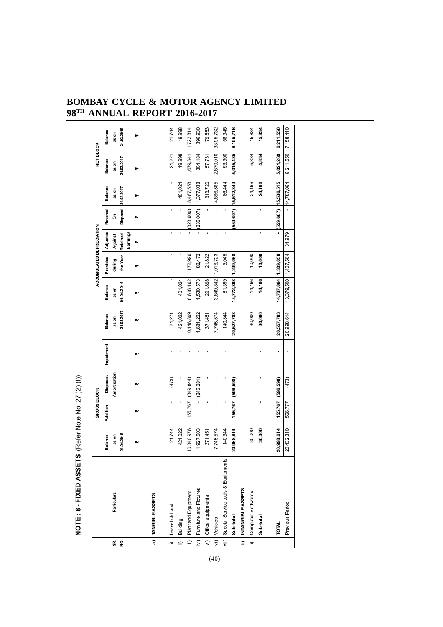|                         |                                         |            | GROSS BLOCK    |               |            |            |                      | ACCUMULATED DEPRECIATION |                      |                 |                      | NET BLOCK  |                |
|-------------------------|-----------------------------------------|------------|----------------|---------------|------------|------------|----------------------|--------------------------|----------------------|-----------------|----------------------|------------|----------------|
|                         |                                         | Balance    | Addition       | Disposal/     | Impairment | Balance    | <b>Balance</b>       | Provided                 | Adjusted             | Reversal        | Balance              | Balance    | <b>Balance</b> |
| 9S                      | Particulars                             | as on      |                | Amortisation  |            | as on      | as on                | during                   | Against              | δ               | as on                | as on      | as on          |
| g                       |                                         | 01.04.2016 |                |               |            | 31.03.2017 | 01.04.2016           | the Year                 | Earnings<br>Retained | <b>Disposal</b> | 31.03.2017           | 31.03.2017 | 31.03.2016     |
|                         |                                         | ь          | M              | M             | ь.         | ь          | ь                    | v                        |                      | ь               | ь                    | ь          | ь              |
| $\overline{\mathbf{a}}$ | TANGIBLE ASSETS                         |            |                |               |            |            |                      |                          |                      |                 |                      |            |                |
| $\hat{=}$               | Leasehold land                          | 21,744     | $\blacksquare$ | (473)         |            | 21,271     |                      | ı                        | ï                    | ï               | ı                    | 21,271     | 21,744         |
| $\equiv$                | Building                                | 421,022    |                |               |            | 421,022    | 401,024              |                          |                      |                 | 401,024              | 19,998     | 19,998         |
| $\equiv$                | Plant and Equipment                     | 10,340,976 | 155,767        | (349, 844)    |            | 10,146,899 | 8,618,162            | 172,996                  |                      | (323, 600)      | 8,467,558            | 1,679,341  | 1,722,814      |
| $\frac{1}{2}$           | Furniture and Fixtures                  | 1,927,503  |                | $-$ (246,281) |            | 1,681,222  | 1,530,573            | 82,472                   |                      | $-$ (236,007)   | 1,377,038            | 304,184    | 396,930        |
|                         | v) Office equipments                    | 371,451    |                |               |            | 371,451    | 291,898              | 21,822                   |                      |                 | 313,720              | 57,731     | 79,553         |
| $\frac{1}{2}$           | Vehicles                                | 7,745,574  |                |               |            | 7,745,574  | 3,849,842            | 1,016,723                |                      |                 | 4,866,565            | 2,879,010  | 38,95,732      |
|                         | vii) Special Service tools & Equipments | 140,344    |                |               |            | 140,344    | 81,399               | 5,045                    |                      |                 | 86,444               | 53,900     | 58,945         |
|                         | Sub-total                               | 20,968,614 | 155,767        | [596,598]     |            | 20,527,783 | 14,772,898           | 1,299,058                |                      | (559,607)       | 15,512,349           | 5,015,435  | 6,195,716      |
| ig                      | INTANGIBLE ASSETS                       |            |                |               |            |            |                      |                          |                      |                 |                      |            |                |
| $\overline{a}$          | Computer Softwares                      | 30,000     |                |               |            | 30,000     | 14,166               | 10,000                   |                      |                 | 24,166               | 5,834      | 15,834         |
|                         | Sub-total                               | 30,000     |                |               |            | 30,000     | 14,166               | 10,000                   | ı                    |                 | 24,166               | 5,834      | 15,834         |
|                         | TOTAL                                   | 20,998,614 | 155,767        | (596,598)     | ı          | 20,557,783 | 14,787,064 1,309,058 |                          |                      |                 | (559,607) 15,536,515 | 5,021,269  | 6,211,550      |
|                         | Previous Period                         | 20,432,310 | 566,777        | (473)         |            | 20,998,614 | 13,379,500 1,407,564 |                          | 31,979               |                 | 14,787,064           | 6,211,550  | 7,158,410      |
|                         |                                         |            |                |               |            |            |                      |                          |                      |                 |                      |            |                |

NOTE: 8 - FIXED ASSETS (Refer Note No. 27 (2) (f)) **NOTE : 8 - FIXED ASSETS** (Refer Note No. 27 (2) (f))

# **BOMBAY CYCLE & MOTOR AGENCY LIMITED 98TH ANNUAL REPORT 2016-2017**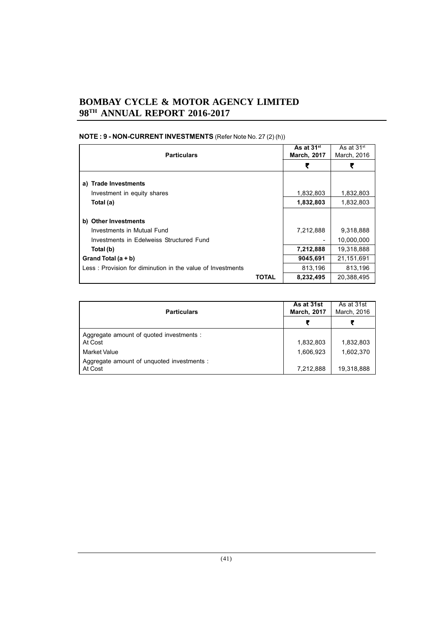| <b>Particulars</b>                                         | As at 31 <sup>st</sup><br><b>March, 2017</b> | As at 31 <sup>st</sup><br>March, 2016 |
|------------------------------------------------------------|----------------------------------------------|---------------------------------------|
|                                                            | ₹                                            | ₹                                     |
| a) Trade Investments                                       |                                              |                                       |
| Investment in equity shares                                | 1,832,803                                    | 1,832,803                             |
| Total (a)                                                  | 1,832,803                                    | 1,832,803                             |
|                                                            |                                              |                                       |
| b) Other Investments                                       |                                              |                                       |
| Investments in Mutual Fund                                 | 7,212,888                                    | 9,318,888                             |
| Investments in Edelweiss Structured Fund                   |                                              | 10,000,000                            |
| Total (b)                                                  | 7,212,888                                    | 19,318,888                            |
| Grand Total $(a + b)$                                      | 9045,691                                     | 21,151,691                            |
| Less: Provision for diminution in the value of Investments | 813,196                                      | 813,196                               |
| TOTAL                                                      | 8,232,495                                    | 20,388,495                            |

# **NOTE : 9 - NON-CURRENT INVESTMENTS** (Refer Note No. 27 (2) (h))

| <b>Particulars</b>                                    | As at 31st<br><b>March, 2017</b> | As at 31st<br>March, 2016 |
|-------------------------------------------------------|----------------------------------|---------------------------|
|                                                       |                                  |                           |
| Aggregate amount of quoted investments :<br>At Cost   | 1,832,803                        | 1,832,803                 |
| Market Value                                          | 1,606,923                        | 1,602,370                 |
| Aggregate amount of unguoted investments :<br>At Cost | 7,212,888                        | 19,318,888                |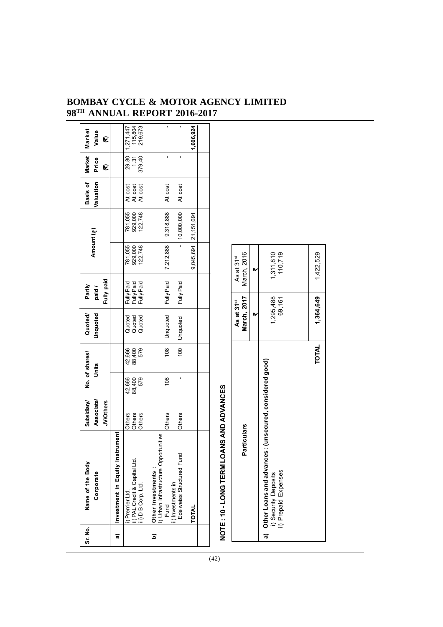| At cost<br>At cost<br>At cost<br>At cost<br>At cost<br>9,318,888<br>781,055<br>929,000<br>122,748<br>10,000,000<br>21,151,691<br>7,212,888<br>781,055<br>929,000<br>122,748<br>9,045,691<br>110,719<br>1,311,810<br>March, 2016<br>1,422,529<br>As at 31 <sup>st</sup><br>₩<br>Fully Paid<br>Fully Paid<br>Fully Paid<br>Fully Paid<br>Fully Paid<br>March, 2017<br>1,364,649<br>1,295,488<br>69,161<br>As at 31 <sup>st</sup><br>▶<br>Unquoted<br>Quoted<br>Quoted<br>Quoted<br>Unquoted<br><b>TOTAL</b><br>108<br>42,666<br>88,400<br>579<br>100<br>Other Loans and advances : (unsecured, considered good)<br>108<br>42,666<br>88,400<br>579<br><b>ANS AND ADVANCES</b><br>Others<br>Others<br>Others<br>Others<br>Others<br>Particulars<br>Investment in Equity Instrument<br>i) Urban Infrastructure Opportunities<br>Edelweiss Structured Fund<br>NOTE: 10-LONG TERM LC<br>ii) PAL Credit & Capital Ltd.<br>iii) D B Corp. Ltd.<br>Other Investments :<br>ii) Prepaid Expenses<br>i) Security Deposits<br>ii) Investments in<br>i) Premier Ltd.<br>Fund<br>TOTAL<br><u>ට</u><br>ನ<br>೯ | Sr. No. | Name of the Body<br>Corporate | Associate<br><b>JV/Others</b><br>Subsidiary/ | No. of shares/<br>Units | Unquoted<br>Quoted/ | Fully paid<br>Partly<br>paid / | Amount (₹) | Valuation<br>Basis of | Market<br>Price<br>C    | Market<br>Value<br>C            |  |
|----------------------------------------------------------------------------------------------------------------------------------------------------------------------------------------------------------------------------------------------------------------------------------------------------------------------------------------------------------------------------------------------------------------------------------------------------------------------------------------------------------------------------------------------------------------------------------------------------------------------------------------------------------------------------------------------------------------------------------------------------------------------------------------------------------------------------------------------------------------------------------------------------------------------------------------------------------------------------------------------------------------------------------------------------------------------------------------------|---------|-------------------------------|----------------------------------------------|-------------------------|---------------------|--------------------------------|------------|-----------------------|-------------------------|---------------------------------|--|
|                                                                                                                                                                                                                                                                                                                                                                                                                                                                                                                                                                                                                                                                                                                                                                                                                                                                                                                                                                                                                                                                                              |         |                               |                                              |                         |                     |                                |            |                       |                         |                                 |  |
|                                                                                                                                                                                                                                                                                                                                                                                                                                                                                                                                                                                                                                                                                                                                                                                                                                                                                                                                                                                                                                                                                              |         |                               |                                              |                         |                     |                                |            |                       | 29.80<br>1.31<br>379.40 | 115,804<br>219,673<br>1,271,447 |  |
|                                                                                                                                                                                                                                                                                                                                                                                                                                                                                                                                                                                                                                                                                                                                                                                                                                                                                                                                                                                                                                                                                              |         |                               |                                              |                         |                     |                                |            |                       | ı                       | ï                               |  |
|                                                                                                                                                                                                                                                                                                                                                                                                                                                                                                                                                                                                                                                                                                                                                                                                                                                                                                                                                                                                                                                                                              |         |                               |                                              |                         |                     |                                |            |                       |                         | ı                               |  |
|                                                                                                                                                                                                                                                                                                                                                                                                                                                                                                                                                                                                                                                                                                                                                                                                                                                                                                                                                                                                                                                                                              |         |                               |                                              |                         |                     |                                |            |                       |                         | 1,606,924                       |  |
|                                                                                                                                                                                                                                                                                                                                                                                                                                                                                                                                                                                                                                                                                                                                                                                                                                                                                                                                                                                                                                                                                              |         |                               |                                              |                         |                     |                                |            |                       |                         |                                 |  |
|                                                                                                                                                                                                                                                                                                                                                                                                                                                                                                                                                                                                                                                                                                                                                                                                                                                                                                                                                                                                                                                                                              |         |                               |                                              |                         |                     |                                |            |                       |                         |                                 |  |
|                                                                                                                                                                                                                                                                                                                                                                                                                                                                                                                                                                                                                                                                                                                                                                                                                                                                                                                                                                                                                                                                                              |         |                               |                                              |                         |                     |                                |            |                       |                         |                                 |  |
|                                                                                                                                                                                                                                                                                                                                                                                                                                                                                                                                                                                                                                                                                                                                                                                                                                                                                                                                                                                                                                                                                              |         |                               |                                              |                         |                     |                                |            |                       |                         |                                 |  |
|                                                                                                                                                                                                                                                                                                                                                                                                                                                                                                                                                                                                                                                                                                                                                                                                                                                                                                                                                                                                                                                                                              |         |                               |                                              |                         |                     |                                |            |                       |                         |                                 |  |
|                                                                                                                                                                                                                                                                                                                                                                                                                                                                                                                                                                                                                                                                                                                                                                                                                                                                                                                                                                                                                                                                                              |         |                               |                                              |                         |                     |                                |            |                       |                         |                                 |  |
|                                                                                                                                                                                                                                                                                                                                                                                                                                                                                                                                                                                                                                                                                                                                                                                                                                                                                                                                                                                                                                                                                              |         |                               |                                              |                         |                     |                                |            |                       |                         |                                 |  |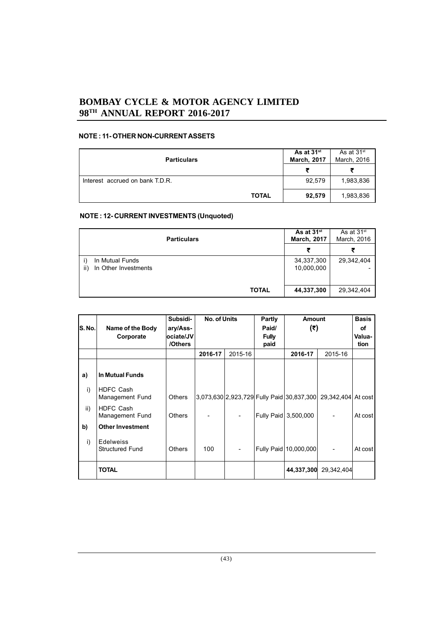## **NOTE : 11- OTHER NON-CURRENT ASSETS**

| <b>Particulars</b>              | As at 31 <sup>st</sup><br><b>March, 2017</b> | As at $31st$<br>March, 2016 |
|---------------------------------|----------------------------------------------|-----------------------------|
|                                 | ₹                                            | 尹                           |
| Interest accrued on bank T.D.R. | 92,579                                       | 1,983,836                   |
| <b>TOTAL</b>                    | 92,579                                       | 1,983,836                   |

## **NOTE : 12- CURRENT INVESTMENTS (Unquoted)**

| <b>Particulars</b>                             | As at 31 <sup>st</sup><br><b>March, 2017</b> | As at 31 <sup>st</sup><br>March, 2016 |
|------------------------------------------------|----------------------------------------------|---------------------------------------|
|                                                | ₹                                            |                                       |
| In Mutual Funds<br>In Other Investments<br>ii) | 34,337,300<br>10,000,000                     | 29,342,404                            |
| <b>TOTAL</b>                                   | 44,337,300                                   | 29,342,404                            |

|        |                                            | Subsidi-             | No. of Units |         | Partly               | <b>Amount</b>                             |                    | <b>Basis</b>   |
|--------|--------------------------------------------|----------------------|--------------|---------|----------------------|-------------------------------------------|--------------------|----------------|
| S. No. | Name of the Body                           | ary/Ass-             |              |         | Paid/                | (₹)                                       |                    | оf             |
|        | Corporate                                  | ociate/JV<br>/Others |              |         | <b>Fully</b><br>paid |                                           |                    | Valua-<br>tion |
|        |                                            |                      | 2016-17      | 2015-16 |                      | 2016-17                                   | 2015-16            |                |
| a)     | <b>In Mutual Funds</b>                     |                      |              |         |                      |                                           |                    |                |
| i)     | HDFC Cash<br>Management Fund               | <b>Others</b>        |              |         |                      | 3,073,630 2,923,729 Fully Paid 30,837,300 | 29,342,404 At cost |                |
| ii)    | <b>HDFC Cash</b><br>Management Fund        | <b>Others</b>        |              |         |                      | Fully Paid 3,500,000                      |                    | At cost        |
| b)     | <b>Other Investment</b>                    |                      |              |         |                      |                                           |                    |                |
| i)     | <b>Edelweiss</b><br><b>Structured Fund</b> | <b>Others</b>        | 100          |         |                      | Fully Paid 10,000,000                     |                    | At cost        |
|        | <b>TOTAL</b>                               |                      |              |         |                      | 44,337,300                                | 29,342,404         |                |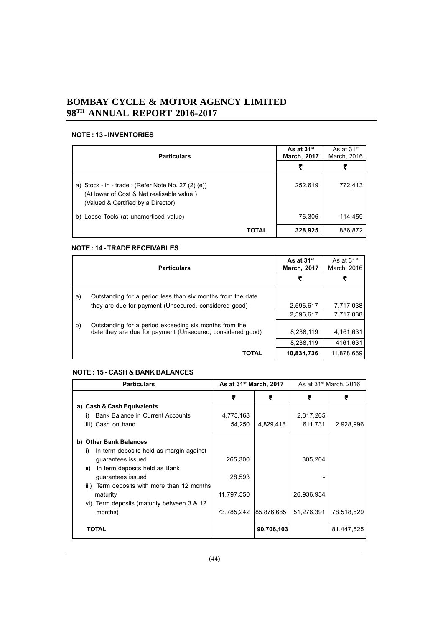## **NOTE : 13 - INVENTORIES**

| <b>Particulars</b>                                                                                                                       | As at 31 <sup>st</sup><br><b>March, 2017</b> | As at $31st$<br>March, 2016 |
|------------------------------------------------------------------------------------------------------------------------------------------|----------------------------------------------|-----------------------------|
|                                                                                                                                          | ₹                                            | ₹                           |
| a) Stock - in - trade : (Refer Note No. 27 $(2)$ (e))<br>(At lower of Cost & Net realisable value)<br>(Valued & Certified by a Director) | 252,619                                      | 772,413                     |
| b) Loose Tools (at unamortised value)                                                                                                    | 76,306                                       | 114,459                     |
| <b>TOTAL</b>                                                                                                                             | 328,925                                      | 886,872                     |

## **NOTE : 14 - TRADE RECEIVABLES**

|    | <b>Particulars</b>                                          | As at 31 <sup>st</sup><br><b>March, 2017</b> | As at 31 <sup>st</sup><br>March, 2016 |
|----|-------------------------------------------------------------|----------------------------------------------|---------------------------------------|
|    |                                                             | ₹                                            |                                       |
| a) | Outstanding for a period less than six months from the date |                                              |                                       |
|    | they are due for payment (Unsecured, considered good)       | 2,596,617                                    | 7,717,038                             |
|    |                                                             | 2,596,617                                    | 7,717,038                             |
| b) | Outstanding for a period exceeding six months from the      |                                              |                                       |
|    | date they are due for payment (Unsecured, considered good)  | 8,238,119                                    | 4.161.631                             |
|    |                                                             | 8,238,119                                    | 4161,631                              |
|    | TOTAL                                                       | 10,834,736                                   | 11,878,669                            |

## **NOTE : 15 - CASH & BANK BALANCES**

| <b>Particulars</b>                             | As at 31 <sup>st</sup> March, 2017 |            | As at $31st$ March, 2016 |            |
|------------------------------------------------|------------------------------------|------------|--------------------------|------------|
|                                                | ₹                                  | ₹          | ₹                        | ₹          |
| a) Cash & Cash Equivalents                     |                                    |            |                          |            |
| <b>Bank Balance in Current Accounts</b><br>I)  | 4,775,168                          |            | 2,317,265                |            |
| iii) Cash on hand                              | 54,250                             | 4,829,418  | 611,731                  | 2,928,996  |
| b) Other Bank Balances                         |                                    |            |                          |            |
| In term deposits held as margin against<br>i)  |                                    |            |                          |            |
| guarantees issued                              | 265,300                            |            | 305,204                  |            |
| In term deposits held as Bank<br>ii)           |                                    |            |                          |            |
| guarantees issued                              | 28,593                             |            |                          |            |
| Term deposits with more than 12 months<br>iii) |                                    |            |                          |            |
| maturity                                       | 11,797,550                         |            | 26,936,934               |            |
| vi) Term deposits (maturity between 3 & 12     |                                    |            |                          |            |
| months)                                        | 73,785,242                         | 85,876,685 | 51,276,391               | 78,518,529 |
| <b>TOTAL</b>                                   |                                    | 90,706,103 |                          | 81,447,525 |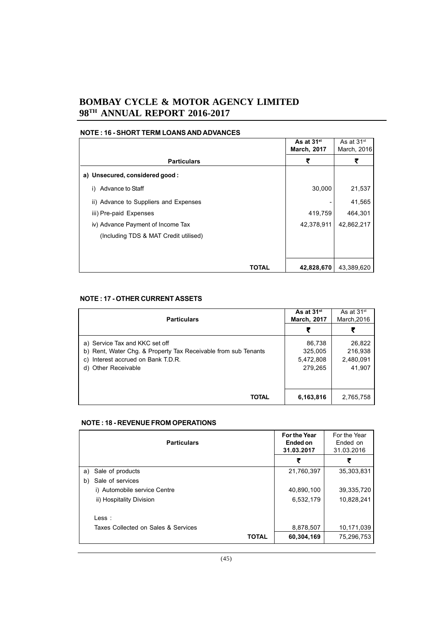|                                       | As at 31 <sup>st</sup><br><b>March, 2017</b> | As at $31st$<br>March, 2016 |
|---------------------------------------|----------------------------------------------|-----------------------------|
| <b>Particulars</b>                    | ₹                                            | ₹                           |
| a) Unsecured, considered good:        |                                              |                             |
| Advance to Staff<br>i)                | 30,000                                       | 21,537                      |
| ii) Advance to Suppliers and Expenses |                                              | 41,565                      |
| iii) Pre-paid Expenses                | 419,759                                      | 464,301                     |
| iv) Advance Payment of Income Tax     | 42,378,911                                   | 42,862,217                  |
| (Including TDS & MAT Credit utilised) |                                              |                             |
|                                       |                                              |                             |
| TOTAL                                 | 42,828,670                                   | 43,389,620                  |

# **NOTE : 16 - SHORT TERM LOANS AND ADVANCES**

# **NOTE : 17 - OTHER CURRENT ASSETS**

| <b>Particulars</b>                                             | As at 31 <sup>st</sup><br><b>March, 2017</b> | As at $31st$<br>March, 2016 |
|----------------------------------------------------------------|----------------------------------------------|-----------------------------|
|                                                                | ₹                                            |                             |
| a) Service Tax and KKC set off                                 | 86,738                                       | 26,822                      |
| b) Rent, Water Chg. & Property Tax Receivable from sub Tenants | 325,005                                      | 216,938                     |
| Interest accrued on Bank T.D.R.                                | 5,472,808                                    | 2,480,091                   |
| d) Other Receivable                                            | 279.265                                      | 41.907                      |
|                                                                |                                              |                             |
|                                                                |                                              |                             |
| <b>TOTAL</b>                                                   | 6,163,816                                    | 2,765,758                   |

#### **NOTE : 18 - REVENUE FROM OPERATIONS**

| <b>Particulars</b>                  |              | For the Year<br>Ended on<br>31.03.2017 | For the Year<br>Ended on<br>31.03.2016 |
|-------------------------------------|--------------|----------------------------------------|----------------------------------------|
|                                     |              | ₹                                      | ₹                                      |
| a) Sale of products                 |              | 21,760,397                             | 35,303,831                             |
| Sale of services<br>b)              |              |                                        |                                        |
| i) Automobile service Centre        |              | 40,890,100                             | 39,335,720                             |
| ii) Hospitality Division            |              | 6,532,179                              | 10,828,241                             |
| $\mathsf{Less}$ :                   |              |                                        |                                        |
| Taxes Collected on Sales & Services |              | 8,878,507                              | 10,171,039                             |
|                                     | <b>TOTAL</b> | 60,304,169                             | 75,296,753                             |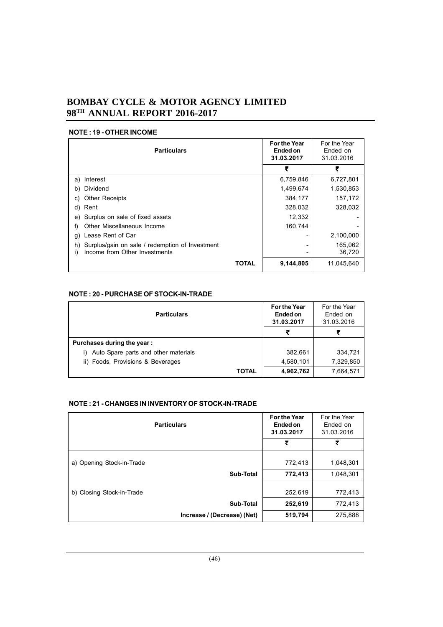## **NOTE : 19 - OTHER INCOME**

| <b>Particulars</b>                                    |       | <b>For the Year</b><br>Ended on<br>31.03.2017 | For the Year<br>Ended on<br>31.03.2016 |
|-------------------------------------------------------|-------|-----------------------------------------------|----------------------------------------|
|                                                       |       | ₹                                             | ₹                                      |
| a) Interest                                           |       | 6,759,846                                     | 6,727,801                              |
| Dividend<br>b)                                        |       | 1,499,674                                     | 1,530,853                              |
| <b>Other Receipts</b><br>C)                           |       | 384,177                                       | 157,172                                |
| d) Rent                                               |       | 328,032                                       | 328,032                                |
| Surplus on sale of fixed assets<br>e)                 |       | 12,332                                        |                                        |
| Other Miscellaneous Income<br>f)                      |       | 160,744                                       |                                        |
| Lease Rent of Car<br>g)                               |       |                                               | 2,100,000                              |
| Surplus/gain on sale / redemption of Investment<br>h) |       |                                               | 165,062                                |
| Income from Other Investments<br>i)                   |       |                                               | 36,720                                 |
|                                                       | TOTAL | 9,144,805                                     | 11,045,640                             |

## **NOTE : 20 - PURCHASE OF STOCK-IN-TRADE**

| <b>Particulars</b>                         | <b>For the Year</b><br>Ended on<br>31.03.2017 | For the Year<br>Ended on<br>31.03.2016 |
|--------------------------------------------|-----------------------------------------------|----------------------------------------|
|                                            |                                               |                                        |
| Purchases during the year:                 |                                               |                                        |
| Auto Spare parts and other materials<br>I) | 382,661                                       | 334,721                                |
| ii) Foods, Provisions & Beverages          | 4,580,101                                     | 7,329,850                              |
| TOTAL                                      | 4,962,762                                     | 7,664,571                              |

## **NOTE : 21 - CHANGES IN INVENTORY OF STOCK-IN-TRADE**

| <b>Particulars</b>          | <b>For the Year</b><br>Ended on<br>31.03.2017 | For the Year<br>Ended on<br>31.03.2016 |
|-----------------------------|-----------------------------------------------|----------------------------------------|
|                             | ₹                                             | ₹                                      |
| a) Opening Stock-in-Trade   | 772,413                                       | 1,048,301                              |
| Sub-Total                   | 772,413                                       | 1,048,301                              |
| b) Closing Stock-in-Trade   | 252,619                                       | 772,413                                |
| Sub-Total                   | 252,619                                       | 772,413                                |
| Increase / (Decrease) (Net) | 519,794                                       | 275,888                                |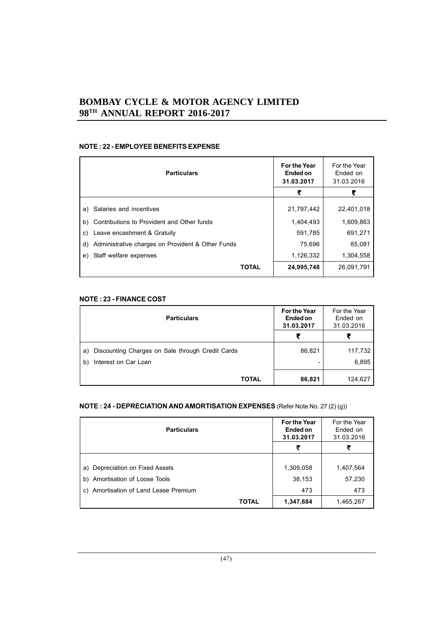## **NOTE : 22 - EMPLOYEE BENEFITS EXPENSE**

| <b>Particulars</b>                                      | <b>For the Year</b><br>Ended on<br>31.03.2017 | For the Year<br>Ended on<br>31.03.2016 |
|---------------------------------------------------------|-----------------------------------------------|----------------------------------------|
|                                                         | ₹                                             |                                        |
| a) Salaries and incentives                              | 21,797,442                                    | 22,401,018                             |
| Contributions to Provident and Other funds<br>b)        | 1,404,493                                     | 1,609,863                              |
| Leave encashment & Gratuity<br>C)                       | 591,785                                       | 691,271                                |
| Administrative charges on Provident & Other Funds<br>d) | 75,696                                        | 85,081                                 |
| Staff welfare expenses<br>e)                            | 1,126,332                                     | 1,304,558                              |
| TOTAL                                                   | 24,995,748                                    | 26,091,791                             |

## **NOTE : 23 - FINANCE COST**

| <b>Particulars</b>                                     | <b>For the Year</b><br>Ended on<br>31.03.2017 | For the Year<br>Ended on<br>31.03.2016 |
|--------------------------------------------------------|-----------------------------------------------|----------------------------------------|
|                                                        | ₹                                             |                                        |
| Discounting Charges on Sale through Credit Cards<br>a) | 86,821                                        | 117,732                                |
| Interest on Car Loan<br>b)                             |                                               | 6,895                                  |
| <b>TOTAL</b>                                           | 86,821                                        | 124,627                                |

## **NOTE : 24 - DEPRECIATION AND AMORTISATION EXPENSES** (Refer Note No. 27 (2) (g))

| <b>Particulars</b>                    | For the Year<br>Ended on<br>31.03.2017 | For the Year<br>Ended on<br>31.03.2016 |
|---------------------------------------|----------------------------------------|----------------------------------------|
|                                       |                                        |                                        |
|                                       |                                        |                                        |
| Depreciation on Fixed Assets<br>a)    | 1,309,058                              | 1,407,564                              |
| b) Amortisation of Loose Tools        | 38,153                                 | 57,230                                 |
| c) Amortisation of Land Lease Premium | 473                                    | 473                                    |
| TOTAL                                 | 1,347,684                              | 1,465,267                              |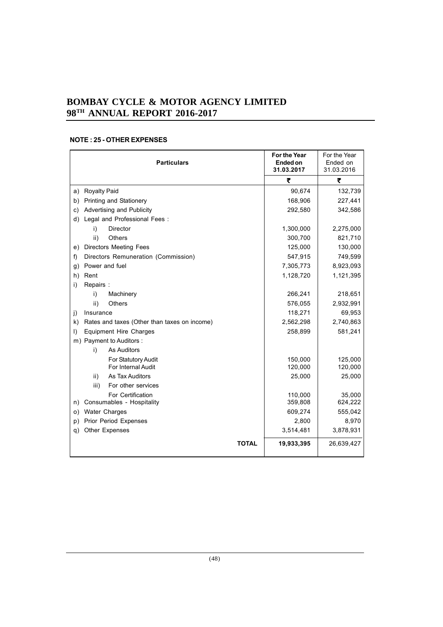| <b>Particulars</b>                                           | For the Year<br>Ended on<br>31.03.2017 | For the Year<br>Ended on<br>31.03.2016 |
|--------------------------------------------------------------|----------------------------------------|----------------------------------------|
|                                                              | ₹                                      | ₹                                      |
| <b>Royalty Paid</b><br>a)                                    | 90,674                                 | 132,739                                |
| Printing and Stationery<br>b)                                | 168,906                                | 227,441                                |
| Advertising and Publicity<br>c)                              | 292,580                                | 342,586                                |
| Legal and Professional Fees :<br>d)                          |                                        |                                        |
| <b>Director</b><br>i)                                        | 1,300,000                              | 2,275,000                              |
| ii)<br><b>Others</b>                                         | 300,700                                | 821,710                                |
| <b>Directors Meeting Fees</b><br>e)                          | 125,000                                | 130,000                                |
| Directors Remuneration (Commission)<br>f)                    | 547,915                                | 749,599                                |
| Power and fuel<br>g)                                         | 7,305,773                              | 8,923,093                              |
| h)<br>Rent                                                   | 1,128,720                              | 1,121,395                              |
| Repairs:<br>i)                                               |                                        |                                        |
| Machinery<br>i)                                              | 266,241                                | 218,651                                |
| ii)<br><b>Others</b>                                         | 576,055                                | 2,932,991                              |
| Insurance<br>$\mathbf{i}$                                    | 118,271                                | 69,953                                 |
| Rates and taxes (Other than taxes on income)<br>$\mathsf{k}$ | 2,562,298                              | 2,740,863                              |
| <b>Equipment Hire Charges</b><br>I)                          | 258,899                                | 581,241                                |
| m) Payment to Auditors :                                     |                                        |                                        |
| <b>As Auditors</b><br>i)                                     |                                        |                                        |
| For Statutory Audit<br>For Internal Audit                    | 150,000<br>120,000                     | 125,000<br>120,000                     |
| As Tax Auditors<br>ii)                                       | 25,000                                 | 25,000                                 |
| iii)<br>For other services                                   |                                        |                                        |
| For Certification                                            | 110,000                                | 35,000                                 |
| Consumables - Hospitality<br>n)                              | 359,808                                | 624,222                                |
| <b>Water Charges</b><br>O)                                   | 609,274                                | 555,042                                |
| Prior Period Expenses<br>p)                                  | 2,800                                  | 8,970                                  |
| <b>Other Expenses</b><br>q)                                  | 3,514,481                              | 3,878,931                              |
| <b>TOTAL</b>                                                 | 19,933,395                             | 26,639,427                             |

# **NOTE : 25 - OTHER EXPENSES**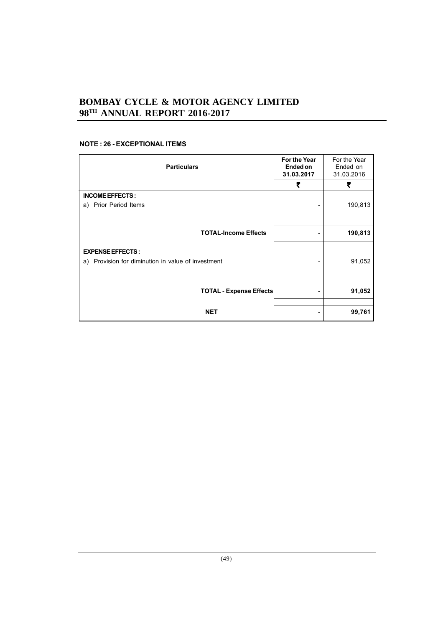## **NOTE : 26 - EXCEPTIONAL ITEMS**

| <b>Particulars</b>                                                            | For the Year<br>Ended on<br>31.03.2017 | For the Year<br>Ended on<br>31.03.2016 |
|-------------------------------------------------------------------------------|----------------------------------------|----------------------------------------|
|                                                                               | ₹                                      | ₹                                      |
| <b>INCOME EFFECTS:</b><br>a) Prior Period Items                               |                                        | 190,813                                |
| <b>TOTAL-Income Effects</b>                                                   |                                        | 190,813                                |
| <b>EXPENSE EFFECTS:</b><br>a) Provision for diminution in value of investment |                                        | 91,052                                 |
| <b>TOTAL - Expense Effects</b>                                                | -                                      | 91,052                                 |
| <b>NET</b>                                                                    |                                        | 99,761                                 |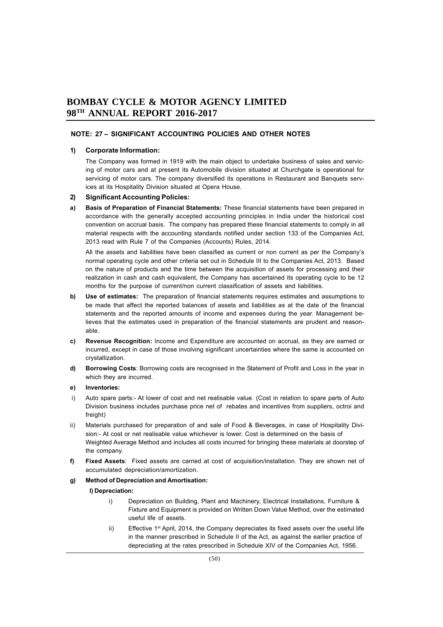## **NOTE: 27 – SIGNIFICANT ACCOUNTING POLICIES AND OTHER NOTES**

## **1) Corporate Information:**

The Company was formed in 1919 with the main object to undertake business of sales and servicing of motor cars and at present its Automobile division situated at Churchgate is operational for servicing of motor cars. The company diversified its operations in Restaurant and Banquets services at its Hospitality Division situated at Opera House.

## **2) Significant Accounting Policies:**

**a) Basis of Preparation of Financial Statements:** These financial statements have been prepared in accordance with the generally accepted accounting principles in India under the historical cost convention on accrual basis. The company has prepared these financial statements to comply in all material respects with the accounting standards notified under section 133 of the Companies Act, 2013 read with Rule 7 of the Companies (Accounts) Rules, 2014.

All the assets and liabilities have been classified as current or non current as per the Company's normal operating cycle and other criteria set out in Schedule III to the Companies Act, 2013. Based on the nature of products and the time between the acquisition of assets for processing and their realization in cash and cash equivalent, the Company has ascertained its operating cycle to be 12 months for the purpose of current/non current classification of assets and liabilities.

- **b) Use of estimates:** The preparation of financial statements requires estimates and assumptions to be made that affect the reported balances of assets and liabilities as at the date of the financial statements and the reported amounts of income and expenses during the year. Management believes that the estimates used in preparation of the financial statements are prudent and reasonable.
- **c) Revenue Recognition:** Income and Expenditure are accounted on accrual, as they are earned or incurred, except in case of those involving significant uncertainties where the same is accounted on crystallization.
- **d) Borrowing Costs**: Borrowing costs are recognised in the Statement of Profit and Loss in the year in which they are incurred.

#### **e) Inventories:**

- i) Auto spare parts:- At lower of cost and net realisable value. (Cost in relation to spare parts of Auto Division business includes purchase price net of rebates and incentives from suppliers, octroi and freight)
- ii) Materials purchased for preparation of and sale of Food & Beverages, in case of Hospitality Division:- At cost or net realisable value whichever is lower. Cost is determined on the basis of Weighted Average Method and includes all costs incurred for bringing these materials at doorstep of the company.
- **f) Fixed Assets**: Fixed assets are carried at cost of acquisition/installation. They are shown net of accumulated depreciation/amortization.

#### **g) Method of Depreciation and Amortisation:**

#### **I) Depreciation:**

- i) Depreciation on Building, Plant and Machinery, Electrical Installations, Furniture & Fixture and Equipment is provided on Written Down Value Method, over the estimated useful life of assets.
- ii) Effective 1<sup>st</sup> April, 2014, the Company depreciates its fixed assets over the useful life in the manner prescribed in Schedule II of the Act, as against the earlier practice of depreciating at the rates prescribed in Schedule XIV of the Companies Act, 1956.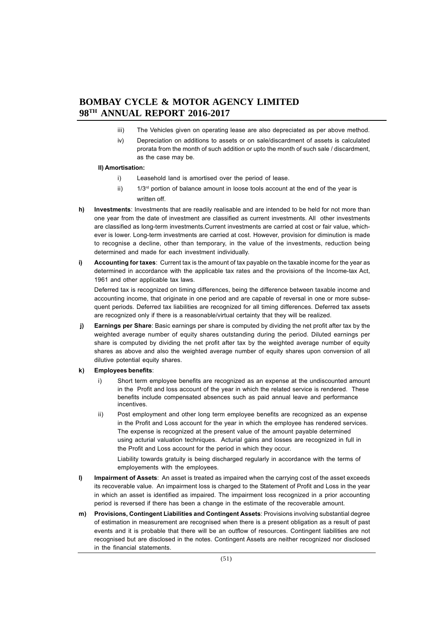- iii) The Vehicles given on operating lease are also depreciated as per above method.
- iv) Depreciation on additions to assets or on sale/discardment of assets is calculated prorata from the month of such addition or upto the month of such sale / discardment, as the case may be.

#### **II) Amortisation:**

- i) Leasehold land is amortised over the period of lease.
- ii)  $1/3^{rd}$  portion of balance amount in loose tools account at the end of the year is written off.
- **h) Investments**: Investments that are readily realisable and are intended to be held for not more than one year from the date of investment are classified as current investments. All other investments are classified as long-term investments.Current investments are carried at cost or fair value, whichever is lower. Long-term investments are carried at cost. However, provision for diminution is made to recognise a decline, other than temporary, in the value of the investments, reduction being determined and made for each investment individually.
- **i) Accounting for taxes**: Current tax is the amount of tax payable on the taxable income for the year as determined in accordance with the applicable tax rates and the provisions of the Income-tax Act, 1961 and other applicable tax laws.

Deferred tax is recognized on timing differences, being the difference between taxable income and accounting income, that originate in one period and are capable of reversal in one or more subsequent periods. Deferred tax liabilities are recognized for all timing differences. Deferred tax assets are recognized only if there is a reasonable/virtual certainty that they will be realized.

- *j***)** Earnings per Share: Basic earnings per share is computed by dividing the net profit after tax by the weighted average number of equity shares outstanding during the period. Diluted earnings per share is computed by dividing the net profit after tax by the weighted average number of equity shares as above and also the weighted average number of equity shares upon conversion of all dilutive potential equity shares.
- **k) Employees benefits**:
	- i) Short term employee benefits are recognized as an expense at the undiscounted amount in the Profit and loss account of the year in which the related service is rendered. These benefits include compensated absences such as paid annual leave and performance incentives.
	- ii) Post employment and other long term employee benefits are recognized as an expense in the Profit and Loss account for the year in which the employee has rendered services. The expense is recognized at the present value of the amount payable determined using acturial valuation techniques. Acturial gains and losses are recognized in full in the Profit and Loss account for the period in which they occur.

Liability towards gratuity is being discharged regularly in accordance with the terms of employements with the employees.

- **l) Impairment of Assets**: An asset is treated as impaired when the carrying cost of the asset exceeds its recoverable value. An impairment loss is charged to the Statement of Profit and Loss in the year in which an asset is identified as impaired. The impairment loss recognized in a prior accounting period is reversed if there has been a change in the estimate of the recoverable amount.
- **m) Provisions, Contingent Liabilities and Contingent Assets**: Provisions involving substantial degree of estimation in measurement are recognised when there is a present obligation as a result of past events and it is probable that there will be an outflow of resources. Contingent liabilities are not recognised but are disclosed in the notes. Contingent Assets are neither recognized nor disclosed in the financial statements.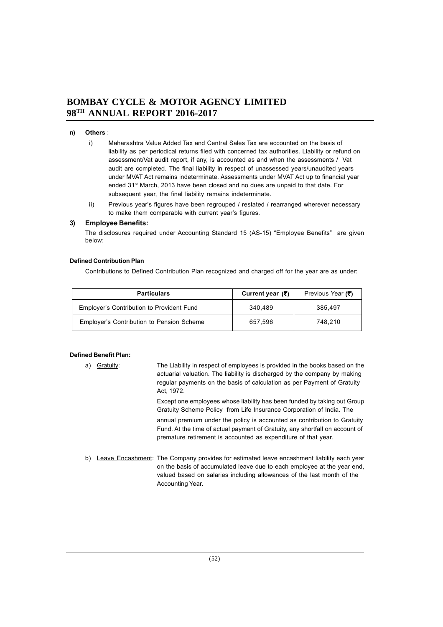## **n) Others** :

- i) Maharashtra Value Added Tax and Central Sales Tax are accounted on the basis of liability as per periodical returns filed with concerned tax authorities. Liability or refund on assessment/Vat audit report, if any, is accounted as and when the assessments / Vat audit are completed. The final liability in respect of unassessed years/unaudited years under MVAT Act remains indeterminate. Assessments under MVAT Act up to financial year ended 31st March, 2013 have been closed and no dues are unpaid to that date. For subsequent year, the final liability remains indeterminate.
- ii) Previous year's figures have been regrouped / restated / rearranged wherever necessary to make them comparable with current year's figures.

#### **3) Employee Benefits:**

The disclosures required under Accounting Standard 15 (AS-15) "Employee Benefits" are given below:

#### **Defined Contribution Plan**

Contributions to Defined Contribution Plan recognized and charged off for the year are as under:

| <b>Particulars</b>                               | Current year $(3)$ | Previous Year (₹) |
|--------------------------------------------------|--------------------|-------------------|
| Employer's Contribution to Provident Fund        | 340.489            | 385.497           |
| <b>Employer's Contribution to Pension Scheme</b> | 657.596            | 748.210           |

#### **Defined Benefit Plan:**

- a) Gratuity: The Liability in respect of employees is provided in the books based on the actuarial valuation. The liability is discharged by the company by making regular payments on the basis of calculation as per Payment of Gratuity Act, 1972. Except one employees whose liability has been funded by taking out Group Gratuity Scheme Policy from Life Insurance Corporation of India. The annual premium under the policy is accounted as contribution to Gratuity Fund. At the time of actual payment of Gratuity, any shortfall on account of premature retirement is accounted as expenditure of that year.
- b) Leave Encashment: The Company provides for estimated leave encashment liability each year on the basis of accumulated leave due to each employee at the year end, valued based on salaries including allowances of the last month of the Accounting Year.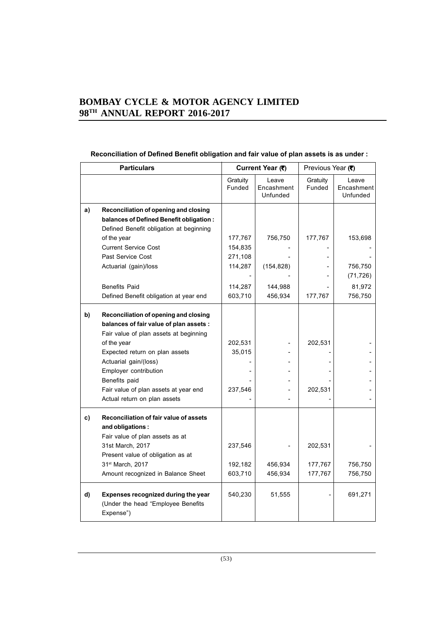# **Reconciliation of Defined Benefit obligation and fair value of plan assets is as under :**

| <b>Particulars</b> |                                                                                               | Current Year (₹)   |                                 | Previous Year (₹)  |                                 |
|--------------------|-----------------------------------------------------------------------------------------------|--------------------|---------------------------------|--------------------|---------------------------------|
|                    |                                                                                               | Gratuity<br>Funded | Leave<br>Encashment<br>Unfunded | Gratuity<br>Funded | Leave<br>Encashment<br>Unfunded |
| a)                 | Reconciliation of opening and closing                                                         |                    |                                 |                    |                                 |
|                    | balances of Defined Benefit obligation :                                                      |                    |                                 |                    |                                 |
|                    | Defined Benefit obligation at beginning                                                       |                    |                                 |                    |                                 |
|                    | of the year                                                                                   | 177,767            | 756,750                         | 177,767            | 153,698                         |
|                    | <b>Current Service Cost</b>                                                                   | 154,835            |                                 |                    |                                 |
|                    | Past Service Cost                                                                             | 271,108            |                                 |                    |                                 |
|                    | Actuarial (gain)/loss                                                                         | 114,287            | (154, 828)                      |                    | 756,750                         |
|                    |                                                                                               |                    |                                 |                    | (71, 726)                       |
|                    | <b>Benefits Paid</b>                                                                          | 114,287            | 144,988                         |                    | 81,972                          |
|                    | Defined Benefit obligation at year end                                                        | 603,710            | 456,934                         | 177,767            | 756,750                         |
| b)                 | Reconciliation of opening and closing<br>balances of fair value of plan assets :              |                    |                                 |                    |                                 |
|                    | Fair value of plan assets at beginning                                                        |                    |                                 |                    |                                 |
|                    | of the year                                                                                   | 202,531            |                                 | 202,531            |                                 |
|                    | Expected return on plan assets                                                                | 35,015             |                                 |                    |                                 |
|                    | Actuarial gain/(loss)                                                                         |                    |                                 |                    |                                 |
|                    | Employer contribution                                                                         |                    |                                 |                    |                                 |
|                    | Benefits paid                                                                                 |                    |                                 |                    |                                 |
|                    | Fair value of plan assets at year end                                                         | 237,546            |                                 | 202,531            |                                 |
|                    | Actual return on plan assets                                                                  |                    |                                 |                    |                                 |
| c)                 | Reconciliation of fair value of assets<br>and obligations:<br>Fair value of plan assets as at |                    |                                 |                    |                                 |
|                    | 31st March, 2017                                                                              | 237,546            |                                 | 202,531            |                                 |
|                    | Present value of obligation as at                                                             |                    |                                 |                    |                                 |
|                    | 31st March, 2017                                                                              | 192,182            | 456,934                         | 177,767            | 756,750                         |
|                    | Amount recognized in Balance Sheet                                                            | 603,710            | 456,934                         | 177,767            | 756,750                         |
| d)                 | Expenses recognized during the year<br>(Under the head "Employee Benefits<br>Expense")        | 540,230            | 51,555                          |                    | 691,271                         |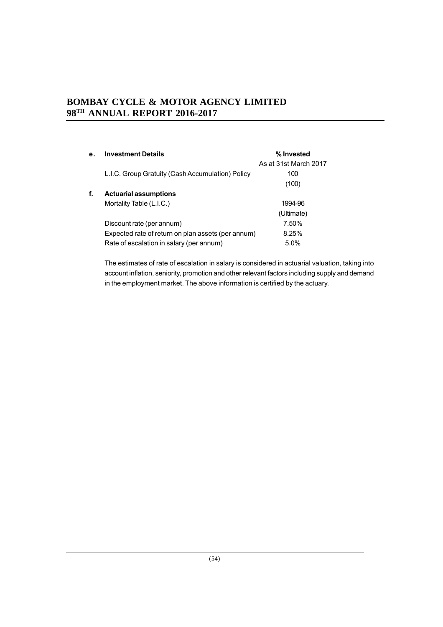| е. | <b>Investment Details</b>                          | % Invested            |
|----|----------------------------------------------------|-----------------------|
|    |                                                    | As at 31st March 2017 |
|    | L.I.C. Group Gratuity (Cash Accumulation) Policy   | 100                   |
|    |                                                    | (100)                 |
| f. | <b>Actuarial assumptions</b>                       |                       |
|    | Mortality Table (L.I.C.)                           | 1994-96               |
|    |                                                    | (Ultimate)            |
|    | Discount rate (per annum)                          | 7.50%                 |
|    | Expected rate of return on plan assets (per annum) | 8.25%                 |
|    | Rate of escalation in salary (per annum)           | 5.0%                  |

The estimates of rate of escalation in salary is considered in actuarial valuation, taking into account inflation, seniority, promotion and other relevant factors including supply and demand in the employment market. The above information is certified by the actuary.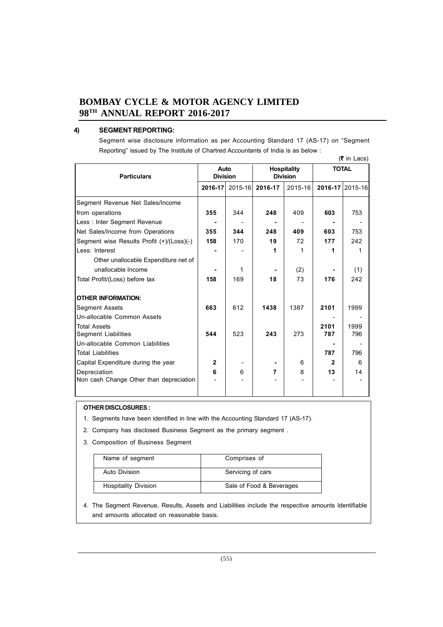## **4) SEGMENT REPORTING:**

Segment wise disclosure information as per Accounting Standard 17 (AS-17) on "Segment Reporting" issued by The Institute of Chartred Accountants of India is as below :

| (₹ in Lacs)                               |                         |         |                                       |         |                |                 |  |
|-------------------------------------------|-------------------------|---------|---------------------------------------|---------|----------------|-----------------|--|
| <b>Particulars</b>                        | Auto<br><b>Division</b> |         | <b>Hospitality</b><br><b>Division</b> |         |                | <b>TOTAL</b>    |  |
|                                           | 2016-17                 | 2015-16 | 2016-17                               | 2015-16 |                | 2016-17 2015-16 |  |
| Segment Revenue Net Sales/Income          |                         |         |                                       |         |                |                 |  |
| from operations                           | 355                     | 344     | 248                                   | 409     | 603            | 753             |  |
| Less: Inter Segment Revenue               |                         |         |                                       |         |                |                 |  |
| Net Sales/Income from Operations          | 355                     | 344     | 248                                   | 409     | 603            | 753             |  |
| Segment wise Results Profit (+)/(Loss)(-) | 158                     | 170     | 19                                    | 72      | 177            | 242             |  |
| Less: Interest                            |                         |         | 1                                     | 1       | 1              | 1               |  |
| Other unallocable Expenditure net of      |                         |         |                                       |         |                |                 |  |
| unallocable Income                        |                         | 1       |                                       | (2)     |                | (1)             |  |
| Total Profit/(Loss) before tax            | 158                     | 169     | 18                                    | 73      | 176            | 242             |  |
| <b>OTHER INFORMATION:</b>                 |                         |         |                                       |         |                |                 |  |
| <b>Segment Assets</b>                     | 663                     | 612     | 1438                                  | 1387    | 2101           | 1999            |  |
| Un-allocable Common Assets                |                         |         |                                       |         |                |                 |  |
| <b>Total Assets</b>                       |                         |         |                                       |         | 2101           | 1999            |  |
| <b>Segment Liabilities</b>                | 544                     | 523     | 243                                   | 273     | 787            | 796             |  |
| Un-allocable Common Liabilities           |                         |         |                                       |         |                |                 |  |
| <b>Total Liabilities</b>                  |                         |         |                                       |         | 787            | 796             |  |
| Capital Expenditure during the year       | $\mathbf{2}$            |         |                                       | 6       | $\overline{2}$ | 6               |  |
| Depreciation                              | 6                       | 6       | 7                                     | 8       | 13             | 14              |  |
| Non cash Change Other than depreciation   |                         |         |                                       |         |                |                 |  |
|                                           |                         |         |                                       |         |                |                 |  |

## **OTHER DISCLOSURES :**

- 1. Segments have been identified in line with the Accounting Standard 17 (AS-17).
- 2. Company has disclosed Business Segment as the primary segment .
- 3. Composition of Business Segment

| Name of segment             | Comprises of             |
|-----------------------------|--------------------------|
| Auto Division               | Servicing of cars        |
| <b>Hospitality Division</b> | Sale of Food & Beverages |

4. The Segment Revenue, Results, Assets and Liabilities include the respective amounts ldentifiable and amounts allocated on reasonable basis.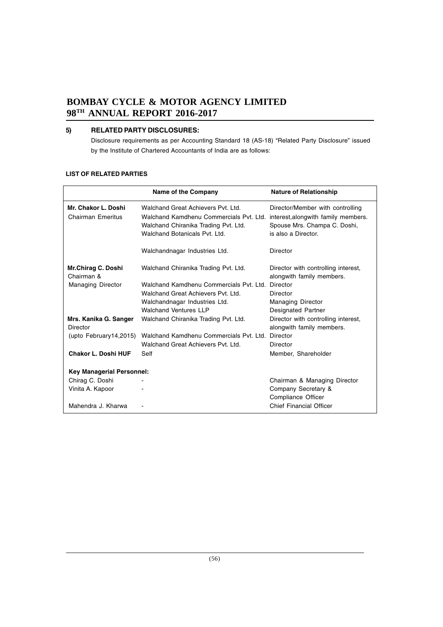## **5) RELATED PARTY DISCLOSURES:**

Disclosure requirements as per Accounting Standard 18 (AS-18) "Related Party Disclosure" issued by the Institute of Chartered Accountants of India are as follows:

#### **LIST OF RELATED PARTIES**

|                                                 | Name of the Company                                                                                                                                    | <b>Nature of Relationship</b>                                                                                                   |
|-------------------------------------------------|--------------------------------------------------------------------------------------------------------------------------------------------------------|---------------------------------------------------------------------------------------------------------------------------------|
| Mr. Chakor L. Doshi<br><b>Chairman Emeritus</b> | Walchand Great Achievers Pyt. Ltd.<br>Walchand Kamdhenu Commercials Pvt. Ltd.<br>Walchand Chiranika Trading Pvt. Ltd.<br>Walchand Botanicals Pvt. Ltd. | Director/Member with controlling<br>interest, along with family members.<br>Spouse Mrs. Champa C. Doshi,<br>is also a Director. |
|                                                 | Walchandnagar Industries Ltd.                                                                                                                          | Director                                                                                                                        |
| Mr.Chirag C. Doshi<br>Chairman &                | Walchand Chiranika Trading Pvt. Ltd.                                                                                                                   | Director with controlling interest,<br>alongwith family members.                                                                |
| <b>Managing Director</b>                        | Walchand Kamdhenu Commercials Pyt. Ltd. Director<br>Walchand Great Achievers Pyt. Ltd.<br>Walchandnagar Industries Ltd.<br>Walchand Ventures IIP       | Director<br><b>Managing Director</b><br>Designated Partner                                                                      |
| Mrs. Kanika G. Sanger<br>Director               | Walchand Chiranika Trading Pvt. Ltd.                                                                                                                   | Director with controlling interest,<br>alongwith family members.                                                                |
| (upto February14,2015)                          | Walchand Kamdhenu Commercials Pyt. Ltd. Director<br>Walchand Great Achievers Pyt. Ltd.                                                                 | Director                                                                                                                        |
| <b>Chakor L. Doshi HUF</b>                      | Self                                                                                                                                                   | Member, Shareholder                                                                                                             |
| <b>Key Managerial Personnel:</b>                |                                                                                                                                                        |                                                                                                                                 |
| Chirag C. Doshi                                 |                                                                                                                                                        | Chairman & Managing Director                                                                                                    |
| Vinita A. Kapoor                                |                                                                                                                                                        | Company Secretary &<br>Compliance Officer                                                                                       |
| Mahendra J. Kharwa                              |                                                                                                                                                        | <b>Chief Financial Officer</b>                                                                                                  |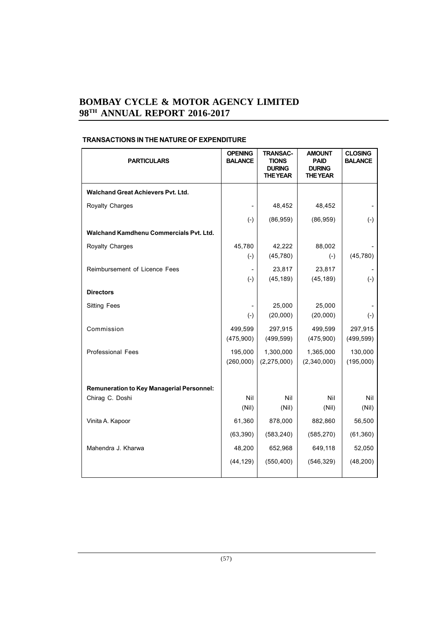| <b>PARTICULARS</b>                               | <b>OPENING</b><br><b>BALANCE</b> | <b>TRANSAC-</b><br><b>TIONS</b><br><b>DURING</b><br><b>THE YEAR</b> | <b>AMOUNT</b><br><b>PAID</b><br><b>DURING</b><br><b>THE YEAR</b> | <b>CLOSING</b><br><b>BALANCE</b> |
|--------------------------------------------------|----------------------------------|---------------------------------------------------------------------|------------------------------------------------------------------|----------------------------------|
| <b>Walchand Great Achievers Pyt. Ltd.</b>        |                                  |                                                                     |                                                                  |                                  |
| Royalty Charges                                  |                                  | 48,452                                                              | 48,452                                                           |                                  |
|                                                  | $(-)$                            | (86, 959)                                                           | (86, 959)                                                        | $(-)$                            |
| Walchand Kamdhenu Commercials Pvt. Ltd.          |                                  |                                                                     |                                                                  |                                  |
| <b>Royalty Charges</b>                           | 45,780                           | 42,222                                                              | 88,002                                                           |                                  |
|                                                  | $(-)$                            | (45, 780)                                                           | $(-)$                                                            | (45, 780)                        |
| Reimbursement of Licence Fees                    | $\overline{\phantom{0}}$         | 23,817                                                              | 23,817                                                           |                                  |
|                                                  | $(-)$                            | (45, 189)                                                           | (45, 189)                                                        | $(-)$                            |
| <b>Directors</b>                                 |                                  |                                                                     |                                                                  |                                  |
| <b>Sitting Fees</b>                              |                                  | 25,000                                                              | 25,000                                                           |                                  |
|                                                  | $(-)$                            | (20,000)                                                            | (20,000)                                                         | $(-)$                            |
| Commission                                       | 499,599                          | 297,915                                                             | 499,599                                                          | 297,915                          |
|                                                  | (475,900)                        | (499, 599)                                                          | (475,900)                                                        | (499, 599)                       |
| <b>Professional Fees</b>                         | 195,000                          | 1,300,000                                                           | 1,365,000                                                        | 130,000                          |
|                                                  | (260,000)                        | (2, 275, 000)                                                       | (2,340,000)                                                      | (195,000)                        |
|                                                  |                                  |                                                                     |                                                                  |                                  |
| <b>Remuneration to Key Managerial Personnel:</b> |                                  |                                                                     |                                                                  |                                  |
| Chirag C. Doshi                                  | Nil<br>(Nil)                     | Nil<br>(Nil)                                                        | Nil<br>(Nil)                                                     | Nil<br>(Nil)                     |
| Vinita A. Kapoor                                 | 61,360                           | 878,000                                                             | 882,860                                                          | 56,500                           |
|                                                  | (63, 390)                        | (583, 240)                                                          | (585, 270)                                                       | (61, 360)                        |
| Mahendra J. Kharwa                               | 48,200                           | 652,968                                                             | 649,118                                                          | 52,050                           |
|                                                  |                                  |                                                                     |                                                                  |                                  |
|                                                  | (44, 129)                        | (550, 400)                                                          | (546, 329)                                                       | (48, 200)                        |
|                                                  |                                  |                                                                     |                                                                  |                                  |

# **TRANSACTIONS IN THE NATURE OF EXPENDITURE**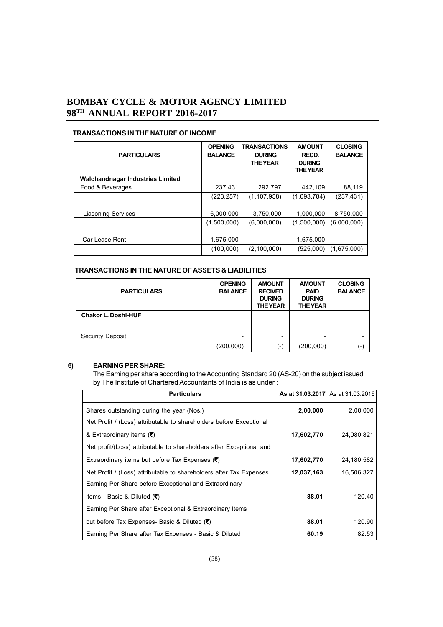## **TRANSACTIONS IN THE NATURE OF INCOME**

| <b>PARTICULARS</b>                      | <b>OPENING</b><br><b>BALANCE</b> | <b>TRANSACTIONS</b><br><b>DURING</b><br><b>THE YEAR</b> | <b>AMOUNT</b><br><b>RECD.</b><br><b>DURING</b><br><b>THE YEAR</b> | <b>CLOSING</b><br><b>BALANCE</b> |
|-----------------------------------------|----------------------------------|---------------------------------------------------------|-------------------------------------------------------------------|----------------------------------|
| <b>Walchandnagar Industries Limited</b> |                                  |                                                         |                                                                   |                                  |
| Food & Beverages                        | 237,431                          | 292,797                                                 | 442,109                                                           | 88,119                           |
|                                         | (223, 257)                       | (1, 107, 958)                                           | (1,093,784)                                                       | (237, 431)                       |
| <b>Liasoning Services</b>               | 6,000,000                        | 3.750.000                                               | 1,000,000                                                         | 8,750,000                        |
|                                         | (1,500,000)                      | (6,000,000)                                             | (1,500,000)                                                       | (6,000,000)                      |
| Car Lease Rent                          | 1,675,000                        | ۰                                                       | 1,675,000                                                         |                                  |
|                                         | (100,000)                        | (2,100,000)                                             | (525,000)                                                         | (1,675,000)                      |

## **TRANSACTIONS IN THE NATURE OF ASSETS & LIABILITIES**

| <b>PARTICULARS</b>         | <b>OPENING</b><br><b>BALANCE</b> | <b>AMOUNT</b><br><b>RECIVED</b><br><b>DURING</b><br><b>THE YEAR</b> | <b>AMOUNT</b><br><b>PAID</b><br><b>DURING</b><br><b>THE YEAR</b> | <b>CLOSING</b><br><b>BALANCE</b> |
|----------------------------|----------------------------------|---------------------------------------------------------------------|------------------------------------------------------------------|----------------------------------|
| <b>Chakor L. Doshi-HUF</b> |                                  |                                                                     |                                                                  |                                  |
| <b>Security Deposit</b>    | ۰<br>(200,000)                   | -<br>(-)                                                            | -<br>(200,000)                                                   | $(-)$                            |

## **6) EARNING PER SHARE:**

The Earning per share according to the Accounting Standard 20 (AS-20) on the subject issued by The Institute of Chartered Accountants of India is as under :

| <b>Particulars</b>                                                   |            | As at 31.03.2017 As at 31.03.2016 |
|----------------------------------------------------------------------|------------|-----------------------------------|
| Shares outstanding during the year (Nos.)                            | 2,00,000   | 2,00,000                          |
| Net Profit / (Loss) attributable to shareholders before Exceptional  |            |                                   |
| & Extraordinary items (₹)                                            | 17,602,770 | 24,080,821                        |
| Net profit/(Loss) attributable to shareholders after Exceptional and |            |                                   |
| Extraordinary items but before Tax Expenses $(3)$                    | 17,602,770 | 24,180,582                        |
| Net Profit / (Loss) attributable to shareholders after Tax Expenses  | 12,037,163 | 16,506,327                        |
| Earning Per Share before Exceptional and Extraordinary               |            |                                   |
| items - Basic & Diluted ( $\overline{\mathbf{C}}$ )                  | 88.01      | 120.40                            |
| Earning Per Share after Exceptional & Extraordinary Items            |            |                                   |
| but before Tax Expenses- Basic & Diluted ( $\bar{\mathbf{z}}$ )      | 88.01      | 120.90                            |
| Earning Per Share after Tax Expenses - Basic & Diluted               | 60.19      | 82.53                             |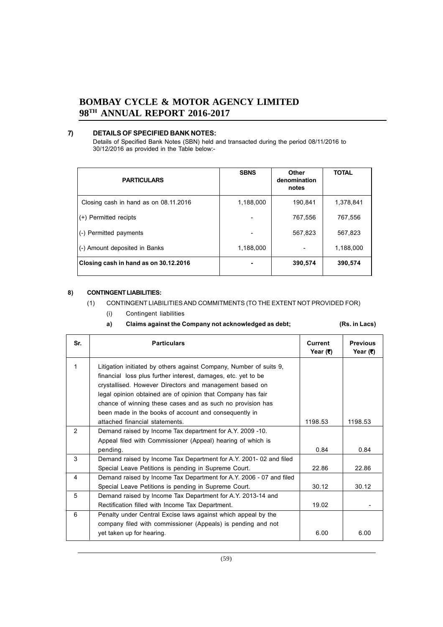## **7) DETAILS OF SPECIFIED BANK NOTES:**

Details of Specified Bank Notes (SBN) held and transacted during the period 08/11/2016 to 30/12/2016 as provided in the Table below:-

| <b>PARTICULARS</b>                    | <b>SBNS</b> | Other<br>denomination<br>notes | <b>TOTAL</b> |
|---------------------------------------|-------------|--------------------------------|--------------|
| Closing cash in hand as on 08.11.2016 | 1,188,000   | 190,841                        | 1,378,841    |
| (+) Permitted recipts                 |             | 767,556                        | 767,556      |
| (-) Permitted payments                | ۰           | 567,823                        | 567,823      |
| (-) Amount deposited in Banks         | 1,188,000   |                                | 1,188,000    |
| Closing cash in hand as on 30.12.2016 |             | 390,574                        | 390,574      |

## **8) CONTINGENT LIABILITIES:**

## (1) CONTINGENT LIABILITIES AND COMMITMENTS (TO THE EXTENT NOT PROVIDED FOR)

(i) Contingent liabilities

## **a) Claims against the Company not acknowledged as debt; (Rs. in Lacs)**

| Sr.            | <b>Particulars</b>                                                  | Current<br>Year (₹) | <b>Previous</b><br>Year (₹) |
|----------------|---------------------------------------------------------------------|---------------------|-----------------------------|
| 1              | Litigation initiated by others against Company, Number of suits 9,  |                     |                             |
|                | financial loss plus further interest, damages, etc. yet to be       |                     |                             |
|                | crystallised. However Directors and management based on             |                     |                             |
|                | legal opinion obtained are of opinion that Company has fair         |                     |                             |
|                | chance of winning these cases and as such no provision has          |                     |                             |
|                | been made in the books of account and consequently in               |                     |                             |
|                | attached financial statements.                                      | 1198.53             | 1198.53                     |
| $\overline{2}$ | Demand raised by Income Tax department for A.Y. 2009 -10.           |                     |                             |
|                | Appeal filed with Commissioner (Appeal) hearing of which is         |                     |                             |
|                | pending.                                                            | 0.84                | 0.84                        |
| 3              | Demand raised by Income Tax Department for A.Y. 2001-02 and filed   |                     |                             |
|                | Special Leave Petitions is pending in Supreme Court.                | 22.86               | 22.86                       |
| 4              | Demand raised by Income Tax Department for A.Y. 2006 - 07 and filed |                     |                             |
|                | Special Leave Petitions is pending in Supreme Court.                | 30.12               | 30.12                       |
| 5              | Demand raised by Income Tax Department for A.Y. 2013-14 and         |                     |                             |
|                | Rectification filled with Income Tax Department.                    | 19.02               |                             |
| 6              | Penalty under Central Excise laws against which appeal by the       |                     |                             |
|                | company filed with commissioner (Appeals) is pending and not        |                     |                             |
|                | yet taken up for hearing.                                           | 6.00                | 6.00                        |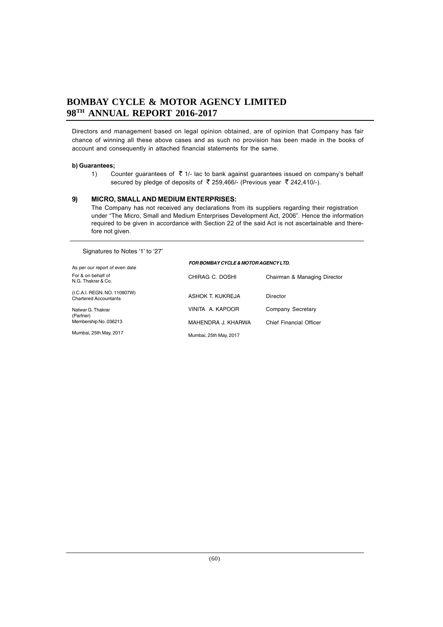Directors and management based on legal opinion obtained, are of opinion that Company has fair chance of winning all these above cases and as such no provision has been made in the books of account and consequently in attached financial statements for the same.

#### **b) Guarantees;**

1) Counter guarantees of  $\bar{\tau}$  1/- lac to bank against guarantees issued on company's behalf secured by pledge of deposits of  $\bar{\tau}$  259,466/- (Previous year  $\bar{\tau}$  242,410/-).

#### **9) MICRO, SMALL AND MEDIUM ENTERPRISES:**

The Company has not received any declarations from its suppliers regarding their registration under "The Micro, Small and Medium Enterprises Development Act, 2006". Hence the information required to be given in accordance with Section 22 of the said Act is not ascertainable and therefore not given.

Signatures to Notes '1' to '27'

| As per our report of even date                               | <b>FOR BOMBAY CYCLE &amp; MOTOR AGENCY LTD.</b> |                              |  |  |
|--------------------------------------------------------------|-------------------------------------------------|------------------------------|--|--|
| For & on behalf of<br>N.G. Thakrar & Co.                     | CHIRAG C. DOSHI                                 | Chairman & Managing Director |  |  |
| (I.C.A.I. REGN. NO. 110907W)<br><b>Chartered Accountants</b> | ASHOK T. KUKREJA                                | Director                     |  |  |
| Natwar G. Thakrar<br>(Partner)                               | VINITA A KAPOOR                                 | Company Secretary            |  |  |
| Membership No. 036213                                        | MAHENDRA J. KHARWA                              | Chief Financial Officer      |  |  |
| Mumbai, 25th May, 2017                                       | Mumbai, 25th May, 2017                          |                              |  |  |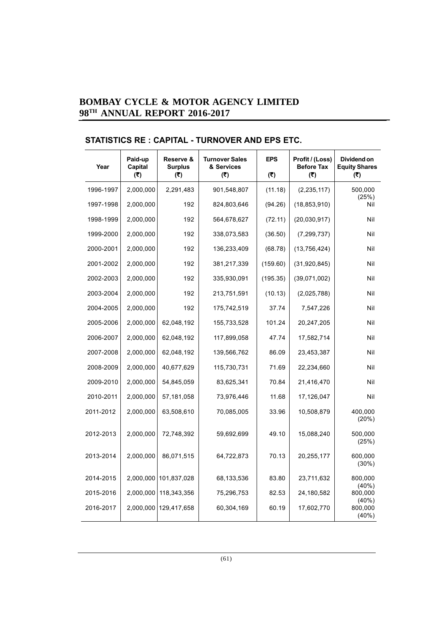# **STATISTICS RE : CAPITAL - TURNOVER AND EPS ETC.**

| Year      | Paid-up<br>Capital<br>(5) | Reserve &<br><b>Surplus</b><br>(5) | <b>Turnover Sales</b><br>& Services<br>(3) | <b>EPS</b><br>(5) | Profit / (Loss)<br><b>Before Tax</b><br>(5) | Dividend on<br><b>Equity Shares</b><br>(5) |
|-----------|---------------------------|------------------------------------|--------------------------------------------|-------------------|---------------------------------------------|--------------------------------------------|
| 1996-1997 | 2,000,000                 | 2,291,483                          | 901,548,807                                | (11.18)           | (2, 235, 117)                               | 500,000                                    |
| 1997-1998 | 2,000,000                 | 192                                | 824,803,646                                | (94.26)           | (18, 853, 910)                              | (25%)<br>Nil                               |
| 1998-1999 | 2,000,000                 | 192                                | 564,678,627                                | (72.11)           | (20,030,917)                                | Nil                                        |
| 1999-2000 | 2,000,000                 | 192                                | 338,073,583                                | (36.50)           | (7, 299, 737)                               | Nil                                        |
| 2000-2001 | 2,000,000                 | 192                                | 136,233,409                                | (68.78)           | (13,756,424)                                | Nil                                        |
| 2001-2002 | 2,000,000                 | 192                                | 381,217,339                                | (159.60)          | (31, 920, 845)                              | Nil                                        |
| 2002-2003 | 2,000,000                 | 192                                | 335,930,091                                | (195.35)          | (39,071,002)                                | Nil                                        |
| 2003-2004 | 2,000,000                 | 192                                | 213,751,591                                | (10.13)           | (2,025,788)                                 | Nil                                        |
| 2004-2005 | 2,000,000                 | 192                                | 175,742,519                                | 37.74             | 7,547,226                                   | Nil                                        |
| 2005-2006 | 2,000,000                 | 62,048,192                         | 155,733,528                                | 101.24            | 20,247,205                                  | Nil                                        |
| 2006-2007 | 2,000,000                 | 62,048,192                         | 117,899,058                                | 47.74             | 17,582,714                                  | Nil                                        |
| 2007-2008 | 2,000,000                 | 62,048,192                         | 139,566,762                                | 86.09             | 23,453,387                                  | Nil                                        |
| 2008-2009 | 2,000,000                 | 40,677,629                         | 115,730,731                                | 71.69             | 22,234,660                                  | Nil                                        |
| 2009-2010 | 2,000,000                 | 54,845,059                         | 83,625,341                                 | 70.84             | 21,416,470                                  | Nil                                        |
| 2010-2011 | 2,000,000                 | 57,181,058                         | 73,976,446                                 | 11.68             | 17,126,047                                  | Nil                                        |
| 2011-2012 | 2,000,000                 | 63,508,610                         | 70,085,005                                 | 33.96             | 10,508,879                                  | 400,000<br>(20%)                           |
| 2012-2013 | 2,000,000                 | 72,748,392                         | 59,692,699                                 | 49.10             | 15,088,240                                  | 500,000<br>(25%)                           |
| 2013-2014 | 2,000,000                 | 86,071,515                         | 64,722,873                                 | 70.13             | 20,255,177                                  | 600,000<br>$(30\%)$                        |
| 2014-2015 | 2,000,000                 | 101,837,028                        | 68,133,536                                 | 83.80             | 23,711,632                                  | 800,000                                    |
| 2015-2016 | 2,000,000                 | 118,343,356                        | 75,296,753                                 | 82.53             | 24,180,582                                  | (40%)<br>800,000                           |
| 2016-2017 | 2,000,000                 | 129,417,658                        | 60,304,169                                 | 60.19             | 17,602,770                                  | (40%)<br>800,000<br>(40%)                  |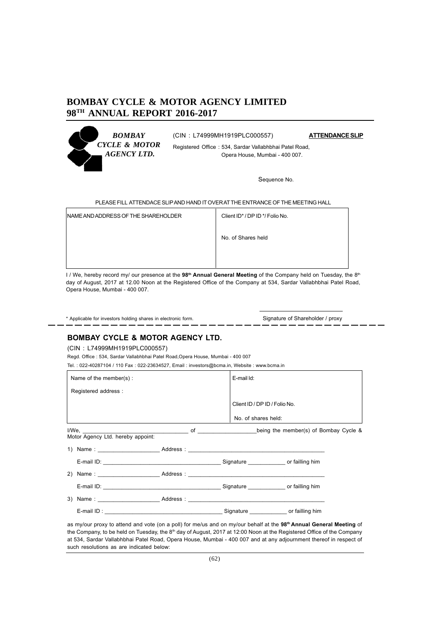

(CIN : L74999MH1919PLC000557) **ATTENDANCE SLIP**

Registered Office : 534, Sardar Vallabhbhai Patel Road, Opera House, Mumbai - 400 007.

Sequence No.

PLEASE FILL ATTENDACE SLIP AND HAND IT OVER AT THE ENTRANCE OF THE MEETING HALL

| NAME AND ADDRESS OF THE SHAREHOLDER | Client ID* / DP ID */ Folio No. |
|-------------------------------------|---------------------------------|
|                                     | No. of Shares held              |
|                                     |                                 |
|                                     |                                 |

I / We, hereby record my/ our presence at the 98<sup>th</sup> Annual General Meeting of the Company held on Tuesday, the 8<sup>th</sup> day of August, 2017 at 12.00 Noon at the Registered Office of the Company at 534, Sardar Vallabhbhai Patel Road, Opera House, Mumbai - 400 007.

\* Applicable for investors holding shares in electronic form. Signature of Shareholder / proxy

# **BOMBAY CYCLE & MOTOR AGENCY LTD.**

(CIN : L74999MH1919PLC000557)

Regd. Office : 534, Sardar Vallabhbhai Patel Road,Opera House, Mumbai - 400 007

Tel. : 022-40287104 / 110 Fax : 022-23634527, Email : investors@bcma.in, Website : www.bcma.in

| Name of the member( $s$ ) :                                                                                                                                                                                                                                                    | E-mail Id:          |                               |  |
|--------------------------------------------------------------------------------------------------------------------------------------------------------------------------------------------------------------------------------------------------------------------------------|---------------------|-------------------------------|--|
| Registered address :                                                                                                                                                                                                                                                           |                     |                               |  |
|                                                                                                                                                                                                                                                                                |                     | Client ID / DP ID / Folio No. |  |
|                                                                                                                                                                                                                                                                                | No. of shares held: |                               |  |
| I/We, <b>No. 2018</b> 2019 12:00 of <b>CONFIDENTIAL CONSUMING A LOCAL CONSUMING A LOCAL CONSUMING A LOCAL CONSUMING A LOCAL CONSUMING A LOCAL CONSUMING A LOCAL CONSUMING A LOCAL CONSUMING A LOCAL CONSUMING A LOCAL CONSUMING A LOC</b><br>Motor Agency Ltd. hereby appoint: |                     |                               |  |
| 1) Name: Address: Address:                                                                                                                                                                                                                                                     |                     |                               |  |
| E-mail ID: Contract Contract Contract Contract Contract Contract Contract Contract Contract Contract Contract Contract Contract Contract Contract Contract Contract Contract Contract Contract Contract Contract Contract Cont                                                 |                     |                               |  |
| 2) Name: Address: Address:                                                                                                                                                                                                                                                     |                     |                               |  |
| E-mail ID: Contract of failing him                                                                                                                                                                                                                                             |                     |                               |  |
| 3) Name: Address: Address:                                                                                                                                                                                                                                                     |                     |                               |  |
| E-mail ID: contract to the contract of the Signature Contract of the Signature Contract of the Signature Contract of the Signature Contract of the Signature Contract of the Signature Contract of the Signature Contract of t                                                 |                     |                               |  |

as my/our proxy to attend and vote (on a poll) for me/us and on my/our behalf at the **98th Annual General Meeting** of the Company, to be held on Tuesday, the 8<sup>th</sup> day of August, 2017 at 12:00 Noon at the Registered Office of the Company at 534, Sardar Vallabhbhai Patel Road, Opera House, Mumbai - 400 007 and at any adjournment thereof in respect of such resolutions as are indicated below: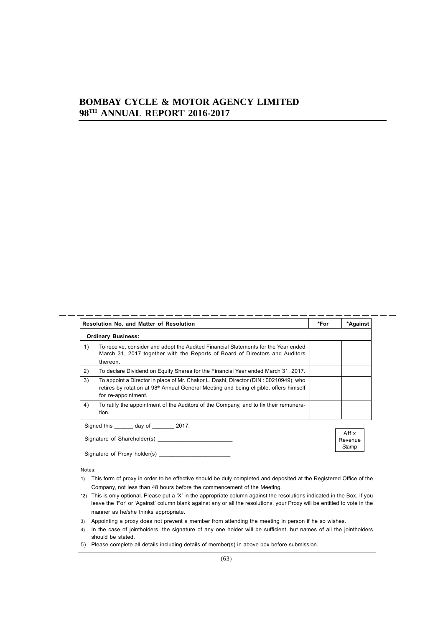|    | <b>Resolution No. and Matter of Resolution</b>                                                                                                                                                                    | *For | *Against                  |
|----|-------------------------------------------------------------------------------------------------------------------------------------------------------------------------------------------------------------------|------|---------------------------|
|    | <b>Ordinary Business:</b>                                                                                                                                                                                         |      |                           |
| 1) | To receive, consider and adopt the Audited Financial Statements for the Year ended<br>March 31, 2017 together with the Reports of Board of Directors and Auditors<br>thereon.                                     |      |                           |
| 2) | To declare Dividend on Equity Shares for the Financial Year ended March 31, 2017.                                                                                                                                 |      |                           |
| 3) | To appoint a Director in place of Mr. Chakor L. Doshi, Director (DIN : 00210949), who<br>retires by rotation at 98 <sup>th</sup> Annual General Meeting and being eligible, offers himself<br>for re-appointment. |      |                           |
| 4) | To ratify the appointment of the Auditors of the Company, and to fix their remunera-<br>tion.                                                                                                                     |      |                           |
|    | Signed this day of 2017.                                                                                                                                                                                          |      |                           |
|    | Signature of Shareholder(s)                                                                                                                                                                                       |      | Affix<br>Revenue<br>Stamp |

Notes:

- 1) This form of proxy in order to be effective should be duly completed and deposited at the Registered Office of the Company, not less than 48 hours before the commencement of the Meeting.
- \*2) This is only optional. Please put a 'X' in the appropriate column against the resolutions indicated in the Box. If you leave the 'For' or 'Against' column blank against any or all the resolutions, your Proxy will be entitled to vote in the manner as he/she thinks appropriate.
- 3) Appointing a proxy does not prevent a member from attending the meeting in person if he so wishes.
- 4) In the case of jointholders, the signature of any one holder will be sufficient, but names of all the jointholders should be stated.
- 5) Please complete all details including details of member(s) in above box before submission.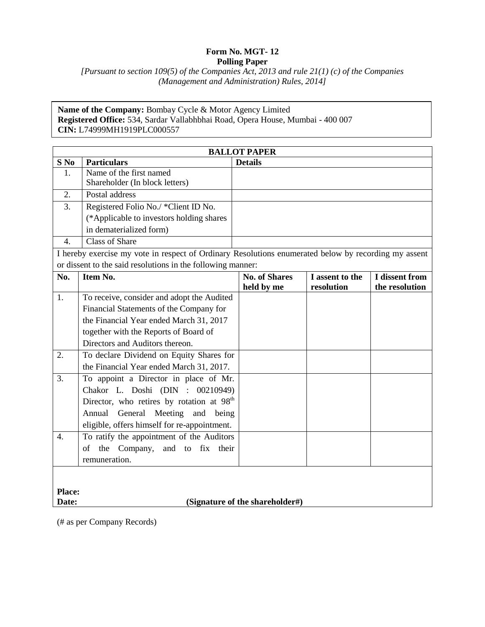## **Form No. MGT- 12 Polling Paper**

*[Pursuant to section 109(5) of the Companies Act, 2013 and rule 21(1) (c) of the Companies (Management and Administration) Rules, 2014]*

**Name of the Company:** Bombay Cycle & Motor Agency Limited **Registered Office:** 534, Sardar Vallabhbhai Road, Opera House, Mumbai - 400 007 **CIN:** L74999MH1919PLC000557

| <b>BALLOT PAPER</b>                                                                                  |                                                       |                      |                 |                |
|------------------------------------------------------------------------------------------------------|-------------------------------------------------------|----------------------|-----------------|----------------|
| S No                                                                                                 | <b>Particulars</b>                                    | <b>Details</b>       |                 |                |
| 1.                                                                                                   | Name of the first named                               |                      |                 |                |
|                                                                                                      | Shareholder (In block letters)                        |                      |                 |                |
| 2.                                                                                                   | Postal address                                        |                      |                 |                |
| $\overline{3}$ .                                                                                     | Registered Folio No./ *Client ID No.                  |                      |                 |                |
|                                                                                                      | (*Applicable to investors holding shares              |                      |                 |                |
|                                                                                                      | in dematerialized form)                               |                      |                 |                |
| $\overline{4}$ .                                                                                     | <b>Class of Share</b>                                 |                      |                 |                |
| I hereby exercise my vote in respect of Ordinary Resolutions enumerated below by recording my assent |                                                       |                      |                 |                |
| or dissent to the said resolutions in the following manner:                                          |                                                       |                      |                 |                |
| No.                                                                                                  | Item No.                                              | <b>No. of Shares</b> | I assent to the | I dissent from |
|                                                                                                      |                                                       | held by me           | resolution      | the resolution |
| 1.                                                                                                   | To receive, consider and adopt the Audited            |                      |                 |                |
|                                                                                                      | Financial Statements of the Company for               |                      |                 |                |
|                                                                                                      | the Financial Year ended March 31, 2017               |                      |                 |                |
|                                                                                                      | together with the Reports of Board of                 |                      |                 |                |
|                                                                                                      | Directors and Auditors thereon.                       |                      |                 |                |
| 2.                                                                                                   | To declare Dividend on Equity Shares for              |                      |                 |                |
|                                                                                                      | the Financial Year ended March 31, 2017.              |                      |                 |                |
| 3.                                                                                                   | To appoint a Director in place of Mr.                 |                      |                 |                |
|                                                                                                      | Chakor L. Doshi (DIN : 00210949)                      |                      |                 |                |
|                                                                                                      | Director, who retires by rotation at 98 <sup>th</sup> |                      |                 |                |
|                                                                                                      | Meeting<br>Annual<br>General<br>and<br>being          |                      |                 |                |
|                                                                                                      | eligible, offers himself for re-appointment.          |                      |                 |                |
| $\overline{4}$ .                                                                                     | To ratify the appointment of the Auditors             |                      |                 |                |
|                                                                                                      | Company, and to fix their<br>the<br>of                |                      |                 |                |
|                                                                                                      | remuneration.                                         |                      |                 |                |
|                                                                                                      |                                                       |                      |                 |                |
|                                                                                                      |                                                       |                      |                 |                |
| <b>Place:</b>                                                                                        |                                                       |                      |                 |                |
| (Signature of the shareholder#)<br>Date:                                                             |                                                       |                      |                 |                |

(# as per Company Records)